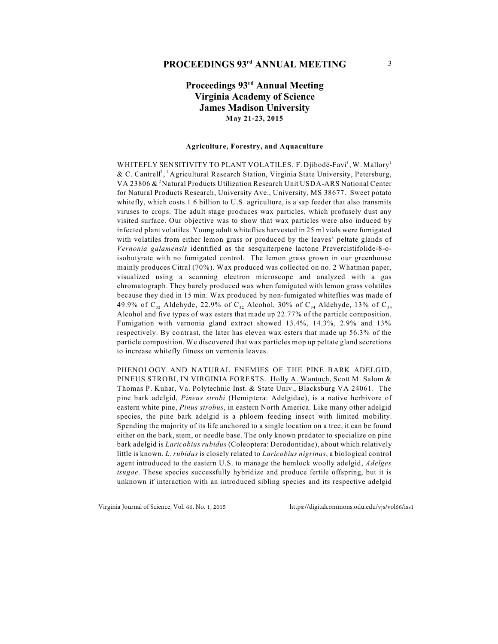## **PROCEEDINGS 93<sup>rd</sup> ANNUAL MEETING** 3

## **Proceedings 93rd Annual Meeting Virginia Academy of Science James Madison University May 21-23, 2015**

#### **Agriculture, Forestry, and Aquaculture**

WHITEFLY SENSITIVITY TO PLANT VOLATILES. F. Djibodé-Favi<sup>1</sup>, W. Mallory<sup>1</sup> & C. Cantrell<sup>2</sup>, <sup>1</sup> Agricultural Research Station, Virginia State University, Petersburg, VA 23806  $\&$  <sup>2</sup>Natural Products Utilization Research Unit USDA-ARS National Center for Natural Products Research, University Ave., University, MS 38677. Sweet potato whitefly, which costs 1.6 billion to U.S. agriculture, is a sap feeder that also transmits viruses to crops. The adult stage produces wax particles, which profusely dust any visited surface. Our objective was to show that wax particles were also induced by infected plant volatiles. Young adult whiteflies harvested in 25 ml vials were fumigated with volatiles from either lemon grass or produced by the leaves' peltate glands of *Vernonia galamensis* identified as the sesquiterpene lactone Prevercistifolide-8-oisobutyrate with no fumigated control. The lemon grass grown in our greenhouse mainly produces Citral (70%). Wax produced was collected on no. 2 Whatman paper, visualized using a scanning electron microscope and analyzed with a gas chromatograph. They barely produced wax when fumigated with lemon grass volatiles because they died in 15 min. Wax produced by non-fumigated whiteflies was made of 49.9% of  $C_{32}$  Aldehyde, 22.9% of  $C_{34}$  Alcohol, 30% of  $C_{34}$  Aldehyde, 13% of  $C_{34}$ Alcohol and five types of wax esters that made up 22.77% of the particle composition. Fumigation with vernonia gland extract showed 13.4%, 14.3%, 2.9% and 13% respectively. By contrast, the later has eleven wax esters that made up 56.3% of the particle composition. We discovered that wax particles mop up peltate gland secretions to increase whitefly fitness on vernonia leaves.

PHENOLOGY AND NATURAL ENEMIES OF THE PINE BARK ADELGID, PINEUS STROBI, IN VIRGINIA FORESTS. Holly A. Wantuch, Scott M. Salom & Thomas P. Kuhar, Va. Polytechnic Inst. & State Univ., Blacksburg VA 24061. The pine bark adelgid, *Pineus strobi* (Hemiptera: Adelgidae), is a native herbivore of eastern white pine, *Pinus strobus*, in eastern North America. Like many other adelgid species, the pine bark adelgid is a phloem feeding insect with limited mobility. Spending the majority of its life anchored to a single location on a tree, it can be found either on the bark, stem, or needle base. The only known predator to specialize on pine bark adelgid is *Laricobius rubidus* (Coleoptera: Derodontidae), about which relatively little is known. *L. rubidus* is closely related to *Laricobius nigrinus*, a biological control agent introduced to the eastern U.S. to manage the hemlock woolly adelgid, *Adelges tsugae*. These species successfully hybridize and produce fertile offspring, but it is unknown if interaction with an introduced sibling species and its respective adelgid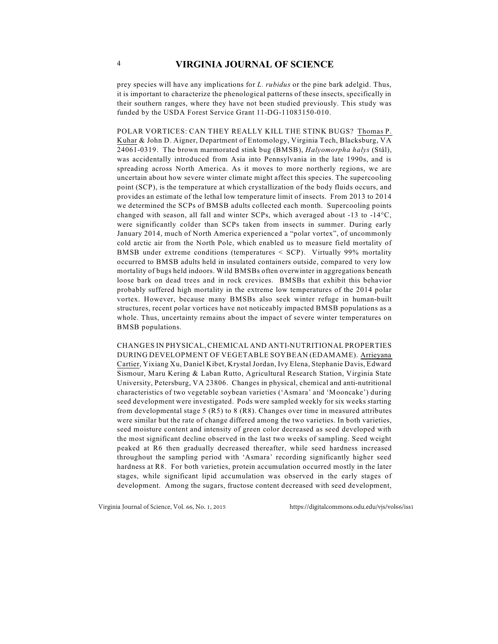prey species will have any implications for *L. rubidus* or the pine bark adelgid. Thus, it is important to characterize the phenological patterns of these insects, specifically in their southern ranges, where they have not been studied previously. This study was funded by the USDA Forest Service Grant 11-DG-11083150-010.

POLAR VORTICES: CAN THEY REALLY KILL THE STINK BUGS? Thomas P. Kuhar & John D. Aigner, Department of Entomology, Virginia Tech, Blacksburg, VA 24061-0319. The brown marmorated stink bug (BMSB), *Halyomorpha halys* (Stål), was accidentally introduced from Asia into Pennsylvania in the late 1990s, and is spreading across North America. As it moves to more northerly regions, we are uncertain about how severe winter climate might affect this species. The supercooling point (SCP), is the temperature at which crystallization of the body fluids occurs, and provides an estimate of the lethal low temperature limit of insects. From 2013 to 2014 we determined the SCPs of BMSB adults collected each month. Supercooling points changed with season, all fall and winter SCPs, which averaged about -13 to -14°C, were significantly colder than SCPs taken from insects in summer. During early January 2014, much of North America experienced a "polar vortex", of uncommonly cold arctic air from the North Pole, which enabled us to measure field mortality of BMSB under extreme conditions (temperatures < SCP). Virtually 99% mortality occurred to BMSB adults held in insulated containers outside, compared to very low mortality of bugs held indoors. Wild BMSBs often overwinter in aggregations beneath loose bark on dead trees and in rock crevices. BMSBs that exhibit this behavior probably suffered high mortality in the extreme low temperatures of the 2014 polar vortex. However, because many BMSBs also seek winter refuge in human-built structures, recent polar vortices have not noticeably impacted BMSB populations as a whole. Thus, uncertainty remains about the impact of severe winter temperatures on BMSB populations.

CHANGES IN PHYSICAL, CHEMICAL AND ANTI-NUTRITIONAL PROPERTIES DURING DEVELOPMENT OF VEGETABLE SOYBEAN (EDAMAME). Arrieyana Cartier, Yixiang Xu, Daniel Kibet, Krystal Jordan, Ivy Elena, Stephanie Davis, Edward Sismour, Maru Kering & Laban Rutto, Agricultural Research Station, Virginia State University, Petersburg, VA 23806. Changes in physical, chemical and anti-nutritional characteristics of two vegetable soybean varieties ('Asmara' and 'Mooncake') during seed development were investigated. Pods were sampled weekly for six weeks starting from developmental stage  $5$  (R $5$ ) to  $8$  (R $8$ ). Changes over time in measured attributes were similar but the rate of change differed among the two varieties. In both varieties, seed moisture content and intensity of green color decreased as seed developed with the most significant decline observed in the last two weeks of sampling. Seed weight peaked at R6 then gradually decreased thereafter, while seed hardness increased throughout the sampling period with 'Asmara' recording significantly higher seed hardness at R8. For both varieties, protein accumulation occurred mostly in the later stages, while significant lipid accumulation was observed in the early stages of development. Among the sugars, fructose content decreased with seed development,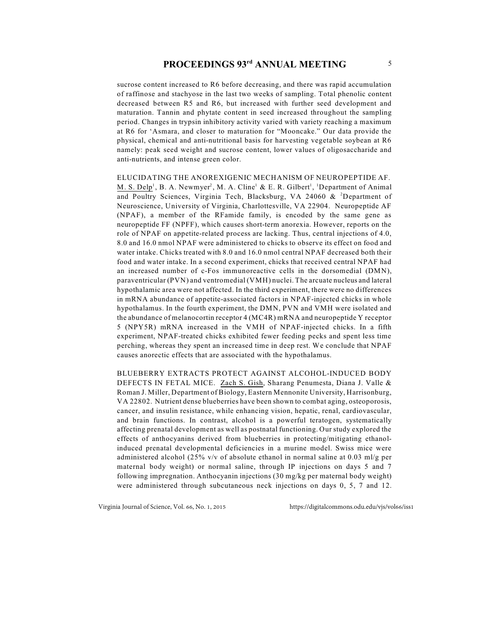sucrose content increased to R6 before decreasing, and there was rapid accumulation of raffinose and stachyose in the last two weeks of sampling. Total phenolic content decreased between R5 and R6, but increased with further seed development and maturation. Tannin and phytate content in seed increased throughout the sampling period. Changes in trypsin inhibitory activity varied with variety reaching a maximum at R6 for 'Asmara, and closer to maturation for "Mooncake." Our data provide the physical, chemical and anti-nutritional basis for harvesting vegetable soybean at R6 namely: peak seed weight and sucrose content, lower values of oligosaccharide and anti-nutrients, and intense green color.

ELUCIDATING THE ANOREXIGENIC MECHANISM OF NEUROPEPTIDE AF. M. S. Delp<sup>1</sup>, B. A. Newmyer<sup>2</sup>, M. A. Cline<sup>1</sup> & E. R. Gilbert<sup>1</sup>, <sup>1</sup>Department of Animal and Poultry Sciences, Virginia Tech, Blacksburg, VA 24060 & <sup>2</sup>Department of Neuroscience, University of Virginia, Charlottesville, VA 22904. Neuropeptide AF (NPAF), a member of the RFamide family, is encoded by the same gene as neuropeptide FF (NPFF), which causes short-term anorexia. However, reports on the role of NPAF on appetite-related process are lacking. Thus, central injections of 4.0, 8.0 and 16.0 nmol NPAF were administered to chicks to observe its effect on food and water intake. Chicks treated with 8.0 and 16.0 nmol central NPAF decreased both their food and water intake. In a second experiment, chicks that received central NPAF had an increased number of c-Fos immunoreactive cells in the dorsomedial (DMN), paraventricular (PVN) and ventromedial (VMH) nuclei. The arcuate nucleus and lateral hypothalamic area were not affected. In the third experiment, there were no differences in mRNA abundance of appetite-associated factors in NPAF-injected chicks in whole hypothalamus. In the fourth experiment, the DMN, PVN and VMH were isolated and the abundance of melanocortin receptor 4 (MC4R) mRNA and neuropeptide Y receptor 5 (NPY5R) mRNA increased in the VMH of NPAF-injected chicks. In a fifth experiment, NPAF-treated chicks exhibited fewer feeding pecks and spent less time perching, whereas they spent an increased time in deep rest. We conclude that NPAF causes anorectic effects that are associated with the hypothalamus.

BLUEBERRY EXTRACTS PROTECT AGAINST ALCOHOL-INDUCED BODY DEFECTS IN FETAL MICE. Zach S. Gish, Sharang Penumesta, Diana J. Valle & Roman J. Miller, Department of Biology, Eastern Mennonite University, Harrisonburg, VA 22802. Nutrient dense blueberries have been shown to combat aging, osteoporosis, cancer, and insulin resistance, while enhancing vision, hepatic, renal, cardiovascular, and brain functions. In contrast, alcohol is a powerful teratogen, systematically affecting prenatal development as well as postnatal functioning. Our study explored the effects of anthocyanins derived from blueberries in protecting/mitigating ethanolinduced prenatal developmental deficiencies in a murine model. Swiss mice were administered alcohol (25% v/v of absolute ethanol in normal saline at 0.03 ml/g per maternal body weight) or normal saline, through IP injections on days 5 and 7 following impregnation. Anthocyanin injections (30 mg/kg per maternal body weight) were administered through subcutaneous neck injections on days 0, 5, 7 and 12.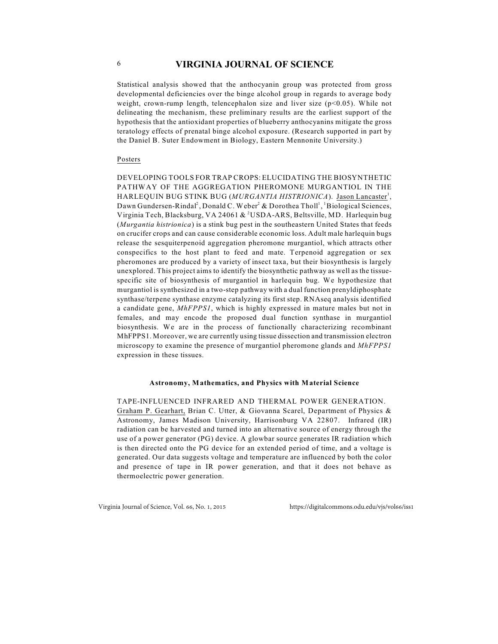Statistical analysis showed that the anthocyanin group was protected from gross developmental deficiencies over the binge alcohol group in regards to average body weight, crown-rump length, telencephalon size and liver size  $(p<0.05)$ . While not delineating the mechanism, these preliminary results are the earliest support of the hypothesis that the antioxidant properties of blueberry anthocyanins mitigate the gross teratology effects of prenatal binge alcohol exposure. (Research supported in part by the Daniel B. Suter Endowment in Biology, Eastern Mennonite University.)

#### Posters

DEVELOPING TOOLS FOR TRAP CROPS: ELUCIDATING THE BIOSYNTHETIC PATHWAY OF THE AGGREGATION PHEROMONE MURGANTIOL IN THE HARLEQUIN BUG STINK BUG (MURGANTIA HISTRIONICA). Jason Lancaster<sup>1</sup>, Dawn Gundersen-Rindal<sup>2</sup>, Donald C. Weber<sup>2</sup> & Dorothea Tholl<sup>1</sup>, <sup>1</sup> Biological Sciences, Virginia Tech, Blacksburg, VA 24061 & <sup>2</sup>USDA-ARS, Beltsville, MD. Harlequin bug (*Murgantia histrionica*) is a stink bug pest in the southeastern United States that feeds on crucifer crops and can cause considerable economic loss. Adult male harlequin bugs release the sesquiterpenoid aggregation pheromone murgantiol, which attracts other conspecifics to the host plant to feed and mate. Terpenoid aggregation or sex pheromones are produced by a variety of insect taxa, but their biosynthesis is largely unexplored. This project aims to identify the biosynthetic pathway as well as the tissuespecific site of biosynthesis of murgantiol in harlequin bug. We hypothesize that murgantiol is synthesized in a two-step pathway with a dual function prenyldiphosphate synthase/terpene synthase enzyme catalyzing its first step. RNAseq analysis identified a candidate gene, *MhFPPS1*, which is highly expressed in mature males but not in females, and may encode the proposed dual function synthase in murgantiol biosynthesis. We are in the process of functionally characterizing recombinant MhFPPS1. Moreover, we are currently using tissue dissection and transmission electron microscopy to examine the presence of murgantiol pheromone glands and *MhFPPS1* expression in these tissues.

#### **Astronomy, Mathematics, and Physics with Material Science**

TAPE-INFLUENCED INFRARED AND THERMAL POWER GENERATION. Graham P. Gearhart, Brian C. Utter, & Giovanna Scarel, Department of Physics & Astronomy, James Madison University, Harrisonburg VA 22807. Infrared (IR) radiation can be harvested and turned into an alternative source of energy through the use of a power generator (PG) device. A glowbar source generates IR radiation which is then directed onto the PG device for an extended period of time, and a voltage is generated. Our data suggests voltage and temperature are influenced by both the color and presence of tape in IR power generation, and that it does not behave as thermoelectric power generation.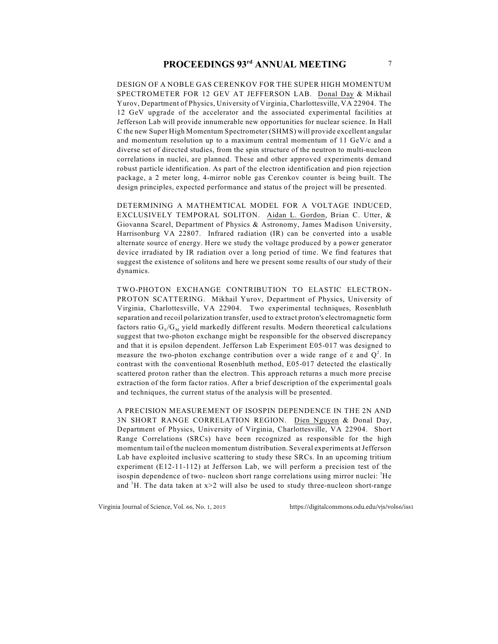DESIGN OF A NOBLE GAS CERENKOV FOR THE SUPER HIGH MOMENTUM SPECTROMETER FOR 12 GEV AT JEFFERSON LAB. Donal Day & Mikhail Yurov, Department of Physics, University of Virginia, Charlottesville, VA 22904. The 12 GeV upgrade of the accelerator and the associated experimental facilities at Jefferson Lab will provide innumerable new opportunities for nuclear science. In Hall C the new Super High Momentum Spectrometer (SHMS) will provide excellent angular and momentum resolution up to a maximum central momentum of 11 GeV/c and a diverse set of directed studies, from the spin structure of the neutron to multi-nucleon correlations in nuclei, are planned. These and other approved experiments demand robust particle identification. As part of the electron identification and pion rejection package, a 2 meter long, 4-mirror noble gas Cerenkov counter is being built. The design principles, expected performance and status of the project will be presented.

DETERMINING A MATHEMTICAL MODEL FOR A VOLTAGE INDUCED, EXCLUSIVELY TEMPORAL SOLITON. Aidan L. Gordon, Brian C. Utter, & Giovanna Scarel, Department of Physics & Astronomy, James Madison University, Harrisonburg VA 22807. Infrared radiation (IR) can be converted into a usable alternate source of energy. Here we study the voltage produced by a power generator device irradiated by IR radiation over a long period of time. We find features that suggest the existence of solitons and here we present some results of our study of their dynamics.

TWO-PHOTON EXCHANGE CONTRIBUTION TO ELASTIC ELECTRON-PROTON SCATTERING. Mikhail Yurov, Department of Physics, University of Virginia, Charlottesville, VA 22904. Two experimental techniques, Rosenbluth separation and recoil polarization transfer, used to extract proton's electromagnetic form factors ratio  $G_F/G_M$  yield markedly different results. Modern theoretical calculations suggest that two-photon exchange might be responsible for the observed discrepancy and that it is epsilon dependent. Jefferson Lab Experiment E05-017 was designed to measure the two-photon exchange contribution over a wide range of  $\varepsilon$  and  $Q^2$ . In contrast with the conventional Rosenbluth method, E05-017 detected the elastically scattered proton rather than the electron. This approach returns a much more precise extraction of the form factor ratios. After a brief description of the experimental goals and techniques, the current status of the analysis will be presented.

A PRECISION MEASUREMENT OF ISOSPIN DEPENDENCE IN THE 2N AND 3N SHORT RANGE CORRELATION REGION. Dien Nguyen & Donal Day, Department of Physics, University of Virginia, Charlottesville, VA 22904. Short Range Correlations (SRCs) have been recognized as responsible for the high momentum tail of the nucleon momentum distribution. Several experiments at Jefferson Lab have exploited inclusive scattering to study these SRCs. In an upcoming tritium experiment (E12-11-112) at Jefferson Lab, we will perform a precision test of the isospin dependence of two- nucleon short range correlations using mirror nuclei:  ${}^{3}$ He and  $H$ . The data taken at  $x>2$  will also be used to study three-nucleon short-range

Virginia Journal of Science, Vol. 66, No. 1, 2015 https://digitalcommons.odu.edu/vjs/vol66/iss1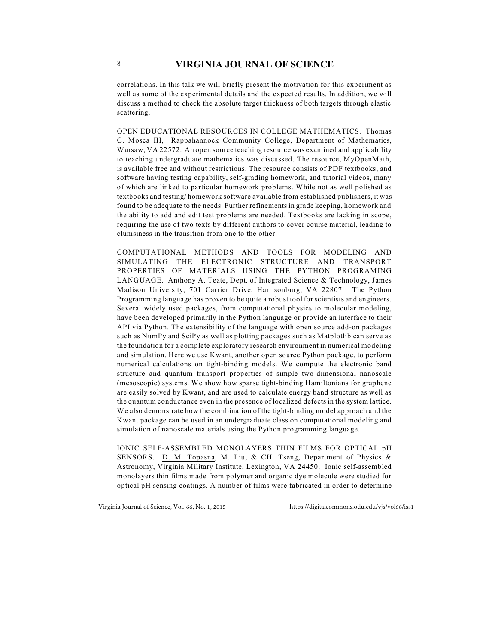correlations. In this talk we will briefly present the motivation for this experiment as well as some of the experimental details and the expected results. In addition, we will discuss a method to check the absolute target thickness of both targets through elastic scattering.

OPEN EDUCATIONAL RESOURCES IN COLLEGE MATHEMATICS. Thomas C. Mosca III, Rappahannock Community College, Department of Mathematics, Warsaw, VA 22572. An open source teaching resource was examined and applicability to teaching undergraduate mathematics was discussed. The resource, MyOpenMath, is available free and without restrictions. The resource consists of PDF textbooks, and software having testing capability, self-grading homework, and tutorial videos, many of which are linked to particular homework problems. While not as well polished as textbooks and testing/ homework software available from established publishers, it was found to be adequate to the needs. Further refinements in grade keeping, homework and the ability to add and edit test problems are needed. Textbooks are lacking in scope, requiring the use of two texts by different authors to cover course material, leading to clumsiness in the transition from one to the other.

COMPUTATIONAL METHODS AND TOOLS FOR MODELING AND SIMULATING THE ELECTRONIC STRUCTURE AND TRANSPORT PROPERTIES OF MATERIALS USING THE PYTHON PROGRAMING LANGUAGE. Anthony A. Teate, Dept. of Integrated Science & Technology, James Madison University, 701 Carrier Drive, Harrisonburg, VA 22807. The Python Programming language has proven to be quite a robust tool for scientists and engineers. Several widely used packages, from computational physics to molecular modeling, have been developed primarily in the Python language or provide an interface to their API via Python. The extensibility of the language with open source add-on packages such as NumPy and SciPy as well as plotting packages such as Matplotlib can serve as the foundation for a complete exploratory research environment in numerical modeling and simulation. Here we use Kwant, another open source Python package, to perform numerical calculations on tight-binding models. We compute the electronic band structure and quantum transport properties of simple two-dimensional nanoscale (mesoscopic) systems. We show how sparse tight-binding Hamiltonians for graphene are easily solved by Kwant, and are used to calculate energy band structure as well as the quantum conductance even in the presence of localized defects in the system lattice. We also demonstrate how the combination of the tight-binding model approach and the Kwant package can be used in an undergraduate class on computational modeling and simulation of nanoscale materials using the Python programming language.

IONIC SELF-ASSEMBLED MONOLAYERS THIN FILMS FOR OPTICAL pH SENSORS. D. M. Topasna, M. Liu, & CH. Tseng, Department of Physics & Astronomy, Virginia Military Institute, Lexington, VA 24450. Ionic self-assembled monolayers thin films made from polymer and organic dye molecule were studied for optical pH sensing coatings. A number of films were fabricated in order to determine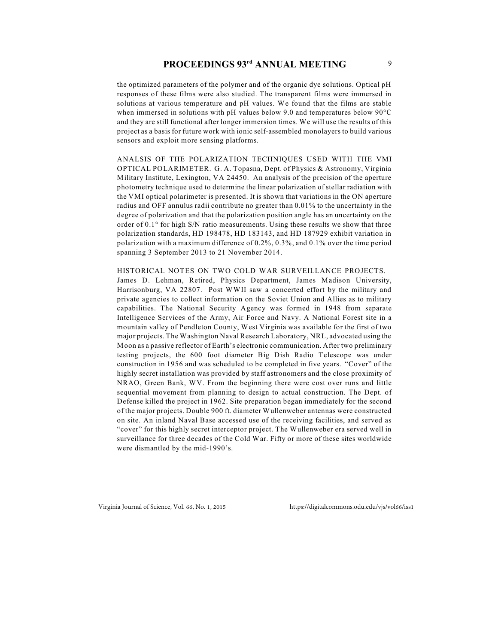# **PROCEEDINGS 93<sup>rd</sup> ANNUAL MEETING** 9

the optimized parameters of the polymer and of the organic dye solutions. Optical pH responses of these films were also studied. The transparent films were immersed in solutions at various temperature and pH values. We found that the films are stable when immersed in solutions with pH values below 9.0 and temperatures below 90°C and they are still functional after longer immersion times. We will use the results of this project as a basis for future work with ionic self-assembled monolayers to build various sensors and exploit more sensing platforms.

ANALSIS OF THE POLARIZATION TECHNIQUES USED WITH THE VMI OPTICAL POLARIMETER. G. A. Topasna, Dept. of Physics & Astronomy, Virginia Military Institute, Lexington, VA 24450. An analysis of the precision of the aperture photometry technique used to determine the linear polarization of stellar radiation with the VMI optical polarimeter is presented. It is shown that variations in the ON aperture radius and OFF annulus radii contribute no greater than 0.01% to the uncertainty in the degree of polarization and that the polarization position angle has an uncertainty on the order of  $0.1^\circ$  for high S/N ratio measurements. Using these results we show that three polarization standards, HD 198478, HD 183143, and HD 187929 exhibit variation in polarization with a maximum difference of 0.2%, 0.3%, and 0.1% over the time period spanning 3 September 2013 to 21 November 2014.

#### HISTORICAL NOTES ON TWO COLD WAR SURVEILLANCE PROJECTS.

James D. Lehman, Retired, Physics Department, James Madison University, Harrisonburg, VA 22807. Post WWII saw a concerted effort by the military and private agencies to collect information on the Soviet Union and Allies as to military capabilities. The National Security Agency was formed in 1948 from separate Intelligence Services of the Army, Air Force and Navy. A National Forest site in a mountain valley of Pendleton County, West Virginia was available for the first of two major projects. The Washington Naval Research Laboratory, NRL, advocated using the Moon as a passive reflector of Earth's electronic communication. After two preliminary testing projects, the 600 foot diameter Big Dish Radio Telescope was under construction in 1956 and was scheduled to be completed in five years. "Cover" of the highly secret installation was provided by staff astronomers and the close proximity of NRAO, Green Bank, WV. From the beginning there were cost over runs and little sequential movement from planning to design to actual construction. The Dept. of Defense killed the project in 1962. Site preparation began immediately for the second of the major projects. Double 900 ft. diameter Wullenweber antennas were constructed on site. An inland Naval Base accessed use of the receiving facilities, and served as "cover" for this highly secret interceptor project. The Wullenweber era served well in surveillance for three decades of the Cold War. Fifty or more of these sites worldwide were dismantled by the mid-1990's.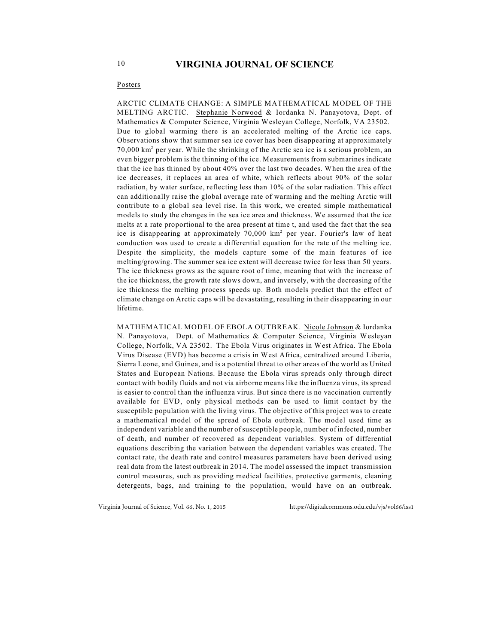#### Posters

ARCTIC CLIMATE CHANGE: A SIMPLE MATHEMATICAL MODEL OF THE MELTING ARCTIC. Stephanie Norwood & Iordanka N. Panayotova, Dept. of Mathematics & Computer Science, Virginia Wesleyan College, Norfolk, VA 23502. Due to global warming there is an accelerated melting of the Arctic ice caps. Observations show that summer sea ice cover has been disappearing at approximately  $70,000$  km<sup>2</sup> per year. While the shrinking of the Arctic sea ice is a serious problem, an even bigger problem is the thinning of the ice. Measurements from submarines indicate that the ice has thinned by about 40% over the last two decades. When the area of the ice decreases, it replaces an area of white, which reflects about 90% of the solar radiation, by water surface, reflecting less than 10% of the solar radiation. This effect can additionally raise the global average rate of warming and the melting Arctic will contribute to a global sea level rise. In this work, we created simple mathematical models to study the changes in the sea ice area and thickness. We assumed that the ice melts at a rate proportional to the area present at time t, and used the fact that the sea ice is disappearing at approximately  $70,000 \text{ km}^2$  per year. Fourier's law of heat conduction was used to create a differential equation for the rate of the melting ice. Despite the simplicity, the models capture some of the main features of ice melting/growing. The summer sea ice extent will decrease twice for less than 50 years. The ice thickness grows as the square root of time, meaning that with the increase of the ice thickness, the growth rate slows down, and inversely, with the decreasing of the ice thickness the melting process speeds up. Both models predict that the effect of climate change on Arctic caps will be devastating, resulting in their disappearing in our lifetime.

MATHEMATICAL MODEL OF EBOLA OUTBREAK. Nicole Johnson & Iordanka N. Panayotova, Dept. of Mathematics & Computer Science, Virginia Wesleyan College, Norfolk, VA 23502. The Ebola Virus originates in West Africa. The Ebola Virus Disease (EVD) has become a crisis in West Africa, centralized around Liberia, Sierra Leone, and Guinea, and is a potential threat to other areas of the world as United States and European Nations. Because the Ebola virus spreads only through direct contact with bodily fluids and not via airborne means like the influenza virus, its spread is easier to control than the influenza virus. But since there is no vaccination currently available for EVD, only physical methods can be used to limit contact by the susceptible population with the living virus. The objective of this project was to create a mathematical model of the spread of Ebola outbreak. The model used time as independent variable and the number of susceptible people, number of infected, number of death, and number of recovered as dependent variables. System of differential equations describing the variation between the dependent variables was created. The contact rate, the death rate and control measures parameters have been derived using real data from the latest outbreak in 2014. The model assessed the impact transmission control measures, such as providing medical facilities, protective garments, cleaning detergents, bags, and training to the population, would have on an outbreak.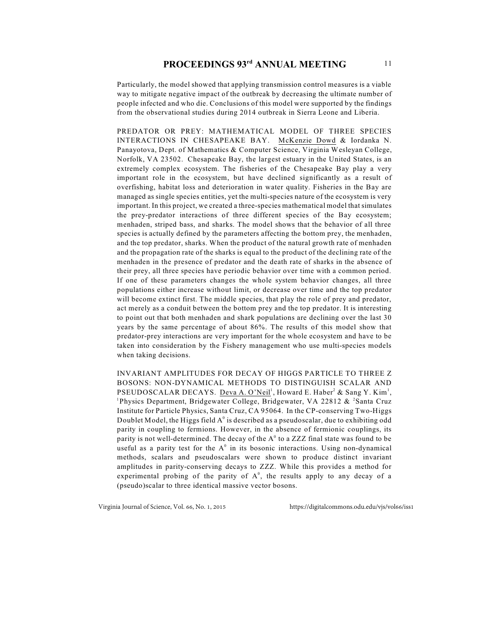Particularly, the model showed that applying transmission control measures is a viable way to mitigate negative impact of the outbreak by decreasing the ultimate number of people infected and who die. Conclusions of this model were supported by the findings from the observational studies during 2014 outbreak in Sierra Leone and Liberia.

PREDATOR OR PREY: MATHEMATICAL MODEL OF THREE SPECIES INTERACTIONS IN CHESAPEAKE BAY. McKenzie Dowd & Iordanka N. Panayotova, Dept. of Mathematics & Computer Science, Virginia Wesleyan College, Norfolk, VA 23502. Chesapeake Bay, the largest estuary in the United States, is an extremely complex ecosystem. The fisheries of the Chesapeake Bay play a very important role in the ecosystem, but have declined significantly as a result of overfishing, habitat loss and deterioration in water quality. Fisheries in the Bay are managed as single species entities, yet the multi-species nature of the ecosystem is very important. In this project, we created a three-species mathematical model that simulates the prey-predator interactions of three different species of the Bay ecosystem; menhaden, striped bass, and sharks. The model shows that the behavior of all three species is actually defined by the parameters affecting the bottom prey, the menhaden, and the top predator, sharks. When the product of the natural growth rate of menhaden and the propagation rate of the sharks is equal to the product of the declining rate of the menhaden in the presence of predator and the death rate of sharks in the absence of their prey, all three species have periodic behavior over time with a common period. If one of these parameters changes the whole system behavior changes, all three populations either increase without limit, or decrease over time and the top predator will become extinct first. The middle species, that play the role of prey and predator, act merely as a conduit between the bottom prey and the top predator. It is interesting to point out that both menhaden and shark populations are declining over the last 30 years by the same percentage of about 86%. The results of this model show that predator-prey interactions are very important for the whole ecosystem and have to be taken into consideration by the Fishery management who use multi-species models when taking decisions.

INVARIANT AMPLITUDES FOR DECAY OF HIGGS PARTICLE TO THREE Z BOSONS: NON-DYNAMICAL METHODS TO DISTINGUISH SCALAR AND PSEUDOSCALAR DECAYS. Deva A. O'Neil<sup>1</sup>, Howard E. Haber<sup>2</sup> & Sang Y. Kim<sup>1</sup>, <sup>1</sup>Physics Department, Bridgewater College, Bridgewater, VA 22812  $\&$  <sup>2</sup>Santa Cruz Institute for Particle Physics, Santa Cruz, CA 95064. In the CP-conserving Two-Higgs Doublet Model, the Higgs field  $A^0$  is described as a pseudoscalar, due to exhibiting odd parity in coupling to fermions. However, in the absence of fermionic couplings, its parity is not well-determined. The decay of the  $A<sup>0</sup>$  to a ZZZ final state was found to be useful as a parity test for the  $A^0$  in its bosonic interactions. Using non-dynamical methods, scalars and pseudoscalars were shown to produce distinct invariant amplitudes in parity-conserving decays to ZZZ. While this provides a method for experimental probing of the parity of  $A^0$ , the results apply to any decay of a (pseudo)scalar to three identical massive vector bosons.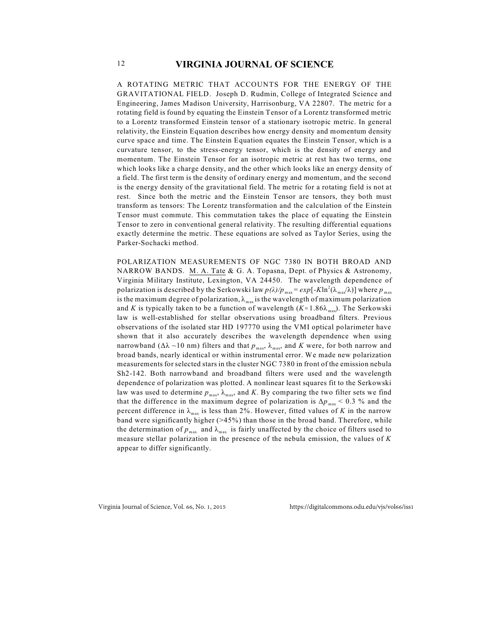A ROTATING METRIC THAT ACCOUNTS FOR THE ENERGY OF THE GRAVITATIONAL FIELD. Joseph D. Rudmin, College of Integrated Science and Engineering, James Madison University, Harrisonburg, VA 22807. The metric for a rotating field is found by equating the Einstein Tensor of a Lorentz transformed metric to a Lorentz transformed Einstein tensor of a stationary isotropic metric. In general relativity, the Einstein Equation describes how energy density and momentum density curve space and time. The Einstein Equation equates the Einstein Tensor, which is a curvature tensor, to the stress-energy tensor, which is the density of energy and momentum. The Einstein Tensor for an isotropic metric at rest has two terms, one which looks like a charge density, and the other which looks like an energy density of a field. The first term is the density of ordinary energy and momentum, and the second is the energy density of the gravitational field. The metric for a rotating field is not at rest. Since both the metric and the Einstein Tensor are tensors, they both must transform as tensors: The Lorentz transformation and the calculation of the Einstein Tensor must commute. This commutation takes the place of equating the Einstein Tensor to zero in conventional general relativity. The resulting differential equations exactly determine the metric. These equations are solved as Taylor Series, using the Parker-Sochacki method.

POLARIZATION MEASUREMENTS OF NGC 7380 IN BOTH BROAD AND NARROW BANDS. M. A. Tate & G. A. Topasna, Dept. of Physics & Astronomy, Virginia Military Institute, Lexington, VA 24450. The wavelength dependence of polarization is described by the Serkowski law  $p(\lambda)/p_{\max} = exp[-K ln^2(\lambda_{\max}/\lambda)]$  where  $p_{\max}$ is the maximum degree of polarization,  $\lambda_{\text{max}}$  is the wavelength of maximum polarization and *K* is typically taken to be a function of wavelength  $(K \approx 1.86\lambda_{\text{max}})$ . The Serkowski law is well-established for stellar observations using broadband filters. Previous observations of the isolated star HD 197770 using the VMI optical polarimeter have shown that it also accurately describes the wavelength dependence when using narrowband ( $\Delta\lambda \sim 10$  nm) filters and that  $p_{\text{max}}$ ,  $\lambda_{\text{max}}$ , and *K* were, for both narrow and broad bands, nearly identical or within instrumental error. We made new polarization measurements for selected stars in the cluster NGC 7380 in front of the emission nebula Sh2-142. Both narrowband and broadband filters were used and the wavelength dependence of polarization was plotted. A nonlinear least squares fit to the Serkowski law was used to determine  $p_{\text{max}}$ ,  $\lambda_{\text{max}}$ , and *K*. By comparing the two filter sets we find that the difference in the maximum degree of polarization is  $\Delta p_{\text{max}} < 0.3$  % and the percent difference in  $\lambda_{\text{max}}$  is less than 2%. However, fitted values of *K* in the narrow band were significantly higher (>45%) than those in the broad band. Therefore, while the determination of  $p_{\text{max}}$  and  $\lambda_{\text{max}}$  is fairly unaffected by the choice of filters used to measure stellar polarization in the presence of the nebula emission, the values of *K* appear to differ significantly.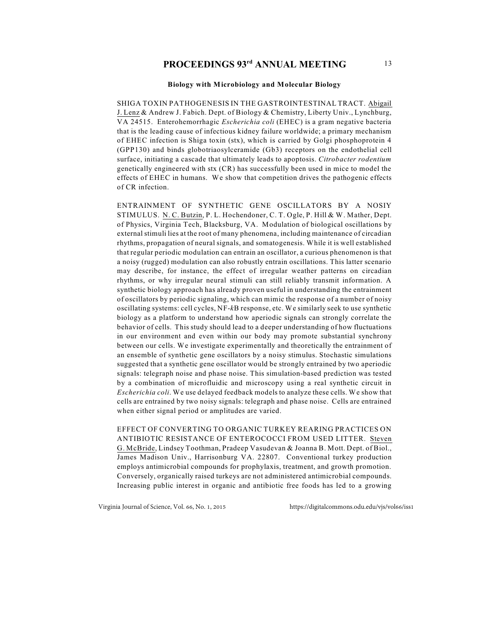#### **Biology with Microbiology and Molecular Biology**

SHIGA TOXIN PATHOGENESIS IN THE GASTROINTESTINAL TRACT. Abigail J. Lenz & Andrew J. Fabich. Dept. of Biology & Chemistry, Liberty Univ., Lynchburg, VA 24515. Enterohemorrhagic *Escherichia coli* (EHEC) is a gram negative bacteria that is the leading cause of infectious kidney failure worldwide; a primary mechanism of EHEC infection is Shiga toxin (stx), which is carried by Golgi phosphoprotein 4 (GPP130) and binds globotriaosylceramide (Gb3) receptors on the endothelial cell surface, initiating a cascade that ultimately leads to apoptosis. *Citrobacter rodentium* genetically engineered with stx (CR) has successfully been used in mice to model the effects of EHEC in humans. We show that competition drives the pathogenic effects of CR infection.

ENTRAINMENT OF SYNTHETIC GENE OSCILLATORS BY A NOSIY STIMULUS. N. C. Butzin, P. L. Hochendoner, C. T. Ogle, P. Hill & W. Mather, Dept. of Physics, Virginia Tech, Blacksburg, VA. Modulation of biological oscillations by external stimuli lies at the root of many phenomena, including maintenance of circadian rhythms, propagation of neural signals, and somatogenesis. While it is well established that regular periodic modulation can entrain an oscillator, a curious phenomenon is that a noisy (rugged) modulation can also robustly entrain oscillations. This latter scenario may describe, for instance, the effect of irregular weather patterns on circadian rhythms, or why irregular neural stimuli can still reliably transmit information. A synthetic biology approach has already proven useful in understanding the entrainment of oscillators by periodic signaling, which can mimic the response of a number of noisy oscillating systems: cell cycles, NF-*k*B response, etc. We similarly seek to use synthetic biology as a platform to understand how aperiodic signals can strongly correlate the behavior of cells. This study should lead to a deeper understanding of how fluctuations in our environment and even within our body may promote substantial synchrony between our cells. We investigate experimentally and theoretically the entrainment of an ensemble of synthetic gene oscillators by a noisy stimulus. Stochastic simulations suggested that a synthetic gene oscillator would be strongly entrained by two aperiodic signals: telegraph noise and phase noise. This simulation-based prediction was tested by a combination of microfluidic and microscopy using a real synthetic circuit in *Escherichia coli*. We use delayed feedback models to analyze these cells. We show that cells are entrained by two noisy signals: telegraph and phase noise. Cells are entrained when either signal period or amplitudes are varied.

EFFECT OF CONVERTING TO ORGANIC TURKEY REARING PRACTICES ON ANTIBIOTIC RESISTANCE OF ENTEROCOCCI FROM USED LITTER. Steven G. McBride, Lindsey Toothman, Pradeep Vasudevan & Joanna B. Mott. Dept. of Biol., James Madison Univ., Harrisonburg VA. 22807. Conventional turkey production employs antimicrobial compounds for prophylaxis, treatment, and growth promotion. Conversely, organically raised turkeys are not administered antimicrobial compounds. Increasing public interest in organic and antibiotic free foods has led to a growing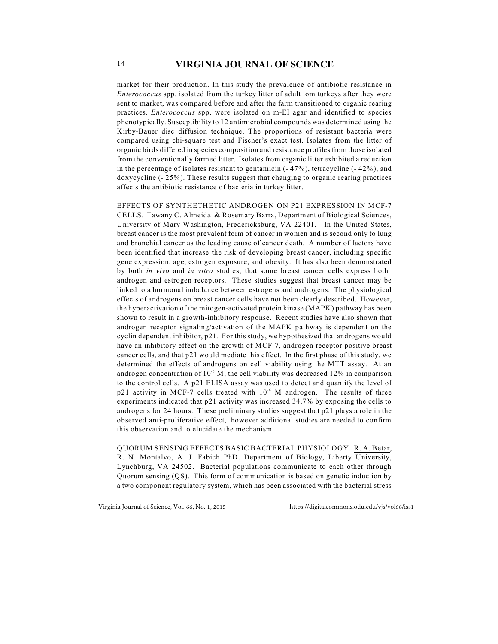market for their production. In this study the prevalence of antibiotic resistance in *Enterococcus* spp. isolated from the turkey litter of adult tom turkeys after they were sent to market, was compared before and after the farm transitioned to organic rearing practices. *Enterococcus* spp. were isolated on m-EI agar and identified to species phenotypically. Susceptibility to 12 antimicrobial compounds was determined using the Kirby-Bauer disc diffusion technique. The proportions of resistant bacteria were compared using chi-square test and Fischer's exact test. Isolates from the litter of organic birds differed in species composition and resistance profiles from those isolated from the conventionally farmed litter. Isolates from organic litter exhibited a reduction in the percentage of isolates resistant to gentamicin  $(-47%)$ , tetracycline  $(-42%)$ , and doxycycline (- 25%). These results suggest that changing to organic rearing practices affects the antibiotic resistance of bacteria in turkey litter.

EFFECTS OF SYNTHETHETIC ANDROGEN ON P21 EXPRESSION IN MCF-7 CELLS. Tawany C. Almeida & Rosemary Barra, Department of Biological Sciences, University of Mary Washington, Fredericksburg, VA 22401. In the United States, breast cancer is the most prevalent form of cancer in women and is second only to lung and bronchial cancer as the leading cause of cancer death. A number of factors have been identified that increase the risk of developing breast cancer, including specific gene expression, age, estrogen exposure, and obesity. It has also been demonstrated by both *in vivo* and *in vitro* studies, that some breast cancer cells express both androgen and estrogen receptors. These studies suggest that breast cancer may be linked to a hormonal imbalance between estrogens and androgens. The physiological effects of androgens on breast cancer cells have not been clearly described. However, the hyperactivation of the mitogen-activated protein kinase (MAPK) pathway has been shown to result in a growth-inhibitory response. Recent studies have also shown that androgen receptor signaling/activation of the MAPK pathway is dependent on the cyclin dependent inhibitor, p21. For this study, we hypothesized that androgens would have an inhibitory effect on the growth of MCF-7, androgen receptor positive breast cancer cells, and that p21 would mediate this effect. In the first phase of this study, we determined the effects of androgens on cell viability using the MTT assay. At an androgen concentration of  $10^{-6}$  M, the cell viability was decreased 12% in comparison to the control cells. A p21 ELISA assay was used to detect and quantify the level of p21 activity in MCF-7 cells treated with  $10^{-6}$  M androgen. The results of three experiments indicated that p21 activity was increased 34.7% by exposing the cells to androgens for 24 hours. These preliminary studies suggest that p21 plays a role in the observed anti-proliferative effect, however additional studies are needed to confirm this observation and to elucidate the mechanism.

QUORUM SENSING EFFECTS BASIC BACTERIAL PHYSIOLOGY. R. A. Betar, R. N. Montalvo, A. J. Fabich PhD. Department of Biology, Liberty University, Lynchburg, VA 24502. Bacterial populations communicate to each other through Quorum sensing (QS). This form of communication is based on genetic induction by a two component regulatory system, which has been associated with the bacterial stress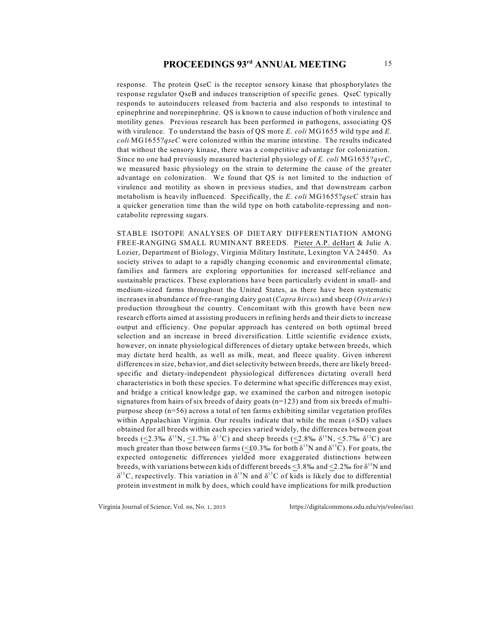response. The protein QseC is the receptor sensory kinase that phosphorylates the response regulator QseB and induces transcription of specific genes. QseC typically responds to autoinducers released from bacteria and also responds to intestinal to epinephrine and norepinephrine. QS is known to cause induction of both virulence and motility genes. Previous research has been performed in pathogens, associating QS with virulence. To understand the basis of QS more *E. coli* MG1655 wild type and *E. coli* MG1655?*qseC* were colonized within the murine intestine. The results indicated that without the sensory kinase, there was a competitive advantage for colonization. Since no one had previously measured bacterial physiology of *E. coli* MG1655?*qseC*, we measured basic physiology on the strain to determine the cause of the greater advantage on colonization. We found that QS is not limited to the induction of virulence and motility as shown in previous studies, and that downstream carbon metabolism is heavily influenced. Specifically, the *E. coli* MG1655?*qseC* strain has a quicker generation time than the wild type on both catabolite-repressing and noncatabolite repressing sugars.

STABLE ISOTOPE ANALYSES OF DIETARY DIFFERENTIATION AMONG FREE-RANGING SMALL RUMINANT BREEDS. Pieter A.P. deHart & Julie A. Lozier, Department of Biology, Virginia Military Institute, Lexington VA 24450. As society strives to adapt to a rapidly changing economic and environmental climate, families and farmers are exploring opportunities for increased self-reliance and sustainable practices. These explorations have been particularly evident in small- and medium-sized farms throughout the United States, as there have been systematic increases in abundance of free-ranging dairy goat (*Capra hircus*) and sheep (*Ovis aries*) production throughout the country. Concomitant with this growth have been new research efforts aimed at assisting producers in refining herds and their diets to increase output and efficiency. One popular approach has centered on both optimal breed selection and an increase in breed diversification. Little scientific evidence exists, however, on innate physiological differences of dietary uptake between breeds, which may dictate herd health, as well as milk, meat, and fleece quality. Given inherent differences in size, behavior, and diet selectivity between breeds, there are likely breedspecific and dietary-independent physiological differences dictating overall herd characteristics in both these species. To determine what specific differences may exist, and bridge a critical knowledge gap, we examined the carbon and nitrogen isotopic signatures from hairs of six breeds of dairy goats  $(n=123)$  and from six breeds of multipurpose sheep (n=56) across a total of ten farms exhibiting similar vegetation profiles within Appalachian Virginia. Our results indicate that while the mean  $(\pm SD)$  values obtained for all breeds within each species varied widely, the differences between goat breeds (<2.3‰  $\delta^{15}N$ , <1.7‰  $\delta^{13}C$ ) and sheep breeds (<2.8‰  $\delta^{15}N$ , <5.7‰  $\delta^{13}C$ ) are much greater than those between farms (<£0.3‰ for both  $\delta^{15}N$  and  $\delta^{13}C$ ). For goats, the expected ontogenetic differences yielded more exaggerated distinctions between breeds, with variations between kids of different breeds <3.8‰ and <2.2‰ for  $\delta^{15}N$  and  $\delta^{13}$ C, respectively. This variation in  $\delta^{15}$ N and  $\delta^{13}$ C of kids is likely due to differential protein investment in milk by does, which could have implications for milk production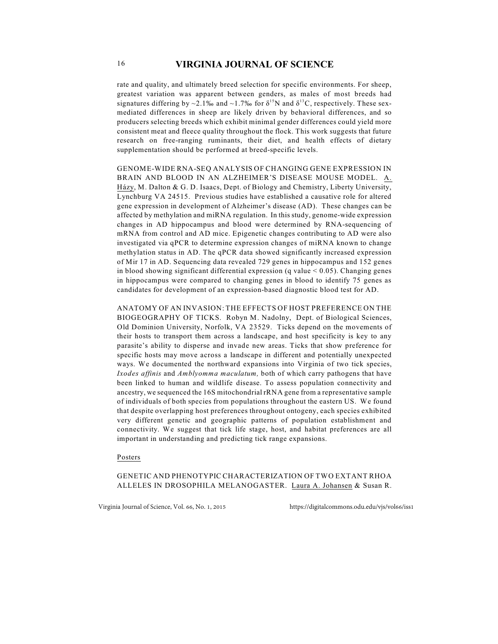rate and quality, and ultimately breed selection for specific environments. For sheep, greatest variation was apparent between genders, as males of most breeds had signatures differing by ~2.1‰ and ~1.7‰ for  $\delta^{15}N$  and  $\delta^{13}C$ , respectively. These sexmediated differences in sheep are likely driven by behavioral differences, and so producers selecting breeds which exhibit minimal gender differences could yield more consistent meat and fleece quality throughout the flock. This work suggests that future research on free-ranging ruminants, their diet, and health effects of dietary supplementation should be performed at breed-specific levels.

GENOME-WIDE RNA-SEQ ANALYSIS OF CHANGING GENE EXPRESSION IN BRAIN AND BLOOD IN AN ALZHEIMER'S DISEASE MOUSE MODEL. A. Házy, M. Dalton & G. D. Isaacs, Dept. of Biology and Chemistry, Liberty University, Lynchburg VA 24515. Previous studies have established a causative role for altered gene expression in development of Alzheimer's disease (AD). These changes can be affected by methylation and miRNA regulation. In this study, genome-wide expression changes in AD hippocampus and blood were determined by RNA-sequencing of mRNA from control and AD mice. Epigenetic changes contributing to AD were also investigated via qPCR to determine expression changes of miRNA known to change methylation status in AD. The qPCR data showed significantly increased expression of Mir 17 in AD. Sequencing data revealed 729 genes in hippocampus and 152 genes in blood showing significant differential expression (q value  $< 0.05$ ). Changing genes in hippocampus were compared to changing genes in blood to identify 75 genes as candidates for development of an expression-based diagnostic blood test for AD.

ANATOMY OF AN INVASION: THE EFFECTS OF HOST PREFERENCE ON THE BIOGEOGRAPHY OF TICKS. Robyn M. Nadolny, Dept. of Biological Sciences, Old Dominion University, Norfolk, VA 23529. Ticks depend on the movements of their hosts to transport them across a landscape, and host specificity is key to any parasite's ability to disperse and invade new areas. Ticks that show preference for specific hosts may move across a landscape in different and potentially unexpected ways. We documented the northward expansions into Virginia of two tick species, *Ixodes affinis* and *Amblyomma maculatum,* both of which carry pathogens that have been linked to human and wildlife disease. To assess population connectivity and ancestry, we sequenced the 16S mitochondrial rRNA gene from a representative sample of individuals of both species from populations throughout the eastern US. We found that despite overlapping host preferences throughout ontogeny, each species exhibited very different genetic and geographic patterns of population establishment and connectivity. We suggest that tick life stage, host, and habitat preferences are all important in understanding and predicting tick range expansions.

#### Posters

GENETIC AND PHENOTYPIC CHARACTERIZATION OF TWO EXTANT RHOA ALLELES IN DROSOPHILA MELANOGASTER. Laura A. Johansen & Susan R.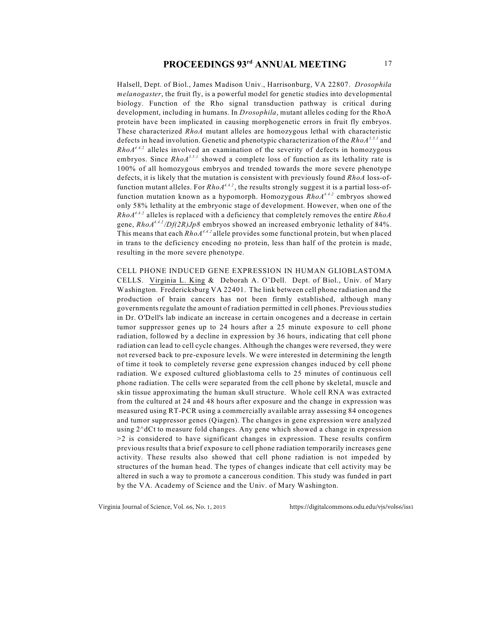Halsell, Dept. of Biol., James Madison Univ., Harrisonburg, VA 22807. *Drosophila melanogaster*, the fruit fly, is a powerful model for genetic studies into developmental biology. Function of the Rho signal transduction pathway is critical during development, including in humans. In *Drosophila*, mutant alleles coding for the RhoA protein have been implicated in causing morphogenetic errors in fruit fly embryos. These characterized *RhoA* mutant alleles are homozygous lethal with characteristic defects in head involution. Genetic and phenotypic characterization of the *RhoA*<sup>3.5.1</sup> and  $Rhod<sup>4.4.2</sup>$  alleles involved an examination of the severity of defects in homozygous embryos. Since  $Rhod^{3.5.1}$  showed a complete loss of function as its lethality rate is 100% of all homozygous embryos and trended towards the more severe phenotype defects, it is likely that the mutation is consistent with previously found *RhoA* loss-offunction mutant alleles. For  $RhoA^{4,4,2}$ , the results strongly suggest it is a partial loss-offunction mutation known as a hypomorph. Homozygous  $RhoA^{4,4,2}$  embryos showed only 58% lethality at the embryonic stage of development. However, when one of the  $RhoA<sup>4.4.2</sup>$  alleles is replaced with a deficiency that completely removes the entire  $RhoA$ gene,  $RhoA^{4.4.2}/Df(2R)Jp8$  embryos showed an increased embryonic lethality of 84%. This means that each *RhoA<sup>4.4.2</sup>* allele provides some functional protein, but when placed in trans to the deficiency encoding no protein, less than half of the protein is made, resulting in the more severe phenotype.

CELL PHONE INDUCED GENE EXPRESSION IN HUMAN GLIOBLASTOMA CELLS. Virginia L. King & Deborah A. O'Dell. Dept. of Biol., Univ. of Mary Washington. Fredericksburg VA 22401. The link between cell phone radiation and the production of brain cancers has not been firmly established, although many governments regulate the amount of radiation permitted in cell phones. Previous studies in Dr. O'Dell's lab indicate an increase in certain oncogenes and a decrease in certain tumor suppressor genes up to 24 hours after a 25 minute exposure to cell phone radiation, followed by a decline in expression by 36 hours, indicating that cell phone radiation can lead to cell cycle changes. Although the changes were reversed, they were not reversed back to pre-exposure levels. We were interested in determining the length of time it took to completely reverse gene expression changes induced by cell phone radiation. We exposed cultured glioblastoma cells to 25 minutes of continuous cell phone radiation. The cells were separated from the cell phone by skeletal, muscle and skin tissue approximating the human skull structure. Whole cell RNA was extracted from the cultured at 24 and 48 hours after exposure and the change in expression was measured using RT-PCR using a commercially available array assessing 84 oncogenes and tumor suppressor genes (Qiagen). The changes in gene expression were analyzed using  $2^{\wedge}dC$ t to measure fold changes. Any gene which showed a change in expression >2 is considered to have significant changes in expression. These results confirm previous results that a brief exposure to cell phone radiation temporarily increases gene activity. These results also showed that cell phone radiation is not impeded by structures of the human head. The types of changes indicate that cell activity may be altered in such a way to promote a cancerous condition. This study was funded in part by the VA. Academy of Science and the Univ. of Mary Washington.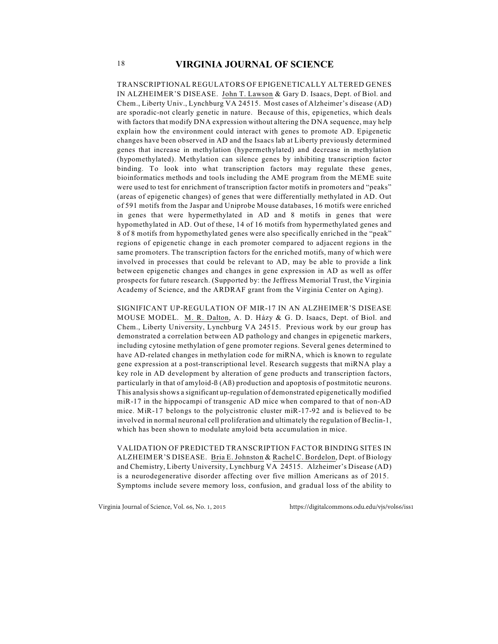TRANSCRIPTIONAL REGULATORS OF EPIGENETICALLY ALTERED GENES IN ALZHEIMER'S DISEASE. John T. Lawson & Gary D. Isaacs, Dept. of Biol. and Chem., Liberty Univ., Lynchburg VA 24515. Most cases of Alzheimer's disease (AD) are sporadic-not clearly genetic in nature. Because of this, epigenetics, which deals with factors that modify DNA expression without altering the DNA sequence, may help explain how the environment could interact with genes to promote AD. Epigenetic changes have been observed in AD and the Isaacs lab at Liberty previously determined genes that increase in methylation (hypermethylated) and decrease in methylation (hypomethylated). Methylation can silence genes by inhibiting transcription factor binding. To look into what transcription factors may regulate these genes, bioinformatics methods and tools including the AME program from the MEME suite were used to test for enrichment of transcription factor motifs in promoters and "peaks" (areas of epigenetic changes) of genes that were differentially methylated in AD. Out of 591 motifs from the Jaspar and Uniprobe Mouse databases, 16 motifs were enriched in genes that were hypermethylated in AD and 8 motifs in genes that were hypomethylated in AD. Out of these, 14 of 16 motifs from hypermethylated genes and 8 of 8 motifs from hypomethylated genes were also specifically enriched in the "peak" regions of epigenetic change in each promoter compared to adjacent regions in the same promoters. The transcription factors for the enriched motifs, many of which were involved in processes that could be relevant to AD, may be able to provide a link between epigenetic changes and changes in gene expression in AD as well as offer prospects for future research. (Supported by: the Jeffress Memorial Trust, the Virginia Academy of Science, and the ARDRAF grant from the Virginia Center on Aging).

SIGNIFICANT UP-REGULATION OF MIR-17 IN AN ALZHEIMER'S DISEASE MOUSE MODEL. M. R. Dalton, A. D. Házy & G. D. Isaacs, Dept. of Biol. and Chem., Liberty University, Lynchburg VA 24515. Previous work by our group has demonstrated a correlation between AD pathology and changes in epigenetic markers, including cytosine methylation of gene promoter regions. Several genes determined to have AD-related changes in methylation code for miRNA, which is known to regulate gene expression at a post-transcriptional level. Research suggests that miRNA play a key role in AD development by alteration of gene products and transcription factors, particularly in that of amyloid-ß (Aß) production and apoptosis of postmitotic neurons. This analysis shows a significant up-regulation of demonstrated epigenetically modified miR-17 in the hippocampi of transgenic AD mice when compared to that of non-AD mice. MiR-17 belongs to the polycistronic cluster miR-17-92 and is believed to be involved in normal neuronal cell proliferation and ultimately the regulation of Beclin-1, which has been shown to modulate amyloid beta accumulation in mice.

VALIDATION OF PREDICTED TRANSCRIPTION FACTOR BINDING SITES IN ALZHEIMER'S DISEASE. Bria E. Johnston & Rachel C. Bordelon, Dept. of Biology and Chemistry, Liberty University, Lynchburg VA 24515. Alzheimer's Disease (AD) is a neurodegenerative disorder affecting over five million Americans as of 2015. Symptoms include severe memory loss, confusion, and gradual loss of the ability to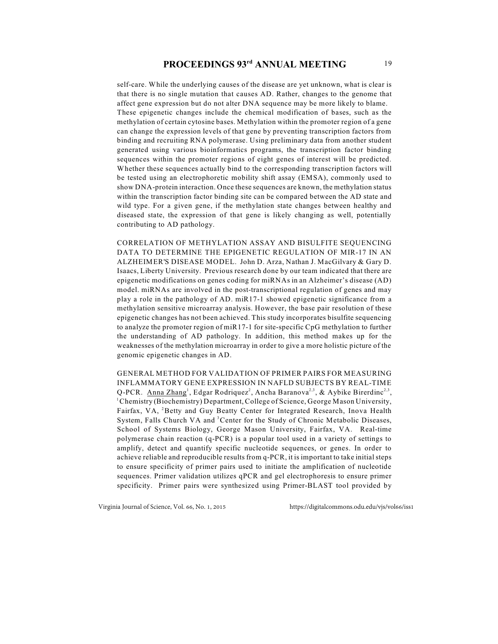# **PROCEEDINGS 93<sup>rd</sup> ANNUAL MEETING** 19

self-care. While the underlying causes of the disease are yet unknown, what is clear is that there is no single mutation that causes AD. Rather, changes to the genome that affect gene expression but do not alter DNA sequence may be more likely to blame. These epigenetic changes include the chemical modification of bases, such as the methylation of certain cytosine bases. Methylation within the promoter region of a gene can change the expression levels of that gene by preventing transcription factors from binding and recruiting RNA polymerase. Using preliminary data from another student generated using various bioinformatics programs, the transcription factor binding sequences within the promoter regions of eight genes of interest will be predicted. Whether these sequences actually bind to the corresponding transcription factors will be tested using an electrophoretic mobility shift assay (EMSA), commonly used to show DNA-protein interaction. Once these sequences are known, the methylation status within the transcription factor binding site can be compared between the AD state and wild type. For a given gene, if the methylation state changes between healthy and diseased state, the expression of that gene is likely changing as well, potentially contributing to AD pathology.

CORRELATION OF METHYLATION ASSAY AND BISULFITE SEQUENCING DATA TO DETERMINE THE EPIGENETIC REGULATION OF MIR-17 IN AN ALZHEIMER'S DISEASE MODEL. John D. Arza, Nathan J. MacGilvary & Gary D. Isaacs, Liberty University. Previous research done by our team indicated that there are epigenetic modifications on genes coding for miRNAs in an Alzheimer's disease (AD) model. miRNAs are involved in the post-transcriptional regulation of genes and may play a role in the pathology of AD. miR17-1 showed epigenetic significance from a methylation sensitive microarray analysis. However, the base pair resolution of these epigenetic changes has not been achieved. This study incorporates bisulfite sequencing to analyze the promoter region of miR17-1 for site-specific CpG methylation to further the understanding of AD pathology. In addition, this method makes up for the weaknesses of the methylation microarray in order to give a more holistic picture of the genomic epigenetic changes in AD.

GENERAL METHOD FOR VALIDATION OF PRIMER PAIRS FOR MEASURING INFLAMMATORY GENE EXPRESSION IN NAFLD SUBJECTS BY REAL-TIME Q-PCR. Anna Zhang<sup>1</sup>, Edgar Rodriquez<sup>2</sup>, Ancha Baranova<sup>2,3</sup>, & Aybike Birerdinc<sup>2,3</sup>,  $^1$ Chemistry (Biochemistry) Department, College of Science, George Mason University, Fairfax, VA, <sup>2</sup>Betty and Guy Beatty Center for Integrated Research, Inova Health System, Falls Church VA and <sup>3</sup> Center for the Study of Chronic Metabolic Diseases, School of Systems Biology, George Mason University, Fairfax, VA. Real-time polymerase chain reaction (q-PCR) is a popular tool used in a variety of settings to amplify, detect and quantify specific nucleotide sequences, or genes. In order to achieve reliable and reproducible results from q-PCR, it is important to take initial steps to ensure specificity of primer pairs used to initiate the amplification of nucleotide sequences. Primer validation utilizes qPCR and gel electrophoresis to ensure primer specificity. Primer pairs were synthesized using Primer-BLAST tool provided by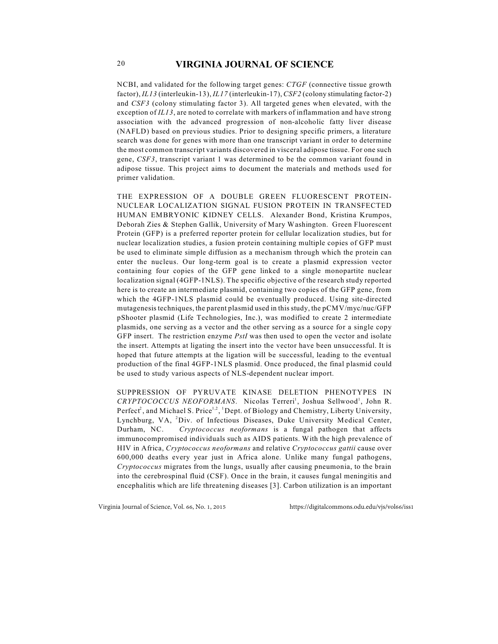NCBI, and validated for the following target genes: *CTGF* (connective tissue growth factor), *IL13* (interleukin-13), *IL17* (interleukin-17), *CSF2* (colony stimulating factor-2) and *CSF3* (colony stimulating factor 3). All targeted genes when elevated, with the exception of *IL13*, are noted to correlate with markers of inflammation and have strong association with the advanced progression of non-alcoholic fatty liver disease (NAFLD) based on previous studies. Prior to designing specific primers, a literature search was done for genes with more than one transcript variant in order to determine the most common transcript variants discovered in visceral adipose tissue. For one such gene, *CSF3*, transcript variant 1 was determined to be the common variant found in adipose tissue. This project aims to document the materials and methods used for primer validation.

THE EXPRESSION OF A DOUBLE GREEN FLUORESCENT PROTEIN-NUCLEAR LOCALIZATION SIGNAL FUSION PROTEIN IN TRANSFECTED HUMAN EMBRYONIC KIDNEY CELLS. Alexander Bond, Kristina Krumpos, Deborah Zies & Stephen Gallik, University of Mary Washington. Green Fluorescent Protein (GFP) is a preferred reporter protein for cellular localization studies, but for nuclear localization studies, a fusion protein containing multiple copies of GFP must be used to eliminate simple diffusion as a mechanism through which the protein can enter the nucleus. Our long-term goal is to create a plasmid expression vector containing four copies of the GFP gene linked to a single monopartite nuclear localization signal (4GFP-1NLS). The specific objective of the research study reported here is to create an intermediate plasmid, containing two copies of the GFP gene, from which the 4GFP-1NLS plasmid could be eventually produced. Using site-directed mutagenesis techniques, the parent plasmid used in this study, the pCMV/myc/nuc/GFP pShooter plasmid (Life Technologies, Inc.), was modified to create 2 intermediate plasmids, one serving as a vector and the other serving as a source for a single copy GFP insert. The restriction enzyme *PstI* was then used to open the vector and isolate the insert. Attempts at ligating the insert into the vector have been unsuccessful. It is hoped that future attempts at the ligation will be successful, leading to the eventual production of the final 4GFP-1NLS plasmid. Once produced, the final plasmid could be used to study various aspects of NLS-dependent nuclear import.

SUPPRESSION OF PYRUVATE KINASE DELETION PHENOTYPES IN *CRYPTOCOCCUS NEOFORMANS*. Nicolas Terreri<sup>1</sup>, Joshua Sellwood<sup>1</sup>, John R. Perfect<sup>2</sup>, and Michael S. Price<sup>1,2</sup>, <sup>1</sup>Dept. of Biology and Chemistry, Liberty University, Lynchburg, VA, <sup>2</sup>Div. of Infectious Diseases, Duke University Medical Center, Durham, NC. *Cryptococcus neoformans* is a fungal pathogen that affects immunocompromised individuals such as AIDS patients. With the high prevalence of HIV in Africa, *Cryptococcus neoformans* and relative *Cryptococcus gattii* cause over 600,000 deaths every year just in Africa alone. Unlike many fungal pathogens, *Cryptococcus* migrates from the lungs, usually after causing pneumonia, to the brain into the cerebrospinal fluid (CSF). Once in the brain, it causes fungal meningitis and encephalitis which are life threatening diseases [3]. Carbon utilization is an important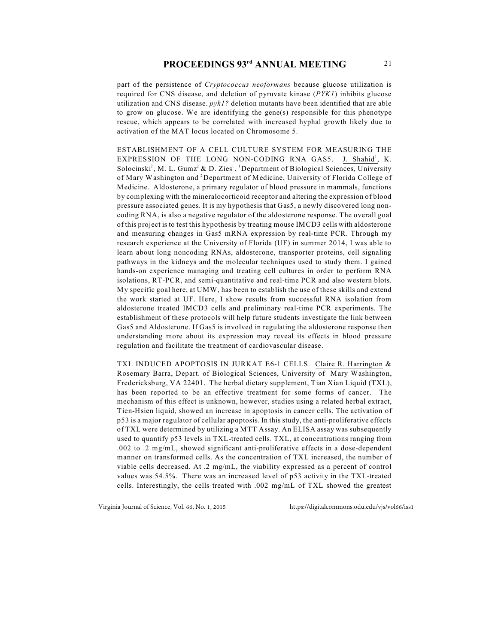part of the persistence of *Cryptococcus neoformans* because glucose utilization is required for CNS disease, and deletion of pyruvate kinase (*PYK1*) inhibits glucose utilization and CNS disease. *pyk1?* deletion mutants have been identified that are able to grow on glucose. We are identifying the gene(s) responsible for this phenotype rescue, which appears to be correlated with increased hyphal growth likely due to activation of the MAT locus located on Chromosome 5.

ESTABLISHMENT OF A CELL CULTURE SYSTEM FOR MEASURING THE EXPRESSION OF THE LONG NON-CODING RNA GAS5. J. Shahid<sup>1</sup>, K. Solocinski<sup>2</sup>, M. L. Gumz<sup>2</sup> & D. Zies<sup>1</sup>, <sup>1</sup>Department of Biological Sciences, University of Mary Washington and <sup>2</sup>Department of Medicine, University of Florida College of Medicine. Aldosterone, a primary regulator of blood pressure in mammals, functions by complexing with the mineralocorticoid receptor and altering the expression of blood pressure associated genes. It is my hypothesis that Gas5, a newly discovered long noncoding RNA, is also a negative regulator of the aldosterone response. The overall goal of this project is to test this hypothesis by treating mouse IMCD3 cells with aldosterone and measuring changes in Gas5 mRNA expression by real-time PCR. Through my research experience at the University of Florida (UF) in summer 2014, I was able to learn about long noncoding RNAs, aldosterone, transporter proteins, cell signaling pathways in the kidneys and the molecular techniques used to study them. I gained hands-on experience managing and treating cell cultures in order to perform RNA isolations, RT-PCR, and semi-quantitative and real-time PCR and also western blots. My specific goal here, at UMW, has been to establish the use of these skills and extend the work started at UF. Here, I show results from successful RNA isolation from aldosterone treated IMCD3 cells and preliminary real-time PCR experiments. The establishment of these protocols will help future students investigate the link between Gas5 and Aldosterone. If Gas5 is involved in regulating the aldosterone response then understanding more about its expression may reveal its effects in blood pressure regulation and facilitate the treatment of cardiovascular disease.

TXL INDUCED APOPTOSIS IN JURKAT E6-1 CELLS. Claire R. Harrington & Rosemary Barra, Depart. of Biological Sciences, University of Mary Washington, Fredericksburg, VA 22401. The herbal dietary supplement, Tian Xian Liquid (TXL), has been reported to be an effective treatment for some forms of cancer. The mechanism of this effect is unknown, however, studies using a related herbal extract, Tien-Hsien liquid, showed an increase in apoptosis in cancer cells. The activation of p53 is a major regulator of cellular apoptosis. In this study, the anti-proliferative effects of TXL were determined by utilizing a MTT Assay. An ELISA assay was subsequently used to quantify p53 levels in TXL-treated cells. TXL, at concentrations ranging from .002 to .2 mg/mL, showed significant anti-proliferative effects in a dose-dependent manner on transformed cells. As the concentration of TXL increased, the number of viable cells decreased. At .2 mg/mL, the viability expressed as a percent of control values was 54.5%. There was an increased level of p53 activity in the TXL-treated cells. Interestingly, the cells treated with .002 mg/mL of TXL showed the greatest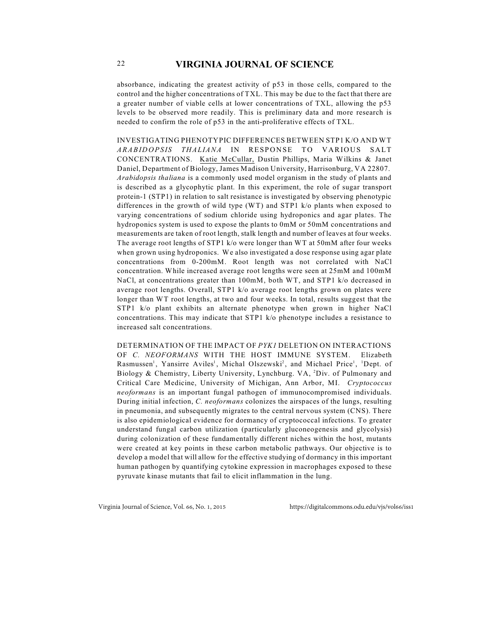absorbance, indicating the greatest activity of p53 in those cells, compared to the control and the higher concentrations of TXL. This may be due to the fact that there are a greater number of viable cells at lower concentrations of TXL, allowing the p53 levels to be observed more readily. This is preliminary data and more research is needed to confirm the role of p53 in the anti-proliferative effects of TXL.

INVESTIGATING PHENOTYPIC DIFFERENCES BETWEEN STP1 K/O AND WT *ARABIDOPSIS THALIANA* IN RESPONSE TO VARIOUS SALT CONCENTRATIONS. Katie McCullar, Dustin Phillips, Maria Wilkins & Janet Daniel, Department of Biology, James Madison University, Harrisonburg, VA 22807. *Arabidopsis thaliana* is a commonly used model organism in the study of plants and is described as a glycophytic plant. In this experiment, the role of sugar transport protein-1 (STP1) in relation to salt resistance is investigated by observing phenotypic differences in the growth of wild type (WT) and STP1 k/o plants when exposed to varying concentrations of sodium chloride using hydroponics and agar plates. The hydroponics system is used to expose the plants to 0mM or 50mM concentrations and measurements are taken of root length, stalk length and number of leaves at four weeks. The average root lengths of STP1 k/o were longer than WT at 50mM after four weeks when grown using hydroponics. We also investigated a dose response using agar plate concentrations from 0-200mM. Root length was not correlated with NaCl concentration. While increased average root lengths were seen at 25mM and 100mM NaCl, at concentrations greater than 100mM, both WT, and STP1 k/o decreased in average root lengths. Overall, STP1 k/o average root lengths grown on plates were longer than WT root lengths, at two and four weeks. In total, results suggest that the STP1 k/o plant exhibits an alternate phenotype when grown in higher NaCl concentrations. This may indicate that STP1 k/o phenotype includes a resistance to increased salt concentrations.

DETERMINATION OF THE IMPACT OF *PYK1* DELETION ON INTERACTIONS OF *C. NEOFORMANS* WITH THE HOST IMMUNE SYSTEM. Elizabeth Rasmussen<sup>1</sup>, Yansirre Aviles<sup>1</sup>, Michal Olszewski<sup>2</sup>, and Michael Price<sup>1</sup>, <sup>1</sup>Dept. of Biology & Chemistry, Liberty University, Lynchburg, VA,  ${}^{2}$ Div. of Pulmonary and Critical Care Medicine, University of Michigan, Ann Arbor, MI. *Cryptococcus neoformans* is an important fungal pathogen of immunocompromised individuals. During initial infection, *C. neoformans* colonizes the airspaces of the lungs, resulting in pneumonia, and subsequently migrates to the central nervous system (CNS). There is also epidemiological evidence for dormancy of cryptococcal infections. To greater understand fungal carbon utilization (particularly gluconeogenesis and glycolysis) during colonization of these fundamentally different niches within the host, mutants were created at key points in these carbon metabolic pathways. Our objective is to develop a model that will allow for the effective studying of dormancy in this important human pathogen by quantifying cytokine expression in macrophages exposed to these pyruvate kinase mutants that fail to elicit inflammation in the lung.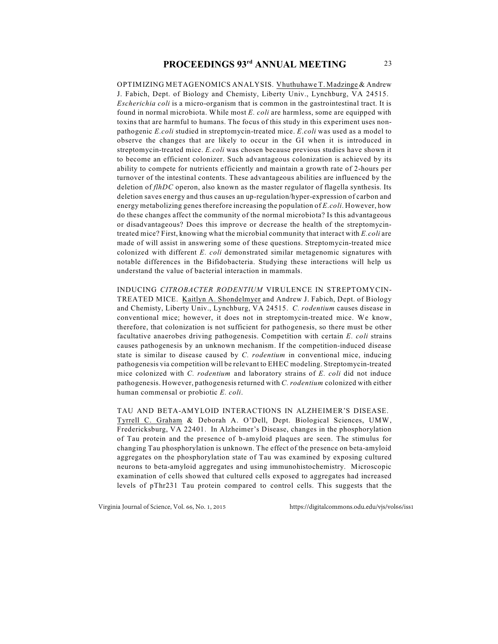OPTIMIZING METAGENOMICS ANALYSIS. Vhuthuhawe T. Madzinge & Andrew J. Fabich, Dept. of Biology and Chemisty, Liberty Univ., Lynchburg, VA 24515. *Escherichia coli* is a micro-organism that is common in the gastrointestinal tract. It is found in normal microbiota. While most *E. coli* are harmless, some are equipped with toxins that are harmful to humans. The focus of this study in this experiment uses nonpathogenic *E.coli* studied in streptomycin-treated mice. *E.coli* was used as a model to observe the changes that are likely to occur in the GI when it is introduced in streptomycin-treated mice. *E.coli* was chosen because previous studies have shown it to become an efficient colonizer. Such advantageous colonization is achieved by its ability to compete for nutrients efficiently and maintain a growth rate of 2-hours per turnover of the intestinal contents. These advantageous abilities are influenced by the deletion of *flhDC* operon, also known as the master regulator of flagella synthesis. Its deletion saves energy and thus causes an up-regulation/hyper-expression of carbon and energy metabolizing genes therefore increasing the population of *E.coli*. However, how do these changes affect the community of the normal microbiota? Is this advantageous or disadvantageous? Does this improve or decrease the health of the streptomycintreated mice? First, knowing what the microbial community that interact with *E.coli* are made of will assist in answering some of these questions. Streptomycin-treated mice colonized with different *E. coli* demonstrated similar metagenomic signatures with notable differences in the Bifidobacteria. Studying these interactions will help us understand the value of bacterial interaction in mammals.

INDUCING *CITROBACTER RODENTIUM* VIRULENCE IN STREPTOMYCIN-TREATED MICE. Kaitlyn A. Shondelmyer and Andrew J. Fabich, Dept. of Biology and Chemisty, Liberty Univ., Lynchburg, VA 24515. *C. rodentium* causes disease in conventional mice; however, it does not in streptomycin-treated mice. We know, therefore, that colonization is not sufficient for pathogenesis, so there must be other facultative anaerobes driving pathogenesis. Competition with certain *E. coli* strains causes pathogenesis by an unknown mechanism. If the competition-induced disease state is similar to disease caused by *C. rodentium* in conventional mice, inducing pathogenesis via competition will be relevant to EHEC modeling. Streptomycin-treated mice colonized with *C. rodentium* and laboratory strains of *E. coli* did not induce pathogenesis. However, pathogenesis returned with *C. rodentium* colonized with either human commensal or probiotic *E. coli*.

TAU AND BETA-AMYLOID INTERACTIONS IN ALZHEIMER'S DISEASE. Tyrrell C. Graham & Deborah A. O'Dell, Dept. Biological Sciences, UMW, Fredericksburg, VA 22401. In Alzheimer's Disease, changes in the phosphorylation of Tau protein and the presence of b-amyloid plaques are seen. The stimulus for changing Tau phosphorylation is unknown. The effect of the presence on beta-amyloid aggregates on the phosphorylation state of Tau was examined by exposing cultured neurons to beta-amyloid aggregates and using immunohistochemistry. Microscopic examination of cells showed that cultured cells exposed to aggregates had increased levels of pThr231 Tau protein compared to control cells. This suggests that the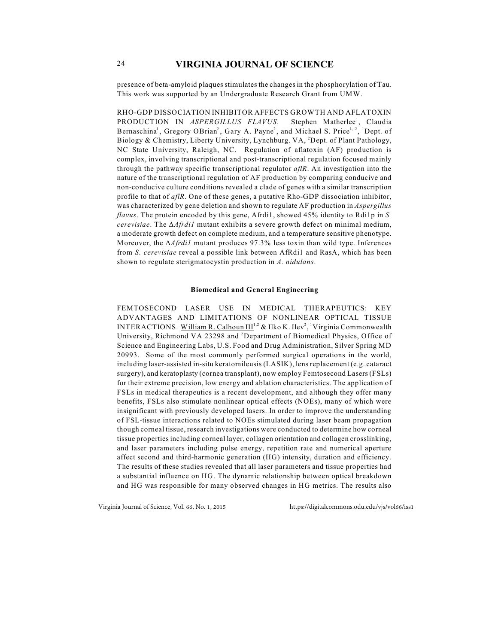presence of beta-amyloid plaques stimulates the changes in the phosphorylation of Tau. This work was supported by an Undergraduate Research Grant from UMW.

RHO-GDP DISSOCIATION INHIBITOR AFFECTS GROWTH AND AFLATOXIN PRODUCTION IN *ASPERGILLUS FLAVUS*. Stephen Matherlee<sup>1</sup>, Claudia Bernaschina<sup>1</sup>, Gregory OBrian<sup>2</sup>, Gary A. Payne<sup>2</sup>, and Michael S. Price<sup>1, 2</sup>, <sup>1</sup>Dept. of Biology & Chemistry, Liberty University, Lynchburg. VA, <sup>2</sup>Dept. of Plant Pathology, NC State University, Raleigh, NC. Regulation of aflatoxin (AF) production is complex, involving transcriptional and post-transcriptional regulation focused mainly through the pathway specific transcriptional regulator *aflR*. An investigation into the nature of the transcriptional regulation of AF production by comparing conducive and non-conducive culture conditions revealed a clade of genes with a similar transcription profile to that of *aflR*. One of these genes, a putative Rho-GDP dissociation inhibitor, was characterized by gene deletion and shown to regulate AF production in *Aspergillus flavus*. The protein encoded by this gene, Afrdi1, showed 45% identity to Rdi1p in *S. cerevisiae*. The  $\Delta \text{A} \text{f} \text{r} \text{d} \text{i} \text{l}$  mutant exhibits a severe growth defect on minimal medium, a moderate growth defect on complete medium, and a temperature sensitive phenotype. Moreover, the  $\Delta \text{A} \text{f} \text{r} \text{d} \text{l}$  mutant produces 97.3% less toxin than wild type. Inferences from *S. cerevisiae* reveal a possible link between AfRdi1 and RasA, which has been shown to regulate sterigmatocystin production in *A. nidulans*.

#### **Biomedical and General Engineering**

FEMTOSECOND LASER USE IN MEDICAL THERAPEUTICS: KEY ADVANTAGES AND LIMITATIONS OF NONLINEAR OPTICAL TISSUE INTERACTIONS. William R. Calhoun  $III^{1,2}$  & Ilko K. Ilev<sup>2</sup>, <sup>1</sup>Virginia Commonwealth University, Richmond VA 23298 and <sup>2</sup>Department of Biomedical Physics, Office of Science and Engineering Labs, U.S. Food and Drug Administration, Silver Spring MD 20993. Some of the most commonly performed surgical operations in the world, including laser-assisted in-situ keratomileusis (LASIK), lens replacement (e.g. cataract surgery), and keratoplasty (cornea transplant), now employ Femtosecond Lasers (FSLs) for their extreme precision, low energy and ablation characteristics. The application of FSLs in medical therapeutics is a recent development, and although they offer many benefits, FSLs also stimulate nonlinear optical effects (NOEs), many of which were insignificant with previously developed lasers. In order to improve the understanding of FSL-tissue interactions related to NOEs stimulated during laser beam propagation though corneal tissue, research investigations were conducted to determine how corneal tissue properties including corneal layer, collagen orientation and collagen crosslinking, and laser parameters including pulse energy, repetition rate and numerical aperture affect second and third-harmonic generation (HG) intensity, duration and efficiency. The results of these studies revealed that all laser parameters and tissue properties had a substantial influence on HG. The dynamic relationship between optical breakdown and HG was responsible for many observed changes in HG metrics. The results also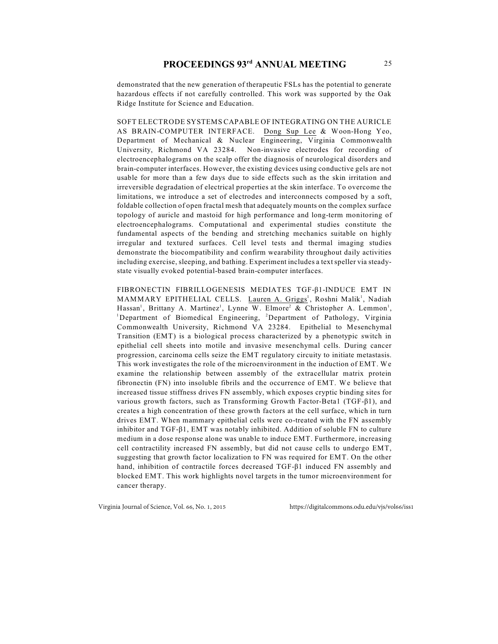demonstrated that the new generation of therapeutic FSLs has the potential to generate hazardous effects if not carefully controlled. This work was supported by the Oak Ridge Institute for Science and Education.

SOFT ELECTRODE SYSTEMS CAPABLE OF INTEGRATING ON THE AURICLE AS BRAIN-COMPUTER INTERFACE. Dong Sup Lee & Woon-Hong Yeo, Department of Mechanical & Nuclear Engineering, Virginia Commonwealth University, Richmond VA 23284. Non-invasive electrodes for recording of electroencephalograms on the scalp offer the diagnosis of neurological disorders and brain-computer interfaces. However, the existing devices using conductive gels are not usable for more than a few days due to side effects such as the skin irritation and irreversible degradation of electrical properties at the skin interface. To overcome the limitations, we introduce a set of electrodes and interconnects composed by a soft, foldable collection of open fractal mesh that adequately mounts on the complex surface topology of auricle and mastoid for high performance and long-term monitoring of electroencephalograms. Computational and experimental studies constitute the fundamental aspects of the bending and stretching mechanics suitable on highly irregular and textured surfaces. Cell level tests and thermal imaging studies demonstrate the biocompatibility and confirm wearability throughout daily activities including exercise, sleeping, and bathing. Experiment includes a text speller via steadystate visually evoked potential-based brain-computer interfaces.

FIBRONECTIN FIBRILLOGENESIS MEDIATES TGF-â1-INDUCE EMT IN MAMMARY EPITHELIAL CELLS. Lauren A. Griggs<sup>1</sup>, Roshni Malik<sup>1</sup>, Nadiah Hassan<sup>1</sup>, Brittany A. Martinez<sup>1</sup>, Lynne W. Elmore<sup>2</sup> & Christopher A. Lemmon<sup>1</sup>, <sup>1</sup>Department of Biomedical Engineering, <sup>2</sup>Department of Pathology, Virginia Commonwealth University, Richmond VA 23284. Epithelial to Mesenchymal Transition (EMT) is a biological process characterized by a phenotypic switch in epithelial cell sheets into motile and invasive mesenchymal cells. During cancer progression, carcinoma cells seize the EMT regulatory circuity to initiate metastasis. This work investigates the role of the microenvironment in the induction of EMT. We examine the relationship between assembly of the extracellular matrix protein fibronectin (FN) into insoluble fibrils and the occurrence of EMT. We believe that increased tissue stiffness drives FN assembly, which exposes cryptic binding sites for various growth factors, such as Transforming Growth Factor-Beta1 ( $TGF-\beta1$ ), and creates a high concentration of these growth factors at the cell surface, which in turn drives EMT. When mammary epithelial cells were co-treated with the FN assembly inhibitor and  $TGF- $\beta$ 1, EMT was notably inhibited. Addition of soluble FN to culture$ medium in a dose response alone was unable to induce EMT. Furthermore, increasing cell contractility increased FN assembly, but did not cause cells to undergo EMT, suggesting that growth factor localization to FN was required for EMT. On the other hand, inhibition of contractile forces decreased TGF-81 induced FN assembly and blocked EMT. This work highlights novel targets in the tumor microenvironment for cancer therapy.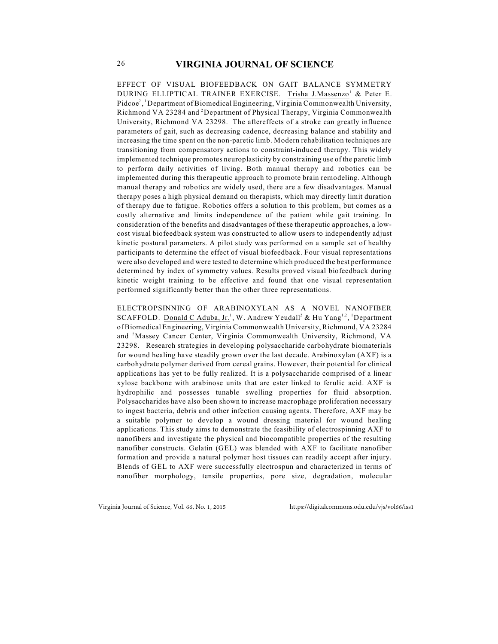EFFECT OF VISUAL BIOFEEDBACK ON GAIT BALANCE SYMMETRY DURING ELLIPTICAL TRAINER EXERCISE. Trisha J.Massenzo<sup>1</sup> & Peter E.  $Pidcoe<sup>2</sup>$ , Department of Biomedical Engineering, Virginia Commonwealth University, Richmond VA 23284 and <sup>2</sup>Department of Physical Therapy, Virginia Commonwealth University, Richmond VA 23298. The aftereffects of a stroke can greatly influence parameters of gait, such as decreasing cadence, decreasing balance and stability and increasing the time spent on the non-paretic limb. Modern rehabilitation techniques are transitioning from compensatory actions to constraint-induced therapy. This widely implemented technique promotes neuroplasticity by constraining use of the paretic limb to perform daily activities of living. Both manual therapy and robotics can be implemented during this therapeutic approach to promote brain remodeling. Although manual therapy and robotics are widely used, there are a few disadvantages. Manual therapy poses a high physical demand on therapists, which may directly limit duration of therapy due to fatigue. Robotics offers a solution to this problem, but comes as a costly alternative and limits independence of the patient while gait training. In consideration of the benefits and disadvantages of these therapeutic approaches, a lowcost visual biofeedback system was constructed to allow users to independently adjust kinetic postural parameters. A pilot study was performed on a sample set of healthy participants to determine the effect of visual biofeedback. Four visual representations were also developed and were tested to determine which produced the best performance determined by index of symmetry values. Results proved visual biofeedback during kinetic weight training to be effective and found that one visual representation performed significantly better than the other three representations.

ELECTROPSINNING OF ARABINOXYLAN AS A NOVEL NANOFIBER SCAFFOLD. Donald C Aduba, Jr.<sup>1</sup>, W. Andrew Yeudall<sup>2</sup> & Hu Yang<sup>1,2</sup>, <sup>1</sup>Department of Biomedical Engineering, Virginia Commonwealth University, Richmond, VA 23284 and <sup>2</sup>Massey Cancer Center, Virginia Commonwealth University, Richmond, VA 23298. Research strategies in developing polysaccharide carbohydrate biomaterials for wound healing have steadily grown over the last decade. Arabinoxylan (AXF) is a carbohydrate polymer derived from cereal grains. However, their potential for clinical applications has yet to be fully realized. It is a polysaccharide comprised of a linear xylose backbone with arabinose units that are ester linked to ferulic acid. AXF is hydrophilic and possesses tunable swelling properties for fluid absorption. Polysaccharides have also been shown to increase macrophage proliferation necessary to ingest bacteria, debris and other infection causing agents. Therefore, AXF may be a suitable polymer to develop a wound dressing material for wound healing applications. This study aims to demonstrate the feasibility of electrospinning AXF to nanofibers and investigate the physical and biocompatible properties of the resulting nanofiber constructs. Gelatin (GEL) was blended with AXF to facilitate nanofiber formation and provide a natural polymer host tissues can readily accept after injury. Blends of GEL to AXF were successfully electrospun and characterized in terms of nanofiber morphology, tensile properties, pore size, degradation, molecular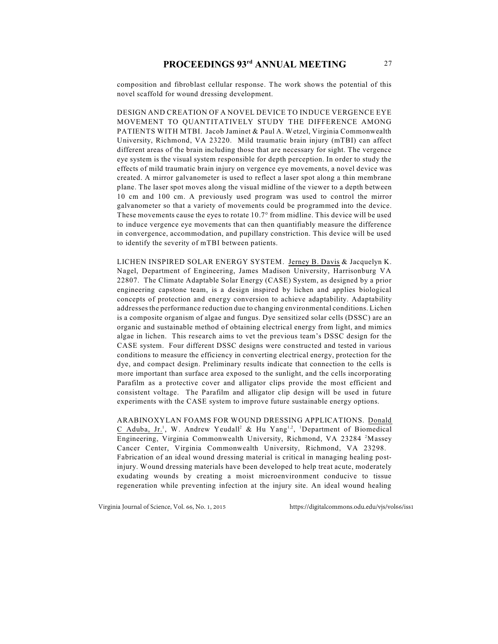composition and fibroblast cellular response. The work shows the potential of this novel scaffold for wound dressing development.

DESIGN AND CREATION OF A NOVEL DEVICE TO INDUCE VERGENCE EYE MOVEMENT TO QUANTITATIVELY STUDY THE DIFFERENCE AMONG PATIENTS WITH MTBI. Jacob Jaminet & Paul A. Wetzel, Virginia Commonwealth University, Richmond, VA 23220. Mild traumatic brain injury (mTBI) can affect different areas of the brain including those that are necessary for sight. The vergence eye system is the visual system responsible for depth perception. In order to study the effects of mild traumatic brain injury on vergence eye movements, a novel device was created. A mirror galvanometer is used to reflect a laser spot along a thin membrane plane. The laser spot moves along the visual midline of the viewer to a depth between 10 cm and 100 cm. A previously used program was used to control the mirror galvanometer so that a variety of movements could be programmed into the device. These movements cause the eyes to rotate 10.7° from midline. This device will be used to induce vergence eye movements that can then quantifiably measure the difference in convergence, accommodation, and pupillary constriction. This device will be used to identify the severity of mTBI between patients.

LICHEN INSPIRED SOLAR ENERGY SYSTEM. Jerney B. Davis & Jacquelyn K. Nagel, Department of Engineering, James Madison University, Harrisonburg VA 22807. The Climate Adaptable Solar Energy (CASE) System, as designed by a prior engineering capstone team, is a design inspired by lichen and applies biological concepts of protection and energy conversion to achieve adaptability. Adaptability addresses the performance reduction due to changing environmental conditions. Lichen is a composite organism of algae and fungus. Dye sensitized solar cells (DSSC) are an organic and sustainable method of obtaining electrical energy from light, and mimics algae in lichen. This research aims to vet the previous team's DSSC design for the CASE system. Four different DSSC designs were constructed and tested in various conditions to measure the efficiency in converting electrical energy, protection for the dye, and compact design. Preliminary results indicate that connection to the cells is more important than surface area exposed to the sunlight, and the cells incorporating Parafilm as a protective cover and alligator clips provide the most efficient and consistent voltage. The Parafilm and alligator clip design will be used in future experiments with the CASE system to improve future sustainable energy options.

ARABINOXYLAN FOAMS FOR WOUND DRESSING APPLICATIONS. Donald C Aduba, Jr.<sup>1</sup>, W. Andrew Yeudall<sup>2</sup> & Hu Yang<sup>1,2</sup>, <sup>1</sup>Department of Biomedical Engineering, Virginia Commonwealth University, Richmond, VA 23284<sup>2</sup>Massey Cancer Center, Virginia Commonwealth University, Richmond, VA 23298. Fabrication of an ideal wound dressing material is critical in managing healing postinjury. Wound dressing materials have been developed to help treat acute, moderately exudating wounds by creating a moist microenvironment conducive to tissue regeneration while preventing infection at the injury site. An ideal wound healing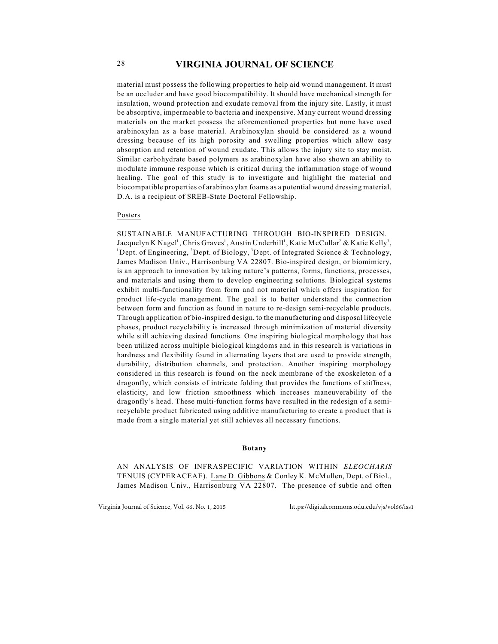material must possess the following properties to help aid wound management. It must be an occluder and have good biocompatibility. It should have mechanical strength for insulation, wound protection and exudate removal from the injury site. Lastly, it must be absorptive, impermeable to bacteria and inexpensive. Many current wound dressing materials on the market possess the aforementioned properties but none have used arabinoxylan as a base material. Arabinoxylan should be considered as a wound dressing because of its high porosity and swelling properties which allow easy absorption and retention of wound exudate. This allows the injury site to stay moist. Similar carbohydrate based polymers as arabinoxylan have also shown an ability to modulate immune response which is critical during the inflammation stage of wound healing. The goal of this study is to investigate and highlight the material and biocompatible properties of arabinoxylan foams as a potential wound dressing material. D.A. is a recipient of SREB-State Doctoral Fellowship.

#### Posters

SUSTAINABLE MANUFACTURING THROUGH BIO-INSPIRED DESIGN. Jacquelyn K Nagel<sup>1</sup>, Chris Graves<sup>1</sup>, Austin Underhill<sup>1</sup>, Katie McCullar<sup>2</sup> & Katie Kelly<sup>3</sup>, <sup>1</sup>Dept. of Engineering, <sup>2</sup>Dept. of Biology, <sup>3</sup>Dept. of Integrated Science & Technology, James Madison Univ., Harrisonburg VA 22807. Bio-inspired design, or biomimicry, is an approach to innovation by taking nature's patterns, forms, functions, processes, and materials and using them to develop engineering solutions. Biological systems exhibit multi-functionality from form and not material which offers inspiration for product life-cycle management. The goal is to better understand the connection between form and function as found in nature to re-design semi-recyclable products. Through application of bio-inspired design, to the manufacturing and disposal lifecycle phases, product recyclability is increased through minimization of material diversity while still achieving desired functions. One inspiring biological morphology that has been utilized across multiple biological kingdoms and in this research is variations in hardness and flexibility found in alternating layers that are used to provide strength, durability, distribution channels, and protection. Another inspiring morphology considered in this research is found on the neck membrane of the exoskeleton of a dragonfly, which consists of intricate folding that provides the functions of stiffness, elasticity, and low friction smoothness which increases maneuverability of the dragonfly's head. These multi-function forms have resulted in the redesign of a semirecyclable product fabricated using additive manufacturing to create a product that is made from a single material yet still achieves all necessary functions.

#### **Botany**

AN ANALYSIS OF INFRASPECIFIC VARIATION WITHIN *ELEOCHARIS* TENUIS (CYPERACEAE). Lane D. Gibbons & Conley K. McMullen, Dept. of Biol., James Madison Univ., Harrisonburg VA 22807. The presence of subtle and often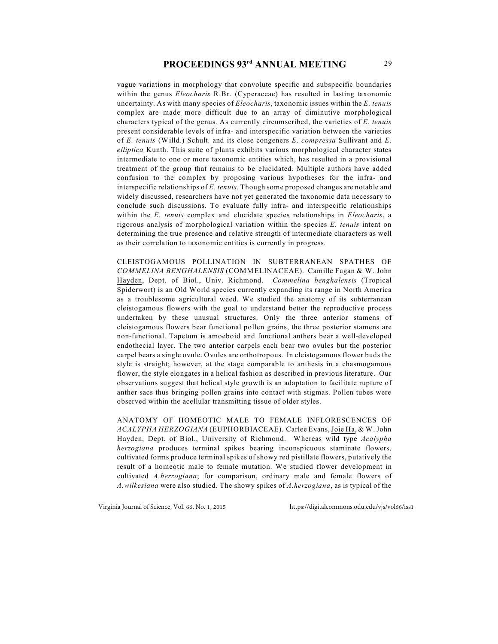vague variations in morphology that convolute specific and subspecific boundaries within the genus *Eleocharis* R.Br. (Cyperaceae) has resulted in lasting taxonomic uncertainty. As with many species of *Eleocharis*, taxonomic issues within the *E. tenuis* complex are made more difficult due to an array of diminutive morphological characters typical of the genus. As currently circumscribed, the varieties of *E. tenuis* present considerable levels of infra- and interspecific variation between the varieties of *E. tenuis* (Willd.) Schult. and its close congeners *E. compressa* Sullivant and *E. elliptica* Kunth. This suite of plants exhibits various morphological character states intermediate to one or more taxonomic entities which, has resulted in a provisional treatment of the group that remains to be elucidated. Multiple authors have added confusion to the complex by proposing various hypotheses for the infra- and interspecific relationships of *E. tenuis*. Though some proposed changes are notable and widely discussed, researchers have not yet generated the taxonomic data necessary to conclude such discussions. To evaluate fully infra- and interspecific relationships within the *E. tenuis* complex and elucidate species relationships in *Eleocharis*, a rigorous analysis of morphological variation within the species *E. tenuis* intent on determining the true presence and relative strength of intermediate characters as well as their correlation to taxonomic entities is currently in progress.

CLEISTOGAMOUS POLLINATION IN SUBTERRANEAN SPATHES OF *COMMELINA BENGHALENSIS* (COMMELINACEAE). Camille Fagan & W. John Hayden, Dept. of Biol., Univ. Richmond. *Commelina benghalensis* (Tropical Spiderwort) is an Old World species currently expanding its range in North America as a troublesome agricultural weed. We studied the anatomy of its subterranean cleistogamous flowers with the goal to understand better the reproductive process undertaken by these unusual structures. Only the three anterior stamens of cleistogamous flowers bear functional pollen grains, the three posterior stamens are non-functional. Tapetum is amoeboid and functional anthers bear a well-developed endothecial layer. The two anterior carpels each bear two ovules but the posterior carpel bears a single ovule. Ovules are orthotropous. In cleistogamous flower buds the style is straight; however, at the stage comparable to anthesis in a chasmogamous flower, the style elongates in a helical fashion as described in previous literature. Our observations suggest that helical style growth is an adaptation to facilitate rupture of anther sacs thus bringing pollen grains into contact with stigmas. Pollen tubes were observed within the acellular transmitting tissue of older styles.

ANATOMY OF HOMEOTIC MALE TO FEMALE INFLORESCENCES OF *ACALYPHA HERZOGIANA* (EUPHORBIACEAE). Carlee Evans, Joie Ha, & W. John Hayden, Dept. of Biol., University of Richmond. Whereas wild type *Acalypha herzogiana* produces terminal spikes bearing inconspicuous staminate flowers, cultivated forms produce terminal spikes of showy red pistillate flowers, putatively the result of a homeotic male to female mutation. We studied flower development in cultivated *A.herzogiana*; for comparison, ordinary male and female flowers of *A.wilkesiana* were also studied. The showy spikes of *A.herzogiana*, as is typical of the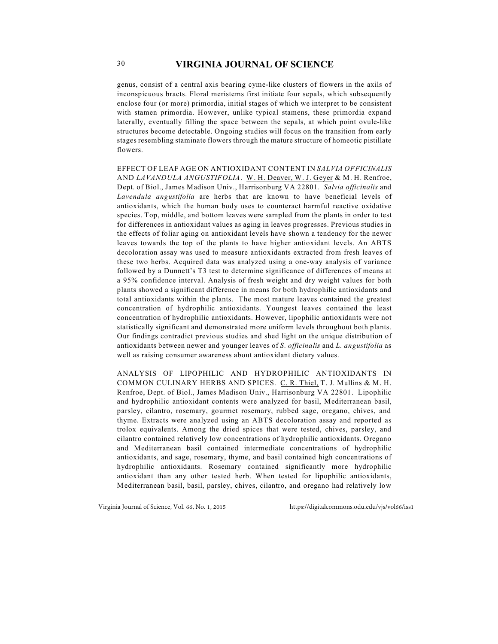genus, consist of a central axis bearing cyme-like clusters of flowers in the axils of inconspicuous bracts. Floral meristems first initiate four sepals, which subsequently enclose four (or more) primordia, initial stages of which we interpret to be consistent with stamen primordia. However, unlike typical stamens, these primordia expand laterally, eventually filling the space between the sepals, at which point ovule-like structures become detectable. Ongoing studies will focus on the transition from early stages resembling staminate flowers through the mature structure of homeotic pistillate flowers.

EFFECT OF LEAF AGE ON ANTIOXIDANT CONTENT IN *SALVIA OFFICINALIS* AND *LAVANDULA ANGUSTIFOLIA*. W. H. Deaver, W. J. Geyer & M. H. Renfroe, Dept. of Biol., James Madison Univ., Harrisonburg VA 22801. *Salvia officinalis* and *Lavendula angustifolia* are herbs that are known to have beneficial levels of antioxidants, which the human body uses to counteract harmful reactive oxidative species. Top, middle, and bottom leaves were sampled from the plants in order to test for differences in antioxidant values as aging in leaves progresses. Previous studies in the effects of foliar aging on antioxidant levels have shown a tendency for the newer leaves towards the top of the plants to have higher antioxidant levels. An ABTS decoloration assay was used to measure antioxidants extracted from fresh leaves of these two herbs. Acquired data was analyzed using a one-way analysis of variance followed by a Dunnett's T3 test to determine significance of differences of means at a 95% confidence interval. Analysis of fresh weight and dry weight values for both plants showed a significant difference in means for both hydrophilic antioxidants and total antioxidants within the plants. The most mature leaves contained the greatest concentration of hydrophilic antioxidants. Youngest leaves contained the least concentration of hydrophilic antioxidants. However, lipophilic antioxidants were not statistically significant and demonstrated more uniform levels throughout both plants. Our findings contradict previous studies and shed light on the unique distribution of antioxidants between newer and younger leaves of *S. officinalis* and *L. angustifolia* as well as raising consumer awareness about antioxidant dietary values.

ANALYSIS OF LIPOPHILIC AND HYDROPHILIC ANTIOXIDANTS IN COMMON CULINARY HERBS AND SPICES. C. R. Thiel, T. J. Mullins & M. H. Renfroe, Dept. of Biol., James Madison Univ., Harrisonburg VA 22801. Lipophilic and hydrophilic antioxidant contents were analyzed for basil, Mediterranean basil, parsley, cilantro, rosemary, gourmet rosemary, rubbed sage, oregano, chives, and thyme. Extracts were analyzed using an ABTS decoloration assay and reported as trolox equivalents. Among the dried spices that were tested, chives, parsley, and cilantro contained relatively low concentrations of hydrophilic antioxidants. Oregano and Mediterranean basil contained intermediate concentrations of hydrophilic antioxidants, and sage, rosemary, thyme, and basil contained high concentrations of hydrophilic antioxidants. Rosemary contained significantly more hydrophilic antioxidant than any other tested herb. When tested for lipophilic antioxidants, Mediterranean basil, basil, parsley, chives, cilantro, and oregano had relatively low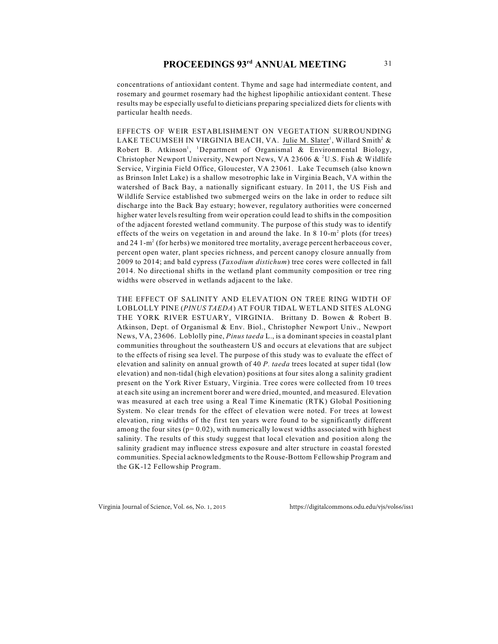concentrations of antioxidant content. Thyme and sage had intermediate content, and rosemary and gourmet rosemary had the highest lipophilic antioxidant content. These results may be especially useful to dieticians preparing specialized diets for clients with particular health needs.

EFFECTS OF WEIR ESTABLISHMENT ON VEGETATION SURROUNDING LAKE TECUMSEH IN VIRGINIA BEACH, VA. Julie M. Slater<sup>1</sup>, Willard Smith<sup>2</sup> & Robert B. Atkinson<sup>1</sup>, <sup>1</sup>Department of Organismal & Environmental Biology, Christopher Newport University, Newport News, VA 23606 & <sup>2</sup>U.S. Fish & Wildlife Service, Virginia Field Office, Gloucester, VA 23061. Lake Tecumseh (also known as Brinson Inlet Lake) is a shallow mesotrophic lake in Virginia Beach, VA within the watershed of Back Bay, a nationally significant estuary. In 2011, the US Fish and Wildlife Service established two submerged weirs on the lake in order to reduce silt discharge into the Back Bay estuary; however, regulatory authorities were concerned higher water levels resulting from weir operation could lead to shifts in the composition of the adjacent forested wetland community. The purpose of this study was to identify effects of the weirs on vegetation in and around the lake. In  $8 \times 10^{-2}$  plots (for trees) and 24  $1-m^2$  (for herbs) we monitored tree mortality, average percent herbaceous cover, percent open water, plant species richness, and percent canopy closure annually from 2009 to 2014; and bald cypress (*Taxodium distichum*) tree cores were collected in fall 2014. No directional shifts in the wetland plant community composition or tree ring widths were observed in wetlands adjacent to the lake.

THE EFFECT OF SALINITY AND ELEVATION ON TREE RING WIDTH OF LOBLOLLY PINE (*PINUS TAEDA*) AT FOUR TIDAL WETLAND SITES ALONG THE YORK RIVER ESTUARY, VIRGINIA. Brittany D. Bowen & Robert B. Atkinson, Dept. of Organismal & Env. Biol., Christopher Newport Univ., Newport News, VA, 23606. Loblolly pine, *Pinus taeda* L., is a dominant species in coastal plant communities throughout the southeastern US and occurs at elevations that are subject to the effects of rising sea level. The purpose of this study was to evaluate the effect of elevation and salinity on annual growth of 40 *P. taeda* trees located at super tidal (low elevation) and non-tidal (high elevation) positions at four sites along a salinity gradient present on the York River Estuary, Virginia. Tree cores were collected from 10 trees at each site using an increment borer and were dried, mounted, and measured. Elevation was measured at each tree using a Real Time Kinematic (RTK) Global Positioning System. No clear trends for the effect of elevation were noted. For trees at lowest elevation, ring widths of the first ten years were found to be significantly different among the four sites  $(p= 0.02)$ , with numerically lowest widths associated with highest salinity. The results of this study suggest that local elevation and position along the salinity gradient may influence stress exposure and alter structure in coastal forested communities. Special acknowledgments to the Rouse-Bottom Fellowship Program and the GK-12 Fellowship Program.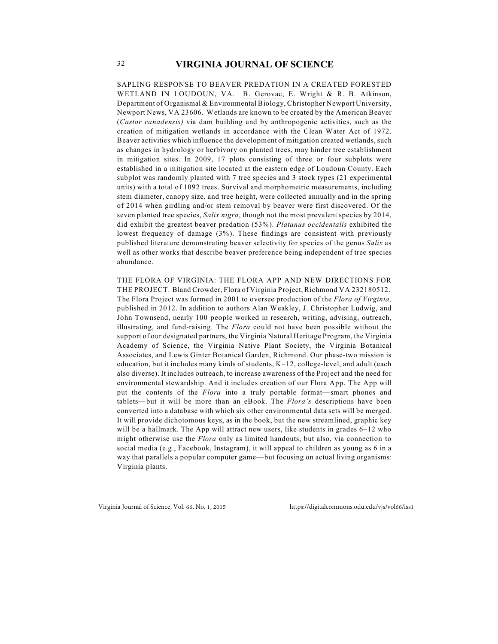SAPLING RESPONSE TO BEAVER PREDATION IN A CREATED FORESTED WETLAND IN LOUDOUN, VA. B. Gerovac, E. Wright & R. B. Atkinson, Department of Organismal & Environmental Biology, Christopher Newport University, Newport News, VA 23606. Wetlands are known to be created by the American Beaver (*Castor canadensis)* via dam building and by anthropogenic activities, such as the creation of mitigation wetlands in accordance with the Clean Water Act of 1972. Beaver activities which influence the development of mitigation created wetlands, such as changes in hydrology or herbivory on planted trees, may hinder tree establishment in mitigation sites. In 2009, 17 plots consisting of three or four subplots were established in a mitigation site located at the eastern edge of Loudoun County. Each subplot was randomly planted with 7 tree species and 3 stock types (21 experimental units) with a total of 1092 trees. Survival and morphometric measurements, including stem diameter, canopy size, and tree height, were collected annually and in the spring of 2014 when girdling and/or stem removal by beaver were first discovered. Of the seven planted tree species, *Salix nigra*, though not the most prevalent species by 2014, did exhibit the greatest beaver predation (53%). *Platanus occidentalis* exhibited the lowest frequency of damage (3%). These findings are consistent with previously published literature demonstrating beaver selectivity for species of the genus *Salix* as well as other works that describe beaver preference being independent of tree species abundance.

THE FLORA OF VIRGINIA: THE FLORA APP AND NEW DIRECTIONS FOR THE PROJECT. Bland Crowder, Flora of Virginia Project, Richmond VA 232180512. The Flora Project was formed in 2001 to oversee production of the *Flora of Virginia,* published in 2012. In addition to authors Alan Weakley, J. Christopher Ludwig, and John Townsend, nearly 100 people worked in research, writing, advising, outreach, illustrating, and fund-raising. The *Flora* could not have been possible without the support of our designated partners, the Virginia Natural Heritage Program, the Virginia Academy of Science, the Virginia Native Plant Society, the Virginia Botanical Associates, and Lewis Ginter Botanical Garden, Richmond. Our phase-two mission is education, but it includes many kinds of students,  $K-12$ , college-level, and adult (each also diverse). It includes outreach, to increase awareness of the Project and the need for environmental stewardship. And it includes creation of our Flora App. The App will put the contents of the *Flora* into a truly portable format—smart phones and tablets—but it will be more than an eBook. The *Flora's* descriptions have been converted into a database with which six other environmental data sets will be merged. It will provide dichotomous keys, as in the book, but the new streamlined, graphic key will be a hallmark. The App will attract new users, like students in grades 6–12 who might otherwise use the *Flora* only as limited handouts, but also, via connection to social media (e.g., Facebook, Instagram), it will appeal to children as young as 6 in a way that parallels a popular computer game—but focusing on actual living organisms: Virginia plants.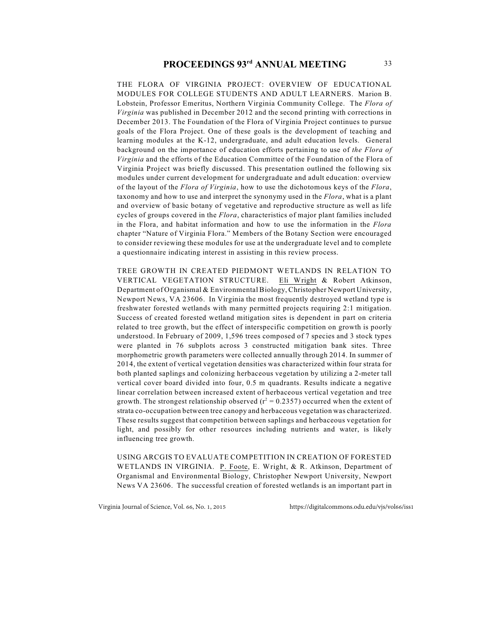THE FLORA OF VIRGINIA PROJECT: OVERVIEW OF EDUCATIONAL MODULES FOR COLLEGE STUDENTS AND ADULT LEARNERS. Marion B. Lobstein, Professor Emeritus, Northern Virginia Community College. The *Flora of Virginia* was published in December 2012 and the second printing with corrections in December 2013. The Foundation of the Flora of Virginia Project continues to pursue goals of the Flora Project. One of these goals is the development of teaching and learning modules at the K-12, undergraduate, and adult education levels. General background on the importance of education efforts pertaining to use of *the Flora of Virginia* and the efforts of the Education Committee of the Foundation of the Flora of Virginia Project was briefly discussed. This presentation outlined the following six modules under current development for undergraduate and adult education: overview of the layout of the *Flora of Virginia*, how to use the dichotomous keys of the *Flora*, taxonomy and how to use and interpret the synonymy used in the *Flora*, what is a plant and overview of basic botany of vegetative and reproductive structure as well as life cycles of groups covered in the *Flora*, characteristics of major plant families included in the Flora, and habitat information and how to use the information in the *Flora* chapter "Nature of Virginia Flora." Members of the Botany Section were encouraged to consider reviewing these modules for use at the undergraduate level and to complete a questionnaire indicating interest in assisting in this review process.

TREE GROWTH IN CREATED PIEDMONT WETLANDS IN RELATION TO VERTICAL VEGETATION STRUCTURE. Eli Wright & Robert Atkinson, Department of Organismal & Environmental Biology, Christopher Newport University, Newport News, VA 23606. In Virginia the most frequently destroyed wetland type is freshwater forested wetlands with many permitted projects requiring 2:1 mitigation. Success of created forested wetland mitigation sites is dependent in part on criteria related to tree growth, but the effect of interspecific competition on growth is poorly understood. In February of 2009, 1,596 trees composed of 7 species and 3 stock types were planted in 76 subplots across 3 constructed mitigation bank sites. Three morphometric growth parameters were collected annually through 2014. In summer of 2014, the extent of vertical vegetation densities was characterized within four strata for both planted saplings and colonizing herbaceous vegetation by utilizing a 2-meter tall vertical cover board divided into four, 0.5 m quadrants. Results indicate a negative linear correlation between increased extent of herbaceous vertical vegetation and tree growth. The strongest relationship observed  $(r^2 = 0.2357)$  occurred when the extent of strata co-occupation between tree canopy and herbaceous vegetation was characterized. These results suggest that competition between saplings and herbaceous vegetation for light, and possibly for other resources including nutrients and water, is likely influencing tree growth.

USING ARCGIS TO EVALUATE COMPETITION IN CREATION OF FORESTED WETLANDS IN VIRGINIA. P. Foote, E. Wright, & R. Atkinson, Department of Organismal and Environmental Biology, Christopher Newport University, Newport News VA 23606. The successful creation of forested wetlands is an important part in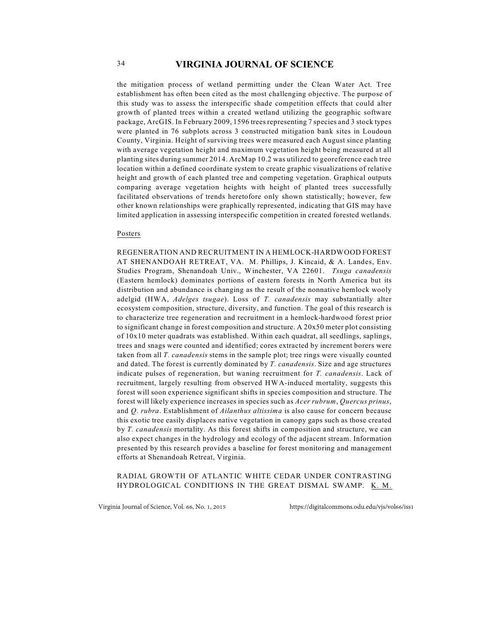the mitigation process of wetland permitting under the Clean Water Act. Tree establishment has often been cited as the most challenging objective. The purpose of this study was to assess the interspecific shade competition effects that could alter growth of planted trees within a created wetland utilizing the geographic software package, ArcGIS. In February 2009, 1596 trees representing 7 species and 3 stock types were planted in 76 subplots across 3 constructed mitigation bank sites in Loudoun County, Virginia. Height of surviving trees were measured each August since planting with average vegetation height and maximum vegetation height being measured at all planting sites during summer 2014. ArcMap 10.2 was utilized to georeference each tree location within a defined coordinate system to create graphic visualizations of relative height and growth of each planted tree and competing vegetation. Graphical outputs comparing average vegetation heights with height of planted trees successfully facilitated observations of trends heretofore only shown statistically; however, few other known relationships were graphically represented, indicating that GIS may have limited application in assessing interspecific competition in created forested wetlands.

#### Posters

REGENERATION AND RECRUITMENT IN A HEMLOCK-HARDWOOD FOREST AT SHENANDOAH RETREAT, VA. M. Phillips, J. Kincaid, & A. Landes, Env. Studies Program, Shenandoah Univ., Winchester, VA 22601. *Tsuga canadensis* (Eastern hemlock) dominates portions of eastern forests in North America but its distribution and abundance is changing as the result of the nonnative hemlock wooly adelgid (HWA, *Adelges tsugae*). Loss of *T. canadensis* may substantially alter ecosystem composition, structure, diversity, and function. The goal of this research is to characterize tree regeneration and recruitment in a hemlock-hardwood forest prior to significant change in forest composition and structure. A 20x50 meter plot consisting of 10x10 meter quadrats was established. Within each quadrat, all seedlings, saplings, trees and snags were counted and identified; cores extracted by increment borers were taken from all *T. canadensis* stems in the sample plot; tree rings were visually counted and dated. The forest is currently dominated by *T. canadensis*. Size and age structures indicate pulses of regeneration, but waning recruitment for *T. canadensis*. Lack of recruitment, largely resulting from observed HWA-induced mortality, suggests this forest will soon experience significant shifts in species composition and structure. The forest will likely experience increases in species such as *Acer rubrum*, *Quercus prinus*, and *Q. rubra*. Establishment of *Ailanthus altissima* is also cause for concern because this exotic tree easily displaces native vegetation in canopy gaps such as those created by *T. canadensis* mortality. As this forest shifts in composition and structure, we can also expect changes in the hydrology and ecology of the adjacent stream. Information presented by this research provides a baseline for forest monitoring and management efforts at Shenandoah Retreat, Virginia.

RADIAL GROWTH OF ATLANTIC WHITE CEDAR UNDER CONTRASTING HYDROLOGICAL CONDITIONS IN THE GREAT DISMAL SWAMP. K. M.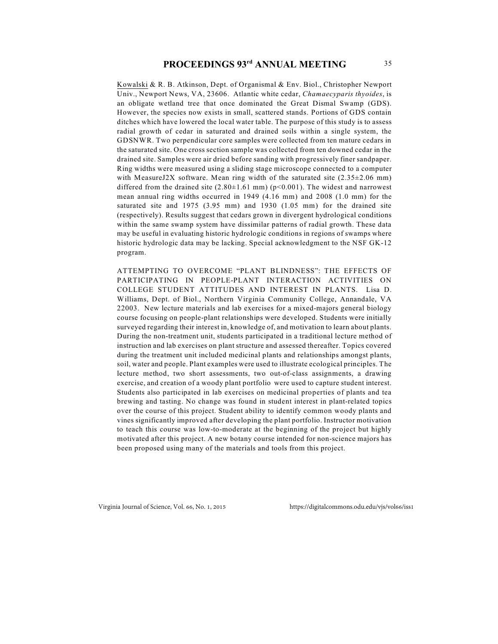Kowalski & R. B. Atkinson, Dept. of Organismal & Env. Biol., Christopher Newport Univ., Newport News, VA, 23606. Atlantic white cedar, *Chamaecyparis thyoides*, is an obligate wetland tree that once dominated the Great Dismal Swamp (GDS). However, the species now exists in small, scattered stands. Portions of GDS contain ditches which have lowered the local water table. The purpose of this study is to assess radial growth of cedar in saturated and drained soils within a single system, the GDSNWR. Two perpendicular core samples were collected from ten mature cedars in the saturated site. One cross section sample was collected from ten downed cedar in the drained site. Samples were air dried before sanding with progressively finer sandpaper. Ring widths were measured using a sliding stage microscope connected to a computer with MeasureJ2X software. Mean ring width of the saturated site  $(2.35\pm2.06$  mm) differed from the drained site  $(2.80\pm1.61 \text{ mm})$  (p<0.001). The widest and narrowest mean annual ring widths occurred in 1949 (4.16 mm) and 2008 (1.0 mm) for the saturated site and 1975 (3.95 mm) and 1930 (1.05 mm) for the drained site (respectively). Results suggest that cedars grown in divergent hydrological conditions within the same swamp system have dissimilar patterns of radial growth. These data may be useful in evaluating historic hydrologic conditions in regions of swamps where historic hydrologic data may be lacking. Special acknowledgment to the NSF GK-12 program.

ATTEMPTING TO OVERCOME "PLANT BLINDNESS": THE EFFECTS OF PARTICIPATING IN PEOPLE-PLANT INTERACTION ACTIVITIES ON COLLEGE STUDENT ATTITUDES AND INTEREST IN PLANTS. Lisa D. Williams, Dept. of Biol., Northern Virginia Community College, Annandale, VA 22003. New lecture materials and lab exercises for a mixed-majors general biology course focusing on people-plant relationships were developed. Students were initially surveyed regarding their interest in, knowledge of, and motivation to learn about plants. During the non-treatment unit, students participated in a traditional lecture method of instruction and lab exercises on plant structure and assessed thereafter. Topics covered during the treatment unit included medicinal plants and relationships amongst plants, soil, water and people. Plant examples were used to illustrate ecological principles. The lecture method, two short assessments, two out-of-class assignments, a drawing exercise, and creation of a woody plant portfolio were used to capture student interest. Students also participated in lab exercises on medicinal properties of plants and tea brewing and tasting. No change was found in student interest in plant-related topics over the course of this project. Student ability to identify common woody plants and vines significantly improved after developing the plant portfolio. Instructor motivation to teach this course was low-to-moderate at the beginning of the project but highly motivated after this project. A new botany course intended for non-science majors has been proposed using many of the materials and tools from this project.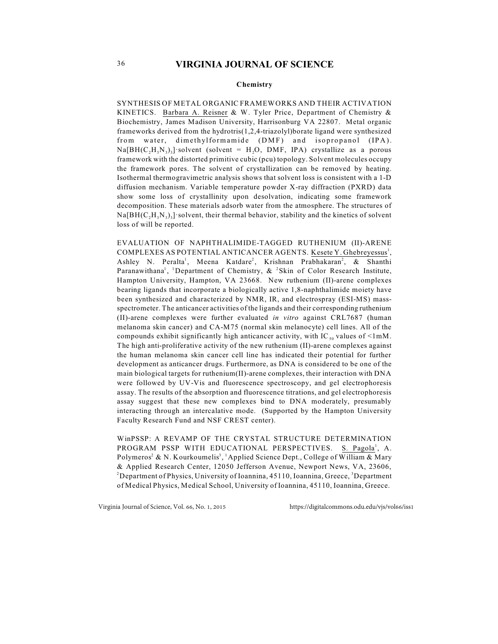#### **Chemistry**

SYNTHESIS OF METAL ORGANIC FRAMEWORKS AND THEIR ACTIVATION KINETICS. Barbara A. Reisner & W. Tyler Price, Department of Chemistry & Biochemistry, James Madison University, Harrisonburg VA 22807. Metal organic frameworks derived from the hydrotris(1,2,4-triazolyl)borate ligand were synthesized from water, dimethylformamide (DMF) and isopropanol (IPA).  $Na[BH(C<sub>2</sub>H<sub>3</sub>N<sub>3</sub>)<sub>3</sub>]$  solvent (solvent = H<sub>2</sub>O, DMF, IPA) crystallize as a porous framework with the distorted primitive cubic (pcu) topology. Solvent molecules occupy the framework pores. The solvent of crystallization can be removed by heating. Isothermal thermogravimetric analysis shows that solvent loss is consistent with a 1-D diffusion mechanism. Variable temperature powder X-ray diffraction (PXRD) data show some loss of crystallinity upon desolvation, indicating some framework decomposition. These materials adsorb water from the atmosphere. The structures of  $Na[BH(C, H, N<sub>3</sub>)<sub>3</sub>]$  solvent, their thermal behavior, stability and the kinetics of solvent loss of will be reported.

EVALUATION OF NAPHTHALIMIDE-TAGGED RUTHENIUM (II)-ARENE COMPLEXES AS POTENTIAL ANTICANCER AGENTS. Kesete Y. Ghebreyessus<sup>1</sup>, Ashley N. Peralta<sup>1</sup>, Meena Katdare<sup>2</sup>, Krishnan Prabhakaran<sup>2</sup>, & Shanthi Paranawithana<sup>1</sup>, <sup>1</sup>Department of Chemistry,  $\&$  <sup>2</sup>Skin of Color Research Institute, Hampton University, Hampton, VA 23668. New ruthenium (II)-arene complexes bearing ligands that incorporate a biologically active 1,8-naphthalimide moiety have been synthesized and characterized by NMR, IR, and electrospray (ESI-MS) massspectrometer. The anticancer activities of the ligands and their corresponding ruthenium (II)-arene complexes were further evaluated *in vitro* against CRL7687 (human melanoma skin cancer) and CA-M75 (normal skin melanocyte) cell lines. All of the compounds exhibit significantly high anticancer activity, with IC  $_{50}$  values of  $\leq 1 \text{mM}$ . The high anti-proliferative activity of the new ruthenium (II)-arene complexes against the human melanoma skin cancer cell line has indicated their potential for further development as anticancer drugs. Furthermore, as DNA is considered to be one of the main biological targets for ruthenium(II)-arene complexes, their interaction with  $DNA$ were followed by UV-Vis and fluorescence spectroscopy, and gel electrophoresis assay. The results of the absorption and fluorescence titrations, and gel electrophoresis assay suggest that these new complexes bind to DNA moderately, presumably interacting through an intercalative mode. (Supported by the Hampton University Faculty Research Fund and NSF CREST center).

WinPSSP: A REVAMP OF THE CRYSTAL STRUCTURE DETERMINATION PROGRAM PSSP WITH EDUCATIONAL PERSPECTIVES. S. Pagola<sup>1</sup>, A. Polymeros<sup>2</sup> & N. Kourkoumelis<sup>3</sup>, <sup>1</sup>Applied Science Dept., College of William & Mary & Applied Research Center, 12050 Jefferson Avenue, Newport News, VA, 23606, <sup>2</sup> Department of Physics, University of Ioannina, 45110, Ioannina, Greece, <sup>3</sup> Department of Medical Physics, Medical School, University of Ioannina, 45110, Ioannina, Greece.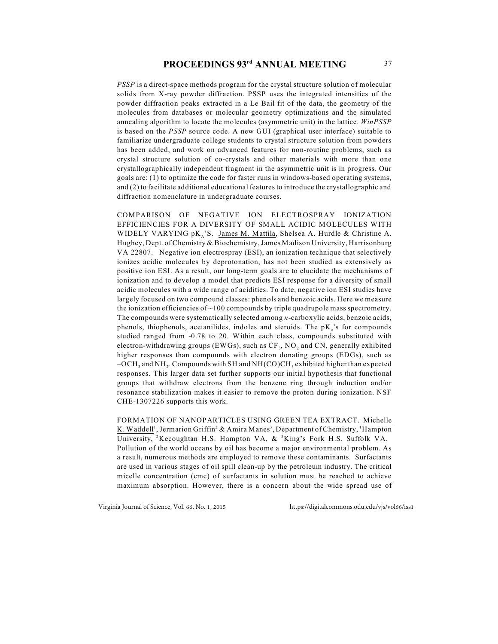# **PROCEEDINGS 93<sup>rd</sup> ANNUAL MEETING** 37

*PSSP* is a direct-space methods program for the crystal structure solution of molecular solids from X-ray powder diffraction. PSSP uses the integrated intensities of the powder diffraction peaks extracted in a Le Bail fit of the data, the geometry of the molecules from databases or molecular geometry optimizations and the simulated annealing algorithm to locate the molecules (asymmetric unit) in the lattice. *WinPSSP* is based on the *PSSP* source code. A new GUI (graphical user interface) suitable to familiarize undergraduate college students to crystal structure solution from powders has been added, and work on advanced features for non-routine problems, such as crystal structure solution of co-crystals and other materials with more than one crystallographically independent fragment in the asymmetric unit is in progress. Our goals are: (1) to optimize the code for faster runs in windows-based operating systems, and (2) to facilitate additional educational features to introduce the crystallographic and diffraction nomenclature in undergraduate courses.

COMPARISON OF NEGATIVE ION ELECTROSPRAY IONIZATION EFFICIENCIES FOR A DIVERSITY OF SMALL ACIDIC MOLECULES WITH WIDELY VARYING  $pK_A$ 'S. James M. Mattila, Shelsea A. Hurdle & Christine A. Hughey, Dept. of Chemistry & Biochemistry, James Madison University, Harrisonburg VA 22807. Negative ion electrospray (ESI), an ionization technique that selectively ionizes acidic molecules by deprotonation, has not been studied as extensively as positive ion ESI. As a result, our long-term goals are to elucidate the mechanisms of ionization and to develop a model that predicts ESI response for a diversity of small acidic molecules with a wide range of acidities. To date, negative ion ESI studies have largely focused on two compound classes: phenols and benzoic acids. Here we measure the ionization efficiencies of  $\sim$ 100 compounds by triple quadrupole mass spectrometry. The compounds were systematically selected among *n*-carboxylic acids, benzoic acids, phenols, thiophenols, acetanilides, indoles and steroids. The  $pK_i$ 's for compounds studied ranged from -0.78 to 20. Within each class, compounds substituted with electron-withdrawing groups (EWGs), such as  $CF<sub>3</sub>$ , NO, and CN, generally exhibited higher responses than compounds with electron donating groups (EDGs), such as  $-OCH<sub>3</sub>$  and NH<sub>2</sub>. Compounds with SH and NH(CO)CH<sub>3</sub> exhibited higher than expected responses. This larger data set further supports our initial hypothesis that functional groups that withdraw electrons from the benzene ring through induction and/or resonance stabilization makes it easier to remove the proton during ionization. NSF CHE-1307226 supports this work.

FORMATION OF NANOPARTICLES USING GREEN TEA EXTRACT. Michelle K. Waddell<sup>1</sup>, Jermarion Griffin<sup>2</sup> & Amira Manes<sup>3</sup>, Department of Chemistry, <sup>1</sup> Hampton University, <sup>2</sup>Kecoughtan H.S. Hampton VA,  $\&$  <sup>3</sup>King's Fork H.S. Suffolk VA. Pollution of the world oceans by oil has become a major environmental problem. As a result, numerous methods are employed to remove these contaminants. Surfactants are used in various stages of oil spill clean-up by the petroleum industry. The critical micelle concentration (cmc) of surfactants in solution must be reached to achieve maximum absorption. However, there is a concern about the wide spread use of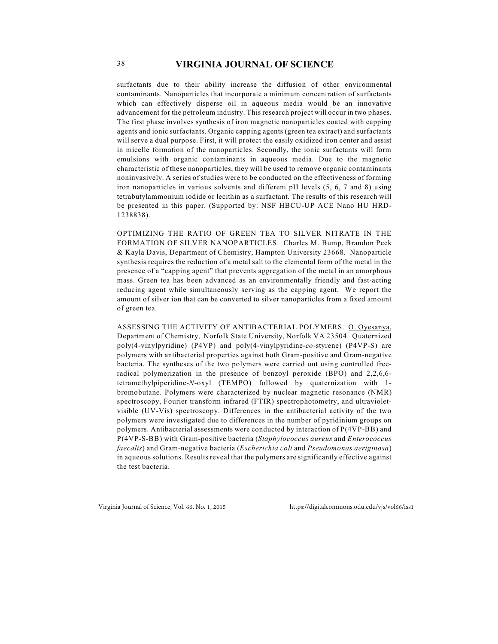surfactants due to their ability increase the diffusion of other environmental contaminants. Nanoparticles that incorporate a minimum concentration of surfactants which can effectively disperse oil in aqueous media would be an innovative advancement for the petroleum industry. This research project will occur in two phases. The first phase involves synthesis of iron magnetic nanoparticles coated with capping agents and ionic surfactants. Organic capping agents (green tea extract) and surfactants will serve a dual purpose. First, it will protect the easily oxidized iron center and assist in micelle formation of the nanoparticles. Secondly, the ionic surfactants will form emulsions with organic contaminants in aqueous media. Due to the magnetic characteristic of these nanoparticles, they will be used to remove organic contaminants noninvasively. A series of studies were to be conducted on the effectiveness of forming iron nanoparticles in various solvents and different pH levels (5, 6, 7 and 8) using tetrabutylammonium iodide or lecithin as a surfactant. The results of this research will be presented in this paper. (Supported by: NSF HBCU-UP ACE Nano HU HRD-1238838).

OPTIMIZING THE RATIO OF GREEN TEA TO SILVER NITRATE IN THE FORMATION OF SILVER NANOPARTICLES. Charles M. Bump, Brandon Peck & Kayla Davis, Department of Chemistry, Hampton University 23668. Nanoparticle synthesis requires the reduction of a metal salt to the elemental form of the metal in the presence of a "capping agent" that prevents aggregation of the metal in an amorphous mass. Green tea has been advanced as an environmentally friendly and fast-acting reducing agent while simultaneously serving as the capping agent. We report the amount of silver ion that can be converted to silver nanoparticles from a fixed amount of green tea.

ASSESSING THE ACTIVITY OF ANTIBACTERIAL POLYMERS. O. Oyesanya, Department of Chemistry, Norfolk State University, Norfolk VA 23504. Quaternized poly(4-vinylpyridine) (P4VP) and poly(4-vinylpyridine-*co*-styrene) (P4VP-S) are polymers with antibacterial properties against both Gram-positive and Gram-negative bacteria. The syntheses of the two polymers were carried out using controlled freeradical polymerization in the presence of benzoyl peroxide  $(BPO)$  and  $2.2.6.6$ tetramethylpiperidine-*N*-oxyl (TEMPO) followed by quaternization with 1 bromobutane. Polymers were characterized by nuclear magnetic resonance (NMR) spectroscopy, Fourier transform infrared (FTIR) spectrophotometry, and ultravioletvisible (UV-Vis) spectroscopy. Differences in the antibacterial activity of the two polymers were investigated due to differences in the number of pyridinium groups on polymers. Antibacterial assessments were conducted by interaction of P(4VP-BB) and P(4VP-S-BB) with Gram-positive bacteria (*Staphylococcus aureus* and *Enterococcus faecalis*) and Gram-negative bacteria (*Escherichia coli* and *Pseudomonas aeriginosa*) in aqueous solutions. Results reveal that the polymers are significantly effective against the test bacteria.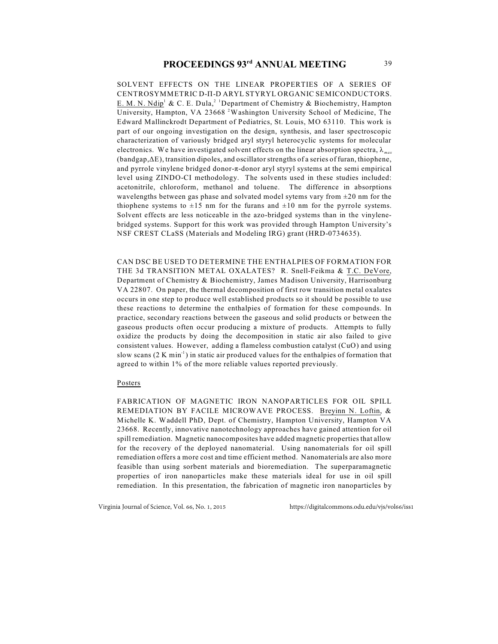SOLVENT EFFECTS ON THE LINEAR PROPERTIES OF A SERIES OF CENTROSYMMETRIC D-II-D ARYL STYRYL ORGANIC SEMICONDUCTORS. E. M. N. Ndip<sup>1</sup> & C. E. Dula,<sup>2</sup> <sup>1</sup> Department of Chemistry & Biochemistry, Hampton University, Hampton, VA 23668<sup>2</sup> Washington University School of Medicine, The Edward Mallinckrodt Department of Pediatrics, St. Louis, MO 63110. This work is part of our ongoing investigation on the design, synthesis, and laser spectroscopic characterization of variously bridged aryl styryl heterocyclic systems for molecular electronics. We have investigated solvent effects on the linear absorption spectra,  $\lambda_{max}$  $(b$ andgap, $\Delta E$ ), transition dipoles, and oscillator strengths of a series of furan, thiophene, and pyrrole vinylene bridged donor- $\pi$ -donor aryl styryl systems at the semi empirical level using ZINDO-CI methodology. The solvents used in these studies included: acetonitrile, chloroform, methanol and toluene. The difference in absorptions wavelengths between gas phase and solvated model sytems vary from  $\pm 20$  nm for the thiophene systems to  $\pm 15$  nm for the furans and  $\pm 10$  nm for the pyrrole systems. Solvent effects are less noticeable in the azo-bridged systems than in the vinylenebridged systems. Support for this work was provided through Hampton University's NSF CREST CLaSS (Materials and Modeling IRG) grant (HRD-0734635).

CAN DSC BE USED TO DETERMINE THE ENTHALPIES OF FORMATION FOR THE 3d TRANSITION METAL OXALATES? R. Snell-Feikma & T.C. DeVore, Department of Chemistry & Biochemistry, James Madison University, Harrisonburg VA 22807. On paper, the thermal decomposition of first row transition metal oxalates occurs in one step to produce well established products so it should be possible to use these reactions to determine the enthalpies of formation for these compounds. In practice, secondary reactions between the gaseous and solid products or between the gaseous products often occur producing a mixture of products. Attempts to fully oxidize the products by doing the decomposition in static air also failed to give consistent values. However, adding a flameless combustion catalyst (CuO) and using slow scans  $(2 K min<sup>-1</sup>)$  in static air produced values for the enthalpies of formation that agreed to within 1% of the more reliable values reported previously.

#### Posters

FABRICATION OF MAGNETIC IRON NANOPARTICLES FOR OIL SPILL REMEDIATION BY FACILE MICROWAVE PROCESS. Breyinn N. Loftin, & Michelle K. Waddell PhD, Dept. of Chemistry, Hampton University, Hampton VA 23668. Recently, innovative nanotechnology approaches have gained attention for oil spill remediation. Magnetic nanocomposites have added magnetic properties that allow for the recovery of the deployed nanomaterial. Using nanomaterials for oil spill remediation offers a more cost and time efficient method. Nanomaterials are also more feasible than using sorbent materials and bioremediation. The superparamagnetic properties of iron nanoparticles make these materials ideal for use in oil spill remediation. In this presentation, the fabrication of magnetic iron nanoparticles by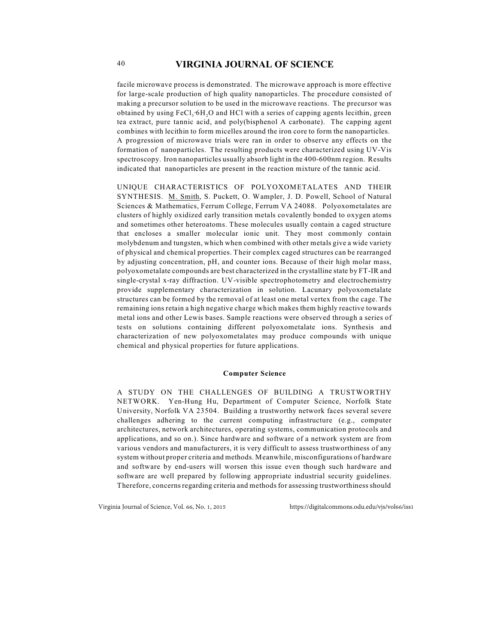facile microwave process is demonstrated. The microwave approach is more effective for large-scale production of high quality nanoparticles. The procedure consisted of making a precursor solution to be used in the microwave reactions. The precursor was obtained by using  $FeCl<sub>3</sub>·6H<sub>2</sub>O$  and HCl with a series of capping agents lecithin, green tea extract, pure tannic acid, and poly(bisphenol A carbonate). The capping agent combines with lecithin to form micelles around the iron core to form the nanoparticles. A progression of microwave trials were ran in order to observe any effects on the formation of nanoparticles. The resulting products were characterized using UV-Vis spectroscopy. Iron nanoparticles usually absorb light in the 400-600nm region. Results indicated that nanoparticles are present in the reaction mixture of the tannic acid.

UNIQUE CHARACTERISTICS OF POLYOXOMETALATES AND THEIR SYNTHESIS. M. Smith, S. Puckett, O. Wampler, J. D. Powell, School of Natural Sciences & Mathematics, Ferrum College, Ferrum VA 24088. Polyoxometalates are clusters of highly oxidized early transition metals covalently bonded to oxygen atoms and sometimes other heteroatoms. These molecules usually contain a caged structure that encloses a smaller molecular ionic unit. They most commonly contain molybdenum and tungsten, which when combined with other metals give a wide variety of physical and chemical properties. Their complex caged structures can be rearranged by adjusting concentration, pH, and counter ions. Because of their high molar mass, polyoxometalate compounds are best characterized in the crystalline state by FT-IR and single-crystal x-ray diffraction. UV-visible spectrophotometry and electrochemistry provide supplementary characterization in solution. Lacunary polyoxometalate structures can be formed by the removal of at least one metal vertex from the cage. The remaining ions retain a high negative charge which makes them highly reactive towards metal ions and other Lewis bases. Sample reactions were observed through a series of tests on solutions containing different polyoxometalate ions. Synthesis and characterization of new polyoxometalates may produce compounds with unique chemical and physical properties for future applications.

### **Computer Science**

A STUDY ON THE CHALLENGES OF BUILDING A TRUSTWORTHY NETWORK. Yen-Hung Hu, Department of Computer Science, Norfolk State University, Norfolk VA 23504. Building a trustworthy network faces several severe challenges adhering to the current computing infrastructure (e.g., computer architectures, network architectures, operating systems, communication protocols and applications, and so on.). Since hardware and software of a network system are from various vendors and manufacturers, it is very difficult to assess trustworthiness of any system without proper criteria and methods. Meanwhile, misconfigurations of hardware and software by end-users will worsen this issue even though such hardware and software are well prepared by following appropriate industrial security guidelines. Therefore, concerns regarding criteria and methods for assessing trustworthiness should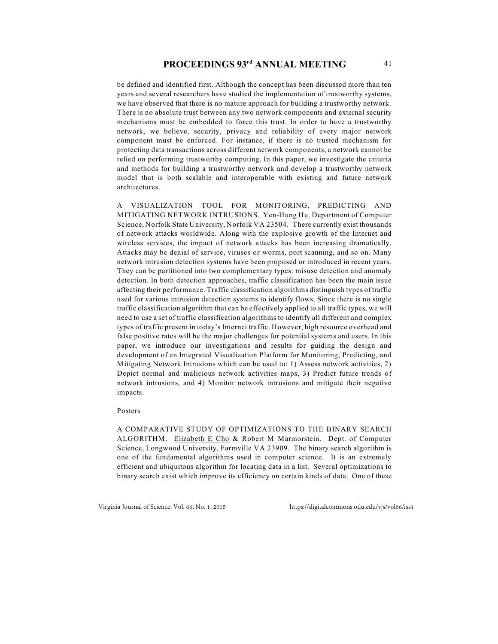be defined and identified first. Although the concept has been discussed more than ten years and several researchers have studied the implementation of trustworthy systems, we have observed that there is no mature approach for building a trustworthy network. There is no absolute trust between any two network components and external security mechanisms must be embedded to force this trust. In order to have a trustworthy network, we believe, security, privacy and reliability of every major network component must be enforced. For instance, if there is no trusted mechanism for protecting data transactions across different network components, a network cannot be relied on performing trustworthy computing. In this paper, we investigate the criteria and methods for building a trustworthy network and develop a trustworthy network model that is both scalable and interoperable with existing and future network architectures.

A VISUALIZATION TOOL FOR MONITORING, PREDICTING AND MITIGATING NETWORK INTRUSIONS. Yen-Hung Hu, Department of Computer Science, Norfolk State University, Norfolk VA 23504. There currently exist thousands of network attacks worldwide. Along with the explosive growth of the Internet and wireless services, the impact of network attacks has been increasing dramatically. Attacks may be denial of service, viruses or worms, port scanning, and so on. Many network intrusion detection systems have been proposed or introduced in recent years. They can be partitioned into two complementary types: misuse detection and anomaly detection. In both detection approaches, traffic classification has been the main issue affecting their performance. Traffic classification algorithms distinguish types of traffic used for various intrusion detection systems to identify flows. Since there is no single traffic classification algorithm that can be effectively applied to all traffic types, we will need to use a set of traffic classification algorithms to identify all different and complex types of traffic present in today's Internet traffic. However, high resource overhead and false positive rates will be the major challenges for potential systems and users. In this paper, we introduce our investigations and results for guiding the design and development of an Integrated Visualization Platform for Monitoring, Predicting, and Mitigating Network Intrusions which can be used to: 1) Assess network activities, 2) Depict normal and malicious network activities maps, 3) Predict future trends of network intrusions, and 4) Monitor network intrusions and mitigate their negative impacts.

### Posters

A COMPARATIVE STUDY OF OPTIMIZATIONS TO THE BINARY SEARCH ALGORITHM. Elizabeth E Cho & Robert M Marmorstein. Dept. of Computer Science, Longwood University, Farmville VA 23909. The binary search algorithm is one of the fundamental algorithms used in computer science. It is an extremely efficient and ubiquitous algorithm for locating data in a list. Several optimizations to binary search exist which improve its efficiency on certain kinds of data. One of these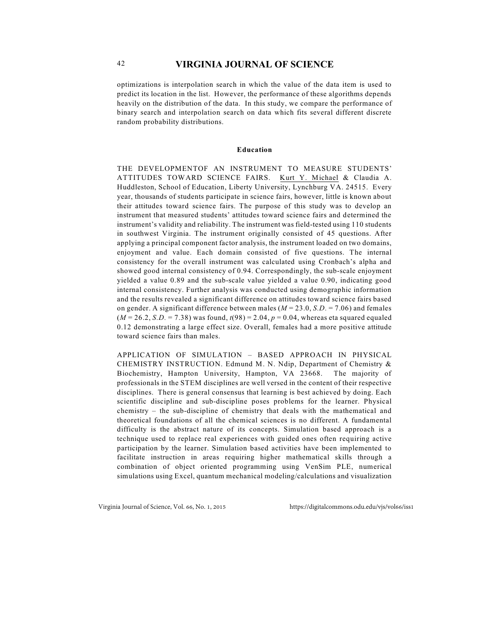optimizations is interpolation search in which the value of the data item is used to predict its location in the list. However, the performance of these algorithms depends heavily on the distribution of the data. In this study, we compare the performance of binary search and interpolation search on data which fits several different discrete random probability distributions.

#### **Education**

THE DEVELOPMENTOF AN INSTRUMENT TO MEASURE STUDENTS' ATTITUDES TOWARD SCIENCE FAIRS. Kurt Y. Michael & Claudia A. Huddleston, School of Education, Liberty University, Lynchburg VA. 24515. Every year, thousands of students participate in science fairs, however, little is known about their attitudes toward science fairs. The purpose of this study was to develop an instrument that measured students' attitudes toward science fairs and determined the instrument's validity and reliability. The instrument was field-tested using 110 students in southwest Virginia. The instrument originally consisted of 45 questions. After applying a principal component factor analysis, the instrument loaded on two domains, enjoyment and value. Each domain consisted of five questions. The internal consistency for the overall instrument was calculated using Cronbach's alpha and showed good internal consistency of 0.94. Correspondingly, the sub-scale enjoyment yielded a value 0.89 and the sub-scale value yielded a value 0.90, indicating good internal consistency. Further analysis was conducted using demographic information and the results revealed a significant difference on attitudes toward science fairs based on gender. A significant difference between males  $(M = 23.0, S.D. = 7.06)$  and females  $(M = 26.2, S.D. = 7.38)$  was found,  $t(98) = 2.04$ ,  $p = 0.04$ , whereas eta squared equaled 0.12 demonstrating a large effect size. Overall, females had a more positive attitude toward science fairs than males.

APPLICATION OF SIMULATION – BASED APPROACH IN PHYSICAL CHEMISTRY INSTRUCTION. Edmund M. N. Ndip, Department of Chemistry & Biochemistry, Hampton University, Hampton, VA 23668. The majority of professionals in the STEM disciplines are well versed in the content of their respective disciplines. There is general consensus that learning is best achieved by doing. Each scientific discipline and sub-discipline poses problems for the learner. Physical chemistry – the sub-discipline of chemistry that deals with the mathematical and theoretical foundations of all the chemical sciences is no different. A fundamental difficulty is the abstract nature of its concepts. Simulation based approach is a technique used to replace real experiences with guided ones often requiring active participation by the learner. Simulation based activities have been implemented to facilitate instruction in areas requiring higher mathematical skills through a combination of object oriented programming using VenSim PLE, numerical simulations using Excel, quantum mechanical modeling/calculations and visualization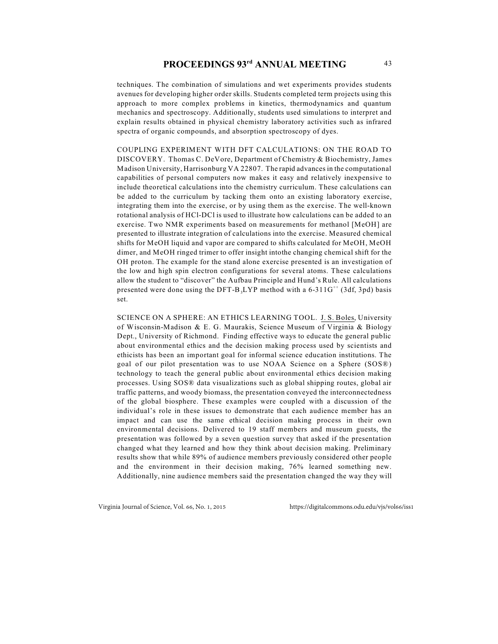techniques. The combination of simulations and wet experiments provides students avenues for developing higher order skills. Students completed term projects using this approach to more complex problems in kinetics, thermodynamics and quantum mechanics and spectroscopy. Additionally, students used simulations to interpret and explain results obtained in physical chemistry laboratory activities such as infrared spectra of organic compounds, and absorption spectroscopy of dyes.

COUPLING EXPERIMENT WITH DFT CALCULATIONS: ON THE ROAD TO DISCOVERY. Thomas C. DeVore, Department of Chemistry & Biochemistry, James Madison University, Harrisonburg VA 22807. The rapid advances in the computational capabilities of personal computers now makes it easy and relatively inexpensive to include theoretical calculations into the chemistry curriculum. These calculations can be added to the curriculum by tacking them onto an existing laboratory exercise, integrating them into the exercise, or by using them as the exercise. The well-known rotational analysis of HCl-DCl is used to illustrate how calculations can be added to an exercise. Two NMR experiments based on measurements for methanol [MeOH] are presented to illustrate integration of calculations into the exercise. Measured chemical shifts for MeOH liquid and vapor are compared to shifts calculated for MeOH, MeOH dimer, and MeOH ringed trimer to offer insight intothe changing chemical shift for the OH proton. The example for the stand alone exercise presented is an investigation of the low and high spin electron configurations for several atoms. These calculations allow the student to "discover" the Aufbau Principle and Hund's Rule. All calculations presented were done using the DFT-B<sub>3</sub>LYP method with a 6-311G<sup>++</sup> (3df, 3pd) basis set.

SCIENCE ON A SPHERE: AN ETHICS LEARNING TOOL. J. S. Boles, University of Wisconsin-Madison & E. G. Maurakis, Science Museum of Virginia & Biology Dept., University of Richmond. Finding effective ways to educate the general public about environmental ethics and the decision making process used by scientists and ethicists has been an important goal for informal science education institutions. The goal of our pilot presentation was to use NOAA Science on a Sphere (SOS®) technology to teach the general public about environmental ethics decision making processes. Using SOS® data visualizations such as global shipping routes, global air traffic patterns, and woody biomass, the presentation conveyed the interconnectedness of the global biosphere. These examples were coupled with a discussion of the individual's role in these issues to demonstrate that each audience member has an impact and can use the same ethical decision making process in their own environmental decisions. Delivered to 19 staff members and museum guests, the presentation was followed by a seven question survey that asked if the presentation changed what they learned and how they think about decision making. Preliminary results show that while 89% of audience members previously considered other people and the environment in their decision making, 76% learned something new. Additionally, nine audience members said the presentation changed the way they will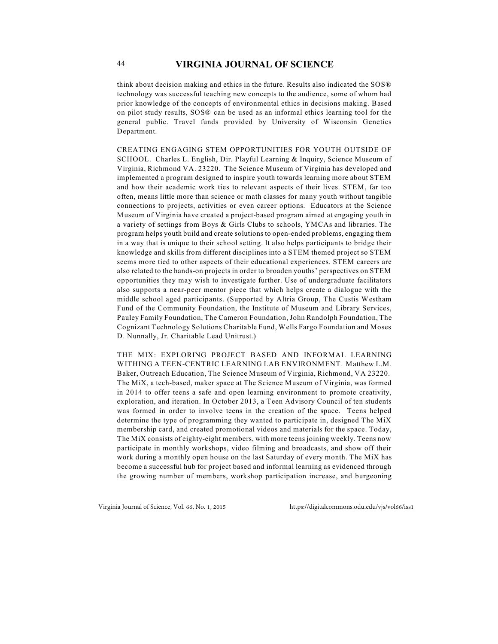think about decision making and ethics in the future. Results also indicated the SOS® technology was successful teaching new concepts to the audience, some of whom had prior knowledge of the concepts of environmental ethics in decisions making. Based on pilot study results, SOS® can be used as an informal ethics learning tool for the general public. Travel funds provided by University of Wisconsin Genetics Department.

CREATING ENGAGING STEM OPPORTUNITIES FOR YOUTH OUTSIDE OF SCHOOL. Charles L. English, Dir. Playful Learning & Inquiry, Science Museum of Virginia, Richmond VA. 23220. The Science Museum of Virginia has developed and implemented a program designed to inspire youth towards learning more about STEM and how their academic work ties to relevant aspects of their lives. STEM, far too often, means little more than science or math classes for many youth without tangible connections to projects, activities or even career options. Educators at the Science Museum of Virginia have created a project-based program aimed at engaging youth in a variety of settings from Boys & Girls Clubs to schools, YMCAs and libraries. The program helps youth build and create solutions to open-ended problems, engaging them in a way that is unique to their school setting. It also helps participants to bridge their knowledge and skills from different disciplines into a STEM themed project so STEM seems more tied to other aspects of their educational experiences. STEM careers are also related to the hands-on projects in order to broaden youths' perspectives on STEM opportunities they may wish to investigate further. Use of undergraduate facilitators also supports a near-peer mentor piece that which helps create a dialogue with the middle school aged participants. (Supported by Altria Group, The Custis Westham Fund of the Community Foundation, the Institute of Museum and Library Services, Pauley Family Foundation, The Cameron Foundation, John Randolph Foundation, The Cognizant Technology Solutions Charitable Fund, Wells Fargo Foundation and Moses D. Nunnally, Jr. Charitable Lead Unitrust.)

THE MIX: EXPLORING PROJECT BASED AND INFORMAL LEARNING WITHING A TEEN-CENTRIC LEARNING LAB ENVIRONMENT. Matthew L.M. Baker, Outreach Education, The Science Museum of Virginia, Richmond, VA 23220. The MiX, a tech-based, maker space at The Science Museum of Virginia, was formed in 2014 to offer teens a safe and open learning environment to promote creativity, exploration, and iteration. In October 2013, a Teen Advisory Council of ten students was formed in order to involve teens in the creation of the space. Teens helped determine the type of programming they wanted to participate in, designed The MiX membership card, and created promotional videos and materials for the space. Today, The MiX consists of eighty-eight members, with more teens joining weekly. Teens now participate in monthly workshops, video filming and broadcasts, and show off their work during a monthly open house on the last Saturday of every month. The MiX has become a successful hub for project based and informal learning as evidenced through the growing number of members, workshop participation increase, and burgeoning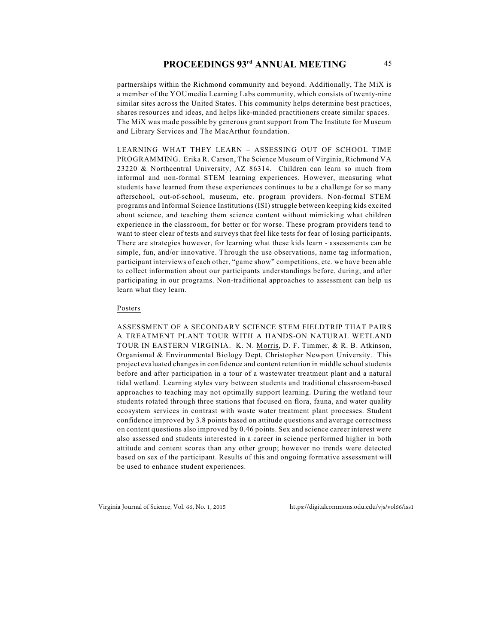partnerships within the Richmond community and beyond. Additionally, The MiX is a member of the YOUmedia Learning Labs community, which consists of twenty-nine similar sites across the United States. This community helps determine best practices, shares resources and ideas, and helps like-minded practitioners create similar spaces. The MiX was made possible by generous grant support from The Institute for Museum and Library Services and The MacArthur foundation.

LEARNING WHAT THEY LEARN – ASSESSING OUT OF SCHOOL TIME PROGRAMMING. Erika R. Carson, The Science Museum of Virginia, Richmond VA 23220 & Northcentral University, AZ 86314. Children can learn so much from informal and non-formal STEM learning experiences. However, measuring what students have learned from these experiences continues to be a challenge for so many afterschool, out-of-school, museum, etc. program providers. Non-formal STEM programs and Informal Science Institutions (ISI) struggle between keeping kids excited about science, and teaching them science content without mimicking what children experience in the classroom, for better or for worse. These program providers tend to want to steer clear of tests and surveys that feel like tests for fear of losing participants. There are strategies however, for learning what these kids learn - assessments can be simple, fun, and/or innovative. Through the use observations, name tag information, participant interviews of each other, "game show" competitions, etc. we have been able to collect information about our participants understandings before, during, and after participating in our programs. Non-traditional approaches to assessment can help us learn what they learn.

### Posters

ASSESSMENT OF A SECONDARY SCIENCE STEM FIELDTRIP THAT PAIRS A TREATMENT PLANT TOUR WITH A HANDS-ON NATURAL WETLAND TOUR IN EASTERN VIRGINIA. K. N. Morris, D. F. Timmer, & R. B. Atkinson, Organismal & Environmental Biology Dept, Christopher Newport University. This project evaluated changes in confidence and content retention in middle school students before and after participation in a tour of a wastewater treatment plant and a natural tidal wetland. Learning styles vary between students and traditional classroom-based approaches to teaching may not optimally support learning. During the wetland tour students rotated through three stations that focused on flora, fauna, and water quality ecosystem services in contrast with waste water treatment plant processes. Student confidence improved by 3.8 points based on attitude questions and average correctness on content questions also improved by 0.46 points. Sex and science career interest were also assessed and students interested in a career in science performed higher in both attitude and content scores than any other group; however no trends were detected based on sex of the participant. Results of this and ongoing formative assessment will be used to enhance student experiences.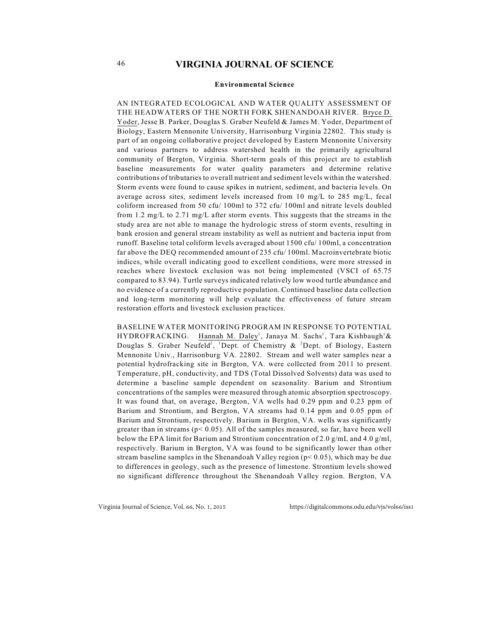#### **Environmental Science**

AN INTEGRATED ECOLOGICAL AND WATER QUALITY ASSESSMENT OF THE HEADWATERS OF THE NORTH FORK SHENANDOAH RIVER. Bryce D. Yoder, Jesse B. Parker, Douglas S. Graber Neufeld & James M. Yoder, Department of Biology, Eastern Mennonite University, Harrisonburg Virginia 22802. This study is part of an ongoing collaborative project developed by Eastern Mennonite University and various partners to address watershed health in the primarily agricultural community of Bergton, Virginia. Short-term goals of this project are to establish baseline measurements for water quality parameters and determine relative contributions of tributaries to overall nutrient and sediment levels within the watershed. Storm events were found to cause spikes in nutrient, sediment, and bacteria levels. On average across sites, sediment levels increased from 10 mg/L to 285 mg/L, fecal coliform increased from 50 cfu/ 100ml to 372 cfu/ 100ml and nitrate levels doubled from 1.2 mg/L to 2.71 mg/L after storm events. This suggests that the streams in the study area are not able to manage the hydrologic stress of storm events, resulting in bank erosion and general stream instability as well as nutrient and bacteria input from runoff. Baseline total coliform levels averaged about 1500 cfu/ 100ml, a concentration far above the DEQ recommended amount of 235 cfu/ 100ml. Macroinvertebrate biotic indices, while overall indicating good to excellent conditions, were more stressed in reaches where livestock exclusion was not being implemented (VSCI of 65.75 compared to 83.94). Turtle surveys indicated relatively low wood turtle abundance and no evidence of a currently reproductive population. Continued baseline data collection and long-term monitoring will help evaluate the effectiveness of future stream restoration efforts and livestock exclusion practices.

BASELINE WATER MONITORING PROGRAM IN RESPONSE TO POTENTIAL HYDROFRACKING. Hannah M. Daley<sup>1</sup>, Janaya M. Sachs<sup>1</sup>, Tara Kishbaugh<sup>1</sup>& Douglas S. Graber Neufeld<sup>2</sup>, <sup>1</sup>Dept. of Chemistry & <sup>2</sup>Dept. of Biology, Eastern Mennonite Univ., Harrisonburg VA. 22802. Stream and well water samples near a potential hydrofracking site in Bergton, VA. were collected from 2011 to present. Temperature, pH, conductivity, and TDS (Total Dissolved Solvents) data was used to determine a baseline sample dependent on seasonality. Barium and Strontium concentrations of the samples were measured through atomic absorption spectroscopy. It was found that, on average, Bergton, VA wells had 0.29 ppm and 0.23 ppm of Barium and Strontium, and Bergton, VA streams had 0.14 ppm and 0.05 ppm of Barium and Strontium, respectively. Barium in Bergton, VA. wells was significantly greater than in streams ( $p < 0.05$ ). All of the samples measured, so far, have been well below the EPA limit for Barium and Strontium concentration of 2.0 g/mL and 4.0 g/ml, respectively. Barium in Bergton, VA was found to be significantly lower than other stream baseline samples in the Shenandoah Valley region (p< 0.05), which may be due to differences in geology, such as the presence of limestone. Strontium levels showed no significant difference throughout the Shenandoah Valley region. Bergton, VA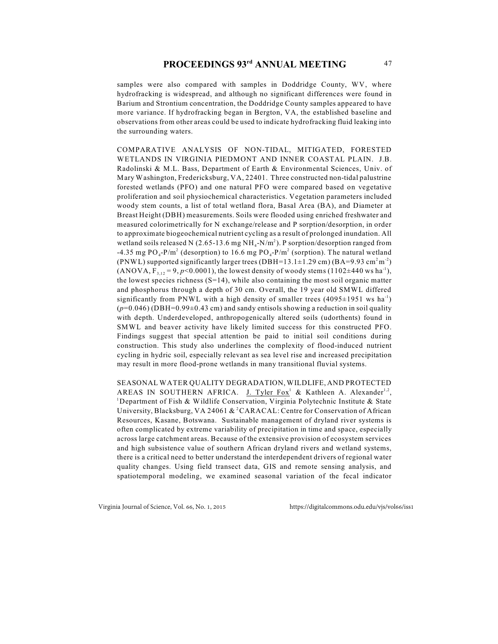# **PROCEEDINGS 93<sup>rd</sup> ANNUAL MEETING** 47

samples were also compared with samples in Doddridge County, WV, where hydrofracking is widespread, and although no significant differences were found in Barium and Strontium concentration, the Doddridge County samples appeared to have more variance. If hydrofracking began in Bergton, VA, the established baseline and observations from other areas could be used to indicate hydrofracking fluid leaking into the surrounding waters.

COMPARATIVE ANALYSIS OF NON-TIDAL, MITIGATED, FORESTED WETLANDS IN VIRGINIA PIEDMONT AND INNER COASTAL PLAIN. J.B. Radolinski & M.L. Bass, Department of Earth & Environmental Sciences, Univ. of Mary Washington, Fredericksburg, VA, 22401. Three constructed non-tidal palustrine forested wetlands (PFO) and one natural PFO were compared based on vegetative proliferation and soil physiochemical characteristics. Vegetation parameters included woody stem counts, a list of total wetland flora, Basal Area (BA), and Diameter at Breast Height (DBH) measurements. Soils were flooded using enriched freshwater and measured colorimetrically for N exchange/release and P sorption/desorption, in order to approximate biogeochemical nutrient cycling as a result of prolonged inundation. All wetland soils released N (2.65-13.6 mg NH<sub>4</sub>-N/m<sup>2</sup>). P sorption/desorption ranged from -4.35 mg  $PO_4$ -P/m<sup>2</sup> (desorption) to 16.6 mg  $PO_4$ -P/m<sup>2</sup> (sorption). The natural wetland (PNWL) supported significantly larger trees (DBH=13.1 $\pm$ 1.29 cm) (BA=9.93 cm<sup>2</sup>m<sup>-2</sup>)  $(ANOVA, F<sub>3,12</sub> = 9, p<0.0001)$ , the lowest density of woody stems (1102±440 ws ha<sup>-1</sup>), the lowest species richness  $(S=14)$ , while also containing the most soil organic matter and phosphorus through a depth of 30 cm. Overall, the 19 year old SMWL differed significantly from PNWL with a high density of smaller trees  $(4095\pm1951 \text{ ws ha}^{-1})$  $(p=0.046)$  (DBH=0.99 $\pm$ 0.43 cm) and sandy entisols showing a reduction in soil quality with depth. Underdeveloped, anthropogenically altered soils (udorthents) found in SMWL and beaver activity have likely limited success for this constructed PFO. Findings suggest that special attention be paid to initial soil conditions during construction. This study also underlines the complexity of flood-induced nutrient cycling in hydric soil, especially relevant as sea level rise and increased precipitation may result in more flood-prone wetlands in many transitional fluvial systems.

SEASONAL WATER QUALITY DEGRADATION, WILDLIFE, AND PROTECTED AREAS IN SOUTHERN AFRICA. J. Tyler Fox<sup>1</sup> & Kathleen A. Alexander<sup>1,2</sup>, <sup>1</sup>Department of Fish & Wildlife Conservation, Virginia Polytechnic Institute & State University, Blacksburg, VA 24061 & <sup>2</sup>CARACAL: Centre for Conservation of African Resources, Kasane, Botswana. Sustainable management of dryland river systems is often complicated by extreme variability of precipitation in time and space, especially across large catchment areas. Because of the extensive provision of ecosystem services and high subsistence value of southern African dryland rivers and wetland systems, there is a critical need to better understand the interdependent drivers of regional water quality changes. Using field transect data, GIS and remote sensing analysis, and spatiotemporal modeling, we examined seasonal variation of the fecal indicator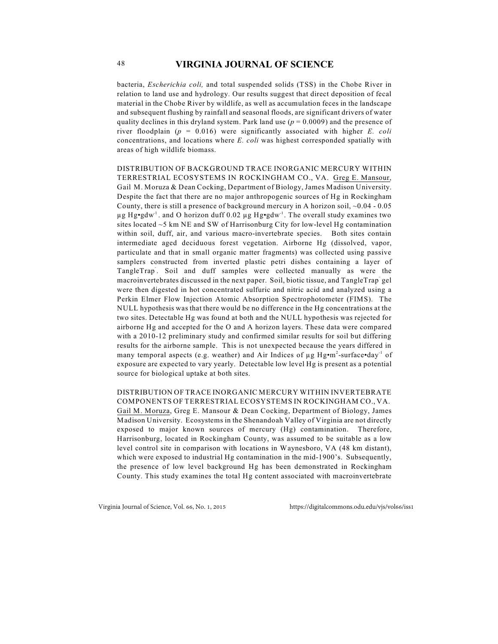bacteria, *Escherichia coli,* and total suspended solids (TSS) in the Chobe River in relation to land use and hydrology. Our results suggest that direct deposition of fecal material in the Chobe River by wildlife, as well as accumulation feces in the landscape and subsequent flushing by rainfall and seasonal floods, are significant drivers of water quality declines in this dryland system. Park land use  $(p = 0.0009)$  and the presence of river floodplain (*p* = 0.016) were significantly associated with higher *E. coli* concentrations, and locations where *E. coli* was highest corresponded spatially with areas of high wildlife biomass.

DISTRIBUTION OF BACKGROUND TRACE INORGANIC MERCURY WITHIN TERRESTRIAL ECOSYSTEMS IN ROCKINGHAM CO., VA. Greg E. Mansour, Gail M. Moruza & Dean Cocking, Department of Biology, James Madison University. Despite the fact that there are no major anthropogenic sources of Hg in Rockingham County, there is still a presence of background mercury in A horizon soil,  $\sim 0.04$  - 0.05  $\mu$ g Hg•gdw<sup>-1</sup>. and O horizon duff 0.02  $\mu$ g Hg•gdw<sup>-1</sup>. The overall study examines two sites located ~5 km NE and SW of Harrisonburg City for low-level Hg contamination within soil, duff, air, and various macro-invertebrate species. Both sites contain intermediate aged deciduous forest vegetation. Airborne Hg (dissolved, vapor, particulate and that in small organic matter fragments) was collected using passive samplers constructed from inverted plastic petri dishes containing a layer of TangleTrap. Soil and duff samples were collected manually as were the macroinvertebrates discussed in the next paper. Soil, biotic tissue, and TangleTrap gel were then digested in hot concentrated sulfuric and nitric acid and analyzed using a Perkin Elmer Flow Injection Atomic Absorption Spectrophotometer (FIMS). The NULL hypothesis was that there would be no difference in the Hg concentrations at the two sites. Detectable Hg was found at both and the NULL hypothesis was rejected for airborne Hg and accepted for the O and A horizon layers. These data were compared with a 2010-12 preliminary study and confirmed similar results for soil but differing results for the airborne sample. This is not unexpected because the years differed in many temporal aspects (e.g. weather) and Air Indices of  $\mu$ g Hg•m<sup>2</sup>-surface•day<sup>-1</sup> of exposure are expected to vary yearly. Detectable low level Hg is present as a potential source for biological uptake at both sites.

DISTRIBUTION OF TRACE INORGANIC MERCURY WITHIN INVERTEBRATE COMPONENTS OF TERRESTRIAL ECOSYSTEMS IN ROCKINGHAM CO., VA. Gail M. Moruza, Greg E. Mansour & Dean Cocking, Department of Biology, James Madison University. Ecosystems in the Shenandoah Valley of Virginia are not directly exposed to major known sources of mercury (Hg) contamination. Therefore, Harrisonburg, located in Rockingham County, was assumed to be suitable as a low level control site in comparison with locations in Waynesboro, VA (48 km distant), which were exposed to industrial Hg contamination in the mid-1900's. Subsequently, the presence of low level background Hg has been demonstrated in Rockingham County. This study examines the total Hg content associated with macroinvertebrate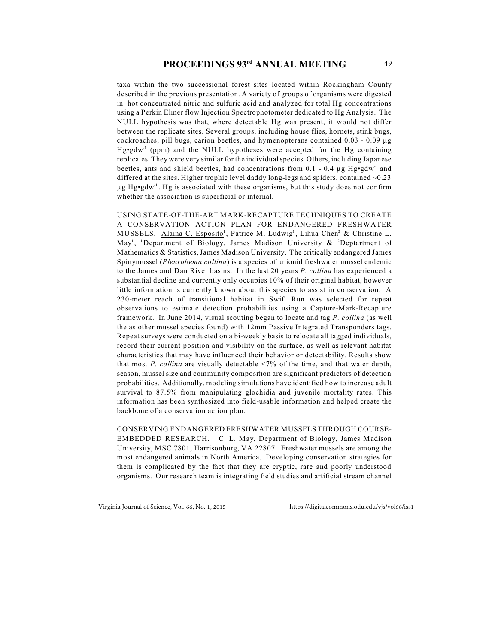taxa within the two successional forest sites located within Rockingham County described in the previous presentation. A variety of groups of organisms were digested in hot concentrated nitric and sulfuric acid and analyzed for total Hg concentrations using a Perkin Elmer flow Injection Spectrophotometer dedicated to Hg Analysis. The NULL hypothesis was that, where detectable Hg was present, it would not differ between the replicate sites. Several groups, including house flies, hornets, stink bugs, cockroaches, pill bugs, carion beetles, and hymenopterans contained 0.03 - 0.09 µg  $Hg \cdot g dw^1$  (ppm) and the NULL hypotheses were accepted for the Hg containing replicates. They were very similar for the individual species. Others, including Japanese beetles, ants and shield beetles, had concentrations from 0.1 - 0.4  $\mu$ g Hg•gdw<sup>-1</sup> and differed at the sites. Higher trophic level daddy long-legs and spiders, contained  $\sim 0.23$  $\mu$ g Hg•gdw<sup>-1</sup>. Hg is associated with these organisms, but this study does not confirm whether the association is superficial or internal.

USING STATE-OF-THE-ART MARK-RECAPTURE TECHNIQUES TO CREATE A CONSERVATION ACTION PLAN FOR ENDANGERED FRESHWATER MUSSELS. Alaina C. Esposito<sup>1</sup>, Patrice M. Ludwig<sup>1</sup>, Lihua Chen<sup>2</sup> & Christine L. May<sup>1</sup>, <sup>1</sup>Department of Biology, James Madison University & <sup>2</sup>Deptartment of Mathematics & Statistics, James Madison University. The critically endangered James Spinymussel (*Pleurobema collina*) is a species of unionid freshwater mussel endemic to the James and Dan River basins. In the last 20 years *P. collina* has experienced a substantial decline and currently only occupies 10% of their original habitat, however little information is currently known about this species to assist in conservation. A 230-meter reach of transitional habitat in Swift Run was selected for repeat observations to estimate detection probabilities using a Capture-Mark-Recapture framework. In June 2014, visual scouting began to locate and tag *P. collina* (as well the as other mussel species found) with 12mm Passive Integrated Transponders tags. Repeat surveys were conducted on a bi-weekly basis to relocate all tagged individuals, record their current position and visibility on the surface, as well as relevant habitat characteristics that may have influenced their behavior or detectability. Results show that most *P. collina* are visually detectable <7% of the time, and that water depth, season, mussel size and community composition are significant predictors of detection probabilities. Additionally, modeling simulations have identified how to increase adult survival to 87.5% from manipulating glochidia and juvenile mortality rates. This information has been synthesized into field-usable information and helped create the backbone of a conservation action plan.

CONSERVING ENDANGERED FRESHWATER MUSSELS THROUGH COURSE-EMBEDDED RESEARCH. C. L. May, Department of Biology, James Madison University, MSC 7801, Harrisonburg, VA 22807. Freshwater mussels are among the most endangered animals in North America. Developing conservation strategies for them is complicated by the fact that they are cryptic, rare and poorly understood organisms. Our research team is integrating field studies and artificial stream channel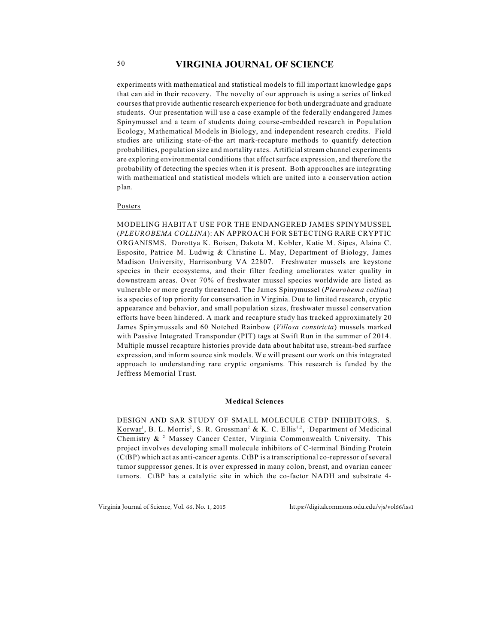experiments with mathematical and statistical models to fill important knowledge gaps that can aid in their recovery. The novelty of our approach is using a series of linked courses that provide authentic research experience for both undergraduate and graduate students. Our presentation will use a case example of the federally endangered James Spinymussel and a team of students doing course-embedded research in Population Ecology, Mathematical Models in Biology, and independent research credits. Field studies are utilizing state-of-the art mark-recapture methods to quantify detection probabilities, population size and mortality rates. Artificial stream channel experiments are exploring environmental conditions that effect surface expression, and therefore the probability of detecting the species when it is present. Both approaches are integrating with mathematical and statistical models which are united into a conservation action plan.

### Posters

MODELING HABITAT USE FOR THE ENDANGERED JAMES SPINYMUSSEL (*PLEUROBEMA COLLINA*): AN APPROACH FOR SETECTING RARE CRYPTIC ORGANISMS. Dorottya K. Boisen, Dakota M. Kobler, Katie M. Sipes, Alaina C. Esposito, Patrice M. Ludwig & Christine L. May, Department of Biology, James Madison University, Harrisonburg VA 22807. Freshwater mussels are keystone species in their ecosystems, and their filter feeding ameliorates water quality in downstream areas. Over 70% of freshwater mussel species worldwide are listed as vulnerable or more greatly threatened. The James Spinymussel (*Pleurobema collina*) is a species of top priority for conservation in Virginia. Due to limited research, cryptic appearance and behavior, and small population sizes, freshwater mussel conservation efforts have been hindered. A mark and recapture study has tracked approximately 20 James Spinymussels and 60 Notched Rainbow (*Villosa constricta*) mussels marked with Passive Integrated Transponder (PIT) tags at Swift Run in the summer of 2014. Multiple mussel recapture histories provide data about habitat use, stream-bed surface expression, and inform source sink models. We will present our work on this integrated approach to understanding rare cryptic organisms. This research is funded by the Jeffress Memorial Trust.

#### **Medical Sciences**

DESIGN AND SAR STUDY OF SMALL MOLECULE CTBP INHIBITORS. S. Korwar<sup>1</sup>, B. L. Morris<sup>2</sup>, S. R. Grossman<sup>2</sup> & K. C. Ellis<sup>1,2</sup>, <sup>1</sup>Department of Medicinal Chemistry  $\&$  <sup>2</sup> Massey Cancer Center, Virginia Commonwealth University. This project involves developing small molecule inhibitors of C-terminal Binding Protein (CtBP) which act as anti-cancer agents. CtBP is a transcriptional co-repressor of several tumor suppressor genes. It is over expressed in many colon, breast, and ovarian cancer tumors. CtBP has a catalytic site in which the co-factor NADH and substrate 4-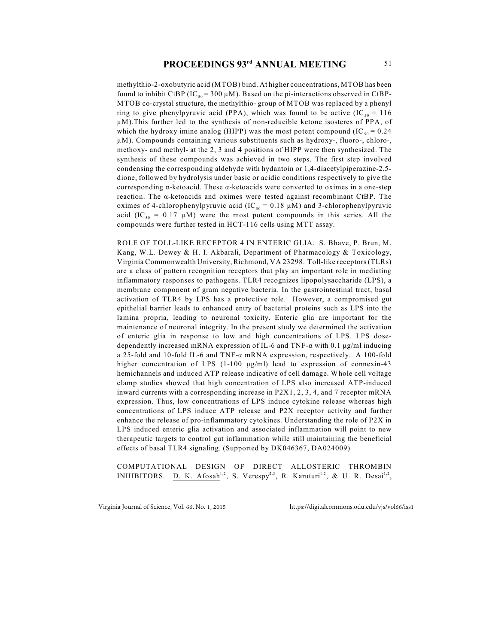methylthio-2-oxobutyric acid (MTOB) bind. At higher concentrations, MTOB has been found to inhibit CtBP (IC  $_{50}$  = 300  $\mu$ M). Based on the pi-interactions observed in CtBP-MTOB co-crystal structure, the methylthio- group of MTOB was replaced by a phenyl ring to give phenylpyruvic acid (PPA), which was found to be active (IC  $_{50}$  = 116 µM).This further led to the synthesis of non-reducible ketone isosteres of PPA, of which the hydroxy imine analog (HIPP) was the most potent compound (IC  $_{50} = 0.24$ µM). Compounds containing various substituents such as hydroxy-, fluoro-, chloro-, methoxy- and methyl- at the 2, 3 and 4 positions of HIPP were then synthesized. The synthesis of these compounds was achieved in two steps. The first step involved condensing the corresponding aldehyde with hydantoin or 1,4-diacetylpiperazine-2,5 dione, followed by hydrolysis under basic or acidic conditions respectively to give the corresponding  $\alpha$ -ketoacid. These  $\alpha$ -ketoacids were converted to oximes in a one-step reaction. The  $\alpha$ -ketoacids and oximes were tested against recombinant CtBP. The oximes of 4-chlorophenylpyruvic acid (IC<sub>50</sub> = 0.18  $\mu$ M) and 3-chlorophenylpyruvic acid (IC<sub>50</sub> = 0.17 µM) were the most potent compounds in this series. All the compounds were further tested in HCT-116 cells using MTT assay.

ROLE OF TOLL-LIKE RECEPTOR 4 IN ENTERIC GLIA. S. Bhave, P. Brun, M. Kang, W.L. Dewey & H. I. Akbarali, Department of Pharmacology & Toxicology, Virginia Commonwealth University, Richmond, VA 23298. Toll-like receptors (TLRs) are a class of pattern recognition receptors that play an important role in mediating inflammatory responses to pathogens. TLR4 recognizes lipopolysaccharide (LPS), a membrane component of gram negative bacteria. In the gastrointestinal tract, basal activation of TLR4 by LPS has a protective role. However, a compromised gut epithelial barrier leads to enhanced entry of bacterial proteins such as LPS into the lamina propria, leading to neuronal toxicity. Enteric glia are important for the maintenance of neuronal integrity. In the present study we determined the activation of enteric glia in response to low and high concentrations of LPS. LPS dosedependently increased mRNA expression of IL-6 and TNF- $\alpha$  with 0.1  $\mu$ g/ml inducing a 25-fold and 10-fold IL-6 and TNF- $\alpha$  mRNA expression, respectively. A 100-fold higher concentration of LPS (1-100  $\mu$ g/ml) lead to expression of connexin-43 hemichannels and induced ATP release indicative of cell damage. Whole cell voltage clamp studies showed that high concentration of LPS also increased ATP-induced inward currents with a corresponding increase in P2X1, 2, 3, 4, and 7 receptor mRNA expression. Thus, low concentrations of LPS induce cytokine release whereas high concentrations of LPS induce ATP release and P2X receptor activity and further enhance the release of pro-inflammatory cytokines. Understanding the role of P2X in LPS induced enteric glia activation and associated inflammation will point to new therapeutic targets to control gut inflammation while still maintaining the beneficial effects of basal TLR4 signaling. (Supported by DK046367, DA024009)

COMPUTATIONAL DESIGN OF DIRECT ALLOSTERIC THROMBIN INHIBITORS. D. K. Afosah<sup>1,2</sup>, S. Verespy<sup>2,3</sup>, R. Karuturi<sup>1,2</sup>, & U. R. Desai<sup>1,2</sup>,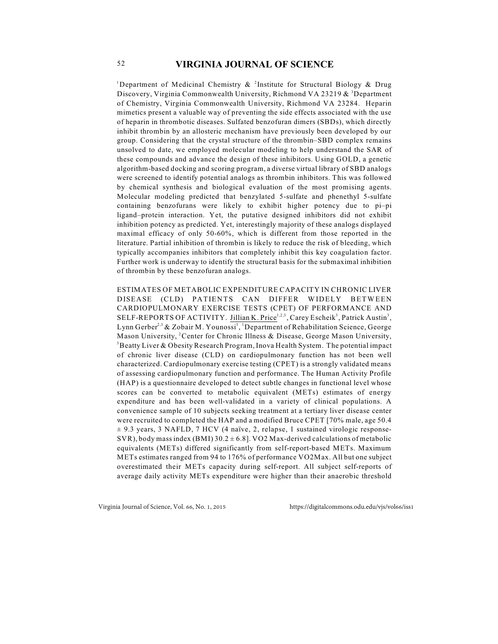<sup>1</sup>Department of Medicinal Chemistry  $\&$  <sup>2</sup>Institute for Structural Biology  $\&$  Drug Discovery, Virginia Commonwealth University, Richmond VA 23219  $\&$  <sup>3</sup>Department of Chemistry, Virginia Commonwealth University, Richmond VA 23284. Heparin mimetics present a valuable way of preventing the side effects associated with the use of heparin in thrombotic diseases. Sulfated benzofuran dimers (SBDs), which directly inhibit thrombin by an allosteric mechanism have previously been developed by our group. Considering that the crystal structure of the thrombin–SBD complex remains unsolved to date, we employed molecular modeling to help understand the SAR of these compounds and advance the design of these inhibitors. Using GOLD, a genetic algorithm-based docking and scoring program, a diverse virtual library of SBD analogs were screened to identify potential analogs as thrombin inhibitors. This was followed by chemical synthesis and biological evaluation of the most promising agents. Molecular modeling predicted that benzylated 5-sulfate and phenethyl 5-sulfate containing benzofurans were likely to exhibit higher potency due to pi–pi ligand–protein interaction. Yet, the putative designed inhibitors did not exhibit inhibition potency as predicted. Yet, interestingly majority of these analogs displayed maximal efficacy of only 50-60%, which is different from those reported in the literature. Partial inhibition of thrombin is likely to reduce the risk of bleeding, which typically accompanies inhibitors that completely inhibit this key coagulation factor. Further work is underway to identify the structural basis for the submaximal inhibition of thrombin by these benzofuran analogs.

ESTIMATES OF METABOLIC EXPENDITURE CAPACITY IN CHRONIC LIVER DISEASE (CLD) PATIENTS CAN DIFFER WIDELY BETWEEN CARDIOPULMONARY EXERCISE TESTS (CPET) OF PERFORMANCE AND SELF-REPORTS OF ACTIVITY. Jillian K. Price<sup>1,2,3</sup>, Carey Escheik<sup>3</sup>, Patrick Austin<sup>3</sup>, Lynn Gerber<sup>2,3</sup> & Zobair M. Younossi<sup>3</sup>, <sup>1</sup>Department of Rehabilitation Science, George Mason University, <sup>2</sup> Center for Chronic Illness & Disease, George Mason University,  ${}^{3}$ Beatty Liver & Obesity Research Program, Inova Health System. The potential impact of chronic liver disease (CLD) on cardiopulmonary function has not been well characterized. Cardiopulmonary exercise testing (CPET) is a strongly validated means of assessing cardiopulmonary function and performance. The Human Activity Profile (HAP) is a questionnaire developed to detect subtle changes in functional level whose scores can be converted to metabolic equivalent (METs) estimates of energy expenditure and has been well-validated in a variety of clinical populations. A convenience sample of 10 subjects seeking treatment at a tertiary liver disease center were recruited to completed the HAP and a modified Bruce CPET [70% male, age 50.4  $\pm$  9.3 years, 3 NAFLD, 7 HCV (4 naïve, 2, relapse, 1 sustained virologic response-SVR), body mass index (BMI)  $30.2 \pm 6.8$ ]. VO2 Max-derived calculations of metabolic equivalents (METs) differed significantly from self-report-based METs. Maximum METs estimates ranged from 94 to 176% of performance VO2Max. All but one subject overestimated their METs capacity during self-report. All subject self-reports of average daily activity METs expenditure were higher than their anaerobic threshold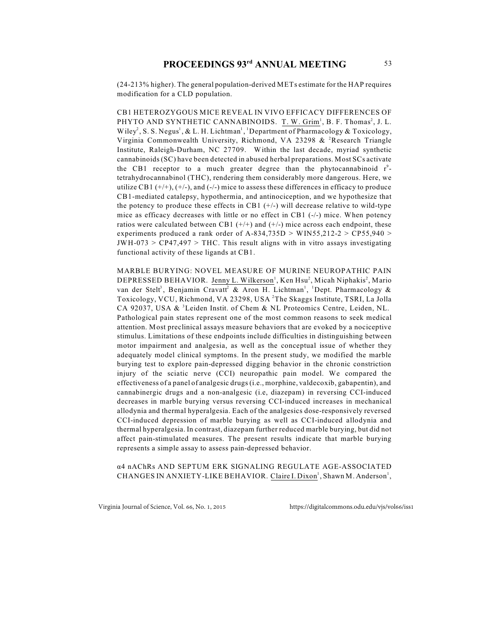(24-213% higher). The general population-derived METs estimate for the HAP requires modification for a CLD population.

CB1 HETEROZYGOUS MICE REVEAL IN VIVO EFFICACY DIFFERENCES OF PHYTO AND SYNTHETIC CANNABINOIDS. T. W. Grim<sup>1</sup>, B. F. Thomas<sup>2</sup>, J. L. Wiley<sup>2</sup>, S. S. Negus<sup>1</sup>, & L. H. Lichtman<sup>1</sup>, <sup>1</sup>Department of Pharmacology & Toxicology, Virginia Commonwealth University, Richmond, VA 23298  $&$  <sup>2</sup>Research Triangle Institute, Raleigh-Durham, NC 27709. Within the last decade, myriad synthetic cannabinoids (SC) have been detected in abused herbal preparations. Most SCs activate the CB1 receptor to a much greater degree than the phytocannabinoid  $r^9$ tetrahydrocannabinol (THC), rendering them considerably more dangerous. Here, we utilize CB1  $(+/+)$ ,  $(+/-)$ , and  $(-/-)$  mice to assess these differences in efficacy to produce CB1-mediated catalepsy, hypothermia, and antinociception, and we hypothesize that the potency to produce these effects in CB1  $(+/-)$  will decrease relative to wild-type mice as efficacy decreases with little or no effect in CB1 (-/-) mice. When potency ratios were calculated between CB1  $(+/-)$  and  $(+/-)$  mice across each endpoint, these experiments produced a rank order of A-834,735D  $>$  WIN55,212-2  $>$  CP55,940  $>$  $JWH-073 > CP47,497 > THC$ . This result aligns with in vitro assays investigating functional activity of these ligands at CB1.

MARBLE BURYING: NOVEL MEASURE OF MURINE NEUROPATHIC PAIN DEPRESSED BEHAVIOR. Jenny L. Wilkerson<sup>1</sup>, Ken Hsu<sup>2</sup>, Micah Niphakis<sup>2</sup>, Mario van der Stelt<sup>3</sup>, Benjamin Cravatt<sup>2</sup> & Aron H. Lichtman<sup>1</sup>, <sup>1</sup>Dept. Pharmacology & Toxicology, VCU, Richmond, VA 23298, USA<sup>2</sup>The Skaggs Institute, TSRI, La Jolla CA 92037, USA  $\&$  <sup>3</sup> Leiden Instit. of Chem  $\&$  NL Proteomics Centre, Leiden, NL. Pathological pain states represent one of the most common reasons to seek medical attention. Most preclinical assays measure behaviors that are evoked by a nociceptive stimulus. Limitations of these endpoints include difficulties in distinguishing between motor impairment and analgesia, as well as the conceptual issue of whether they adequately model clinical symptoms. In the present study, we modified the marble burying test to explore pain-depressed digging behavior in the chronic constriction injury of the sciatic nerve (CCI) neuropathic pain model. We compared the effectiveness of a panel of analgesic drugs (i.e., morphine, valdecoxib, gabapentin), and cannabinergic drugs and a non-analgesic (i.e, diazepam) in reversing CCI-induced decreases in marble burying versus reversing CCI-induced increases in mechanical allodynia and thermal hyperalgesia. Each of the analgesics dose-responsively reversed CCI-induced depression of marble burying as well as CCI-induced allodynia and thermal hyperalgesia. In contrast, diazepam further reduced marble burying, but did not affect pain-stimulated measures. The present results indicate that marble burying represents a simple assay to assess pain-depressed behavior.

á4 nAChRs AND SEPTUM ERK SIGNALING REGULATE AGE-ASSOCIATED CHANGES IN ANXIETY-LIKE BEHAVIOR. Claire I. Dixon<sup>1</sup>, Shawn M. Anderson<sup>1</sup>,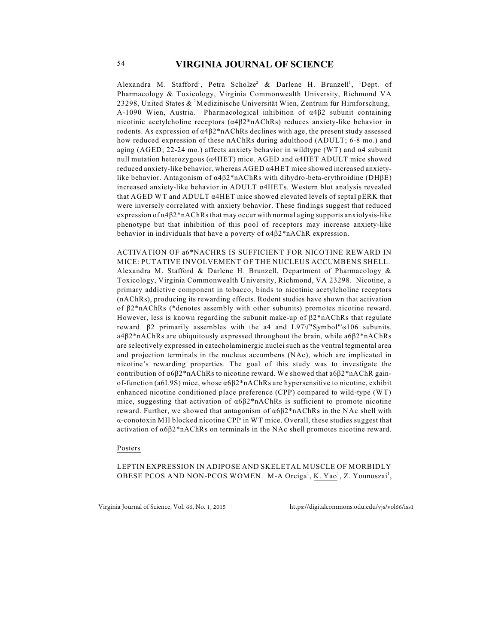Alexandra M. Stafford<sup>1</sup>, Petra Scholze<sup>2</sup> & Darlene H. Brunzell<sup>1</sup>, <sup>1</sup>Dept. of Pharmacology & Toxicology, Virginia Commonwealth University, Richmond VA 23298, United States  $\&^2$ Medizinische Universität Wien, Zentrum für Hirnforschung, A-1090 Wien, Austria. Pharmacological inhibition of  $\alpha$ 4 $\beta$ 2 subunit containing nicotinic acetylcholine receptors  $(\alpha 4\beta 2*n\alpha)$  reduces anxiety-like behavior in rodents. As expression of  $\alpha$ 4 $\beta$ 2\*nAChRs declines with age, the present study assessed how reduced expression of these nAChRs during adulthood (ADULT; 6-8 mo.) and aging (AGED; 22-24 mo.) affects anxiety behavior in wildtype (WT) and  $\alpha$ 4 subunit null mutation heterozygous ( $\alpha$ 4HET) mice. AGED and  $\alpha$ 4HET ADULT mice showed reduced anxiety-like behavior, whereas  $AGED \alpha 4HET$  mice showed increased anxietylike behavior. Antagonism of  $\alpha$ 4 $\beta$ 2\*nAChRs with dihydro-beta-erythroidine (DH $\beta$ E) increased anxiety-like behavior in ADULT  $\alpha$ 4HETs. Western blot analysis revealed that AGED WT and ADULT  $\alpha$ 4HET mice showed elevated levels of septal pERK that were inversely correlated with anxiety behavior. These findings suggest that reduced expression of  $\alpha$ 4 $\beta$ 2\*nAChRs that may occur with normal aging supports anxiolysis-like phenotype but that inhibition of this pool of receptors may increase anxiety-like behavior in individuals that have a poverty of  $\alpha$ 4 $\beta$ 2\*nAChR expression.

ACTIVATION OF a6\*NACHRS IS SUFFICIENT FOR NICOTINE REWARD IN MICE: PUTATIVE INVOLVEMENT OF THE NUCLEUS ACCUMBENS SHELL. Alexandra M. Stafford & Darlene H. Brunzell, Department of Pharmacology & Toxicology, Virginia Commonwealth University, Richmond, VA 23298. Nicotine, a primary addictive component in tobacco, binds to nicotinic acetylcholine receptors (nAChRs), producing its rewarding effects. Rodent studies have shown that activation of  $\beta$ 2\*nAChRs (\*denotes assembly with other subunits) promotes nicotine reward. However, less is known regarding the subunit make-up of  $\beta$ 2\*nAChRs that regulate reward.  $\beta$ 2 primarily assembles with the a4 and L97\f"Symbol"\s106 subunits.  $a4\beta2*n\text{AChRs}$  are ubiquitously expressed throughout the brain, while  $a6\beta2*n\text{AChRs}$ are selectively expressed in catecholaminergic nuclei such as the ventral tegmental area and projection terminals in the nucleus accumbens (NAc), which are implicated in nicotine's rewarding properties. The goal of this study was to investigate the contribution of  $\alpha$ 6 $\beta$ 2\*nAChRs to nicotine reward. We showed that  $\alpha$ 6 $\beta$ 2\*nAChR gainof-function (a6L9S) mice, whose  $\alpha 6\beta 2*n\Lambda ChRs$  are hypersensitive to nicotine, exhibit enhanced nicotine conditioned place preference (CPP) compared to wild-type (WT) mice, suggesting that activation of  $\alpha 6\beta 2*n\text{AChRs}$  is sufficient to promote nicotine reward. Further, we showed that antagonism of  $\alpha 6\beta 2*n\Lambda$ ChRs in the NAc shell with  $\alpha$ -conotoxin MII blocked nicotine CPP in WT mice. Overall, these studies suggest that activation of  $\alpha$ 6 $\beta$ 2\*nAChRs on terminals in the NAc shell promotes nicotine reward.

### Posters

LEPTIN EXPRESSION IN ADIPOSE AND SKELETAL MUSCLE OF MORBIDLY OBESE PCOS AND NON-PCOS WOMEN. M-A Orciga<sup>1</sup>, K. Yao<sup>1</sup>, Z. Younoszai<sup>1</sup>,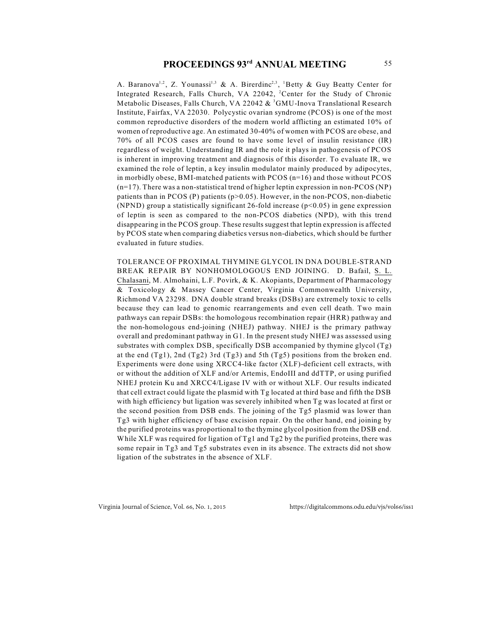A. Baranova<sup>1,2</sup>, Z. Younassi<sup>1,3</sup> & A. Birerdinc<sup>2,3</sup>, <sup>1</sup>Betty & Guy Beatty Center for Integrated Research, Falls Church, VA 22042, <sup>2</sup>Center for the Study of Chronic Metabolic Diseases, Falls Church, VA 22042  $\&$ <sup>3</sup>GMU-Inova Translational Research Institute, Fairfax, VA 22030. Polycystic ovarian syndrome (PCOS) is one of the most common reproductive disorders of the modern world afflicting an estimated 10% of women of reproductive age. An estimated 30-40% of women with PCOS are obese, and 70% of all PCOS cases are found to have some level of insulin resistance (IR) regardless of weight. Understanding IR and the role it plays in pathogenesis of PCOS is inherent in improving treatment and diagnosis of this disorder. To evaluate IR, we examined the role of leptin, a key insulin modulator mainly produced by adipocytes, in morbidly obese, BMI-matched patients with PCOS (n=16) and those without PCOS  $(n=17)$ . There was a non-statistical trend of higher leptin expression in non-PCOS (NP) patients than in PCOS (P) patients ( $p>0.05$ ). However, in the non-PCOS, non-diabetic (NPND) group a statistically significant 26-fold increase  $(p<0.05)$  in gene expression of leptin is seen as compared to the non-PCOS diabetics (NPD), with this trend disappearing in the PCOS group. These results suggest that leptin expression is affected by PCOS state when comparing diabetics versus non-diabetics, which should be further evaluated in future studies.

TOLERANCE OF PROXIMAL THYMINE GLYCOL IN DNA DOUBLE-STRAND BREAK REPAIR BY NONHOMOLOGOUS END JOINING. D. Bafail, S. L. Chalasani, M. Almohaini, L.F. Povirk, & K. Akopiants, Department of Pharmacology & Toxicology & Massey Cancer Center, Virginia Commonwealth University, Richmond VA 23298. DNA double strand breaks (DSBs) are extremely toxic to cells because they can lead to genomic rearrangements and even cell death. Two main pathways can repair DSBs: the homologous recombination repair (HRR) pathway and the non-homologous end-joining (NHEJ) pathway. NHEJ is the primary pathway overall and predominant pathway in G1. In the present study NHEJ was assessed using substrates with complex DSB, specifically DSB accompanied by thymine glycol (Tg) at the end  $(Tg1)$ , 2nd  $(Tg2)$  3rd  $(Tg3)$  and 5th  $(Tg5)$  positions from the broken end. Experiments were done using XRCC4-like factor (XLF)-deficient cell extracts, with or without the addition of XLF and/or Artemis, EndoIII and ddTTP, or using purified NHEJ protein Ku and XRCC4/Ligase IV with or without XLF. Our results indicated that cell extract could ligate the plasmid with Tg located at third base and fifth the DSB with high efficiency but ligation was severely inhibited when Tg was located at first or the second position from DSB ends. The joining of the Tg5 plasmid was lower than Tg3 with higher efficiency of base excision repair. On the other hand, end joining by the purified proteins was proportional to the thymine glycol position from the DSB end. While XLF was required for ligation of Tg1 and Tg2 by the purified proteins, there was some repair in Tg3 and Tg5 substrates even in its absence. The extracts did not show ligation of the substrates in the absence of XLF.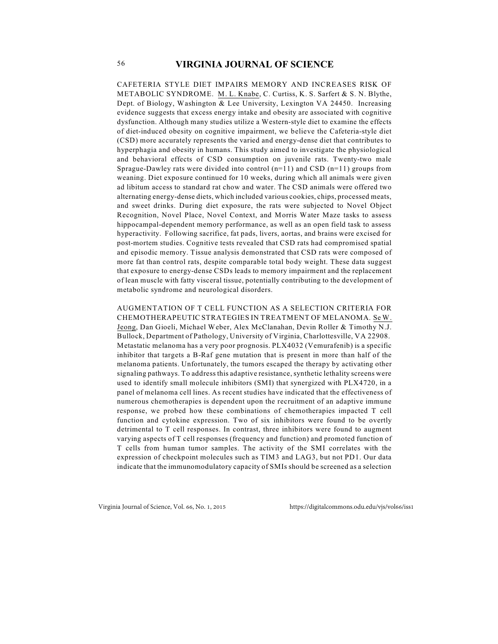CAFETERIA STYLE DIET IMPAIRS MEMORY AND INCREASES RISK OF METABOLIC SYNDROME. M. L. Knabe, C. Curtiss, K. S. Sarfert & S. N. Blythe, Dept. of Biology, Washington & Lee University, Lexington VA 24450. Increasing evidence suggests that excess energy intake and obesity are associated with cognitive dysfunction. Although many studies utilize a Western-style diet to examine the effects of diet-induced obesity on cognitive impairment, we believe the Cafeteria-style diet (CSD) more accurately represents the varied and energy-dense diet that contributes to hyperphagia and obesity in humans. This study aimed to investigate the physiological and behavioral effects of CSD consumption on juvenile rats. Twenty-two male Sprague-Dawley rats were divided into control  $(n=11)$  and CSD  $(n=11)$  groups from weaning. Diet exposure continued for 10 weeks, during which all animals were given ad libitum access to standard rat chow and water. The CSD animals were offered two alternating energy-dense diets, which included various cookies, chips, processed meats, and sweet drinks. During diet exposure, the rats were subjected to Novel Object Recognition, Novel Place, Novel Context, and Morris Water Maze tasks to assess hippocampal-dependent memory performance, as well as an open field task to assess hyperactivity. Following sacrifice, fat pads, livers, aortas, and brains were excised for post-mortem studies. Cognitive tests revealed that CSD rats had compromised spatial and episodic memory. Tissue analysis demonstrated that CSD rats were composed of more fat than control rats, despite comparable total body weight. These data suggest that exposure to energy-dense CSDs leads to memory impairment and the replacement of lean muscle with fatty visceral tissue, potentially contributing to the development of metabolic syndrome and neurological disorders.

AUGMENTATION OF T CELL FUNCTION AS A SELECTION CRITERIA FOR CHEMOTHERAPEUTIC STRATEGIES IN TREATMENT OF MELANOMA. Se W. Jeong, Dan Gioeli, Michael Weber, Alex McClanahan, Devin Roller & Timothy N.J. Bullock, Department of Pathology, University of Virginia, Charlottesville, VA 22908. Metastatic melanoma has a very poor prognosis. PLX4032 (Vemurafenib) is a specific inhibitor that targets a B-Raf gene mutation that is present in more than half of the melanoma patients. Unfortunately, the tumors escaped the therapy by activating other signaling pathways. To address this adaptive resistance, synthetic lethality screens were used to identify small molecule inhibitors (SMI) that synergized with PLX4720, in a panel of melanoma cell lines. As recent studies have indicated that the effectiveness of numerous chemotherapies is dependent upon the recruitment of an adaptive immune response, we probed how these combinations of chemotherapies impacted T cell function and cytokine expression. Two of six inhibitors were found to be overtly detrimental to T cell responses. In contrast, three inhibitors were found to augment varying aspects of T cell responses (frequency and function) and promoted function of T cells from human tumor samples. The activity of the SMI correlates with the expression of checkpoint molecules such as TIM3 and LAG3, but not PD1. Our data indicate that the immunomodulatory capacity of SMIs should be screened as a selection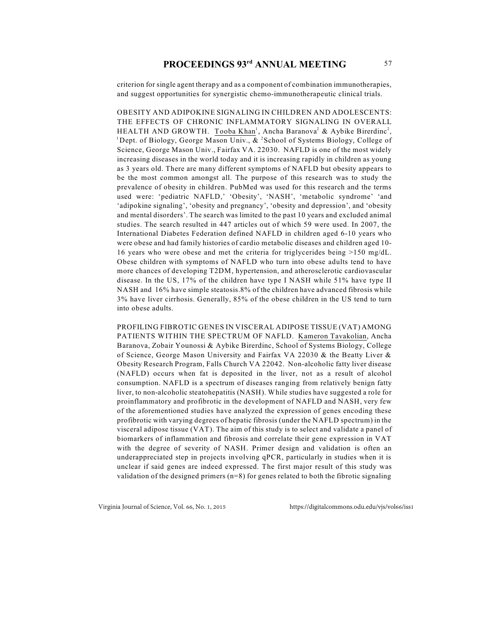# **PROCEEDINGS 93<sup>rd</sup> ANNUAL MEETING** 57

criterion for single agent therapy and as a component of combination immunotherapies, and suggest opportunities for synergistic chemo-immunotherapeutic clinical trials.

OBESITY AND ADIPOKINE SIGNALING IN CHILDREN AND ADOLESCENTS: THE EFFECTS OF CHRONIC INFLAMMATORY SIGNALING IN OVERALL HEALTH AND GROWTH. Tooba Khan<sup>1</sup>, Ancha Baranova<sup>2</sup> & Aybike Birerdinc<sup>2</sup>, <sup>1</sup> Dept. of Biology, George Mason Univ.,  $\&$  <sup>2</sup> School of Systems Biology, College of Science, George Mason Univ., Fairfax VA. 22030. NAFLD is one of the most widely increasing diseases in the world today and it is increasing rapidly in children as young as 3 years old. There are many different symptoms of NAFLD but obesity appears to be the most common amongst all. The purpose of this research was to study the prevalence of obesity in children. PubMed was used for this research and the terms used were: 'pediatric NAFLD,' 'Obesity', 'NASH', 'metabolic syndrome' 'and 'adipokine signaling', 'obesity and pregnancy', 'obesity and depression', and 'obesity and mental disorders'. The search was limited to the past 10 years and excluded animal studies. The search resulted in 447 articles out of which 59 were used. In 2007, the International Diabetes Federation defined NAFLD in children aged 6-10 years who were obese and had family histories of cardio metabolic diseases and children aged 10- 16 years who were obese and met the criteria for triglycerides being >150 mg/dL. Obese children with symptoms of NAFLD who turn into obese adults tend to have more chances of developing T2DM, hypertension, and atherosclerotic cardiovascular disease. In the US, 17% of the children have type I NASH while 51% have type II NASH and 16% have simple steatosis.8% of the children have advanced fibrosis while 3% have liver cirrhosis. Generally, 85% of the obese children in the US tend to turn into obese adults.

PROFILING FIBROTIC GENES IN VISCERAL ADIPOSE TISSUE (VAT) AMONG PATIENTS WITHIN THE SPECTRUM OF NAFLD. Kameron Tavakolian, Ancha Baranova, Zobair Younossi & Aybike Birerdinc, School of Systems Biology, College of Science, George Mason University and Fairfax VA 22030 & the Beatty Liver & Obesity Research Program, Falls Church VA 22042. Non-alcoholic fatty liver disease (NAFLD) occurs when fat is deposited in the liver, not as a result of alcohol consumption. NAFLD is a spectrum of diseases ranging from relatively benign fatty liver, to non-alcoholic steatohepatitis (NASH). While studies have suggested a role for proinflammatory and profibrotic in the development of NAFLD and NASH, very few of the aforementioned studies have analyzed the expression of genes encoding these profibrotic with varying degrees of hepatic fibrosis (under the NAFLD spectrum) in the visceral adipose tissue (VAT). The aim of this study is to select and validate a panel of biomarkers of inflammation and fibrosis and correlate their gene expression in VAT with the degree of severity of NASH. Primer design and validation is often an underappreciated step in projects involving qPCR, particularly in studies when it is unclear if said genes are indeed expressed. The first major result of this study was validation of the designed primers  $(n=8)$  for genes related to both the fibrotic signaling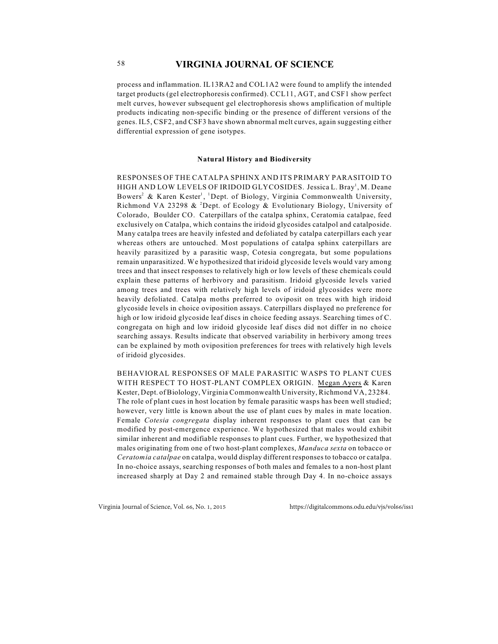process and inflammation. IL13RA2 and COL1A2 were found to amplify the intended target products (gel electrophoresis confirmed). CCL11, AGT, and CSF1 show perfect melt curves, however subsequent gel electrophoresis shows amplification of multiple products indicating non-specific binding or the presence of different versions of the genes. IL5, CSF2, and CSF3 have shown abnormal melt curves, again suggesting either differential expression of gene isotypes.

### **Natural History and Biodiversity**

RESPONSES OF THE CATALPA SPHINX AND ITS PRIMARY PARASITOID TO HIGH AND LOW LEVELS OF IRIDOID GLYCOSIDES. Jessica L. Bray<sup>1</sup>, M. Deane Bowers<sup>2</sup> & Karen Kester<sup>1</sup>, <sup>1</sup>Dept. of Biology, Virginia Commonwealth University, Richmond VA 23298  $&$  <sup>2</sup>Dept. of Ecology  $&$  Evolutionary Biology, University of Colorado, Boulder CO. Caterpillars of the catalpa sphinx, Ceratomia catalpae, feed exclusively on Catalpa, which contains the iridoid glycosides catalpol and catalposide. Many catalpa trees are heavily infested and defoliated by catalpa caterpillars each year whereas others are untouched. Most populations of catalpa sphinx caterpillars are heavily parasitized by a parasitic wasp, Cotesia congregata, but some populations remain unparasitized. We hypothesized that iridoid glycoside levels would vary among trees and that insect responses to relatively high or low levels of these chemicals could explain these patterns of herbivory and parasitism. Iridoid glycoside levels varied among trees and trees with relatively high levels of iridoid glycosides were more heavily defoliated. Catalpa moths preferred to oviposit on trees with high iridoid glycoside levels in choice oviposition assays. Caterpillars displayed no preference for high or low iridoid glycoside leaf discs in choice feeding assays. Searching times of C. congregata on high and low iridoid glycoside leaf discs did not differ in no choice searching assays. Results indicate that observed variability in herbivory among trees can be explained by moth oviposition preferences for trees with relatively high levels of iridoid glycosides.

BEHAVIORAL RESPONSES OF MALE PARASITIC WASPS TO PLANT CUES WITH RESPECT TO HOST-PLANT COMPLEX ORIGIN. Megan Ayers & Karen Kester, Dept. of Biolology, Virginia Commonwealth University, Richmond VA, 23284. The role of plant cues in host location by female parasitic wasps has been well studied; however, very little is known about the use of plant cues by males in mate location. Female *Cotesia congregata* display inherent responses to plant cues that can be modified by post-emergence experience. We hypothesized that males would exhibit similar inherent and modifiable responses to plant cues. Further, we hypothesized that males originating from one of two host-plant complexes, *Manduca sexta* on tobacco or *Ceratomia catalpae* on catalpa, would display different responses to tobacco or catalpa. In no-choice assays, searching responses of both males and females to a non-host plant increased sharply at Day 2 and remained stable through Day 4. In no-choice assays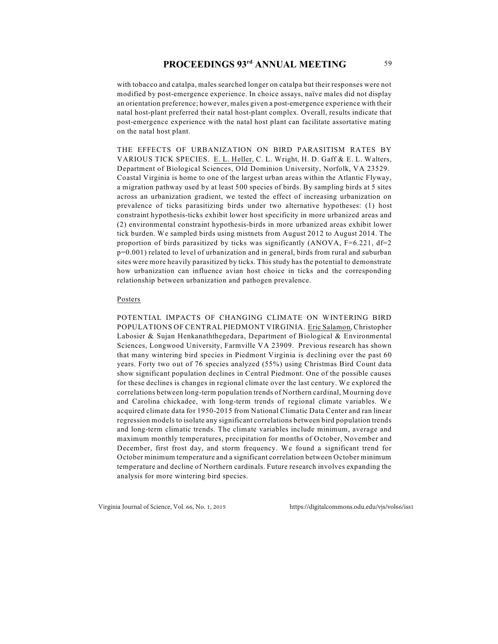with tobacco and catalpa, males searched longer on catalpa but their responses were not modified by post-emergence experience. In choice assays, naïve males did not display an orientation preference; however, males given a post-emergence experience with their natal host-plant preferred their natal host-plant complex. Overall, results indicate that post-emergence experience with the natal host plant can facilitate assortative mating on the natal host plant.

THE EFFECTS OF URBANIZATION ON BIRD PARASITISM RATES BY VARIOUS TICK SPECIES. E. L. Heller, C. L. Wright, H. D. Gaff & E. L. Walters, Department of Biological Sciences, Old Dominion University, Norfolk, VA 23529. Coastal Virginia is home to one of the largest urban areas within the Atlantic Flyway, a migration pathway used by at least 500 species of birds. By sampling birds at 5 sites across an urbanization gradient, we tested the effect of increasing urbanization on prevalence of ticks parasitizing birds under two alternative hypotheses: (1) host constraint hypothesis-ticks exhibit lower host specificity in more urbanized areas and (2) environmental constraint hypothesis-birds in more urbanized areas exhibit lower tick burden. We sampled birds using mistnets from August 2012 to August 2014. The proportion of birds parasitized by ticks was significantly (ANOVA,  $F=6.221$ ,  $df=2$ p=0.001) related to level of urbanization and in general, birds from rural and suburban sites were more heavily parasitized by ticks. This study has the potential to demonstrate how urbanization can influence avian host choice in ticks and the corresponding relationship between urbanization and pathogen prevalence.

### Posters

POTENTIAL IMPACTS OF CHANGING CLIMATE ON WINTERING BIRD POPULATIONS OF CENTRAL PIEDMONT VIRGINIA. Eric Salamon, Christopher Labosier & Sujan Henkanaththegedara, Department of Biological & Environmental Sciences, Longwood University, Farmville VA 23909. Previous research has shown that many wintering bird species in Piedmont Virginia is declining over the past 60 years. Forty two out of 76 species analyzed (55%) using Christmas Bird Count data show significant population declines in Central Piedmont. One of the possible causes for these declines is changes in regional climate over the last century. We explored the correlations between long-term population trends of Northern cardinal, Mourning dove and Carolina chickadee, with long-term trends of regional climate variables. We acquired climate data for 1950-2015 from National Climatic Data Center and ran linear regression models to isolate any significant correlations between bird population trends and long-term climatic trends. The climate variables include minimum, average and maximum monthly temperatures, precipitation for months of October, November and December, first frost day, and storm frequency. We found a significant trend for October minimum temperature and a significant correlation between October minimum temperature and decline of Northern cardinals. Future research involves expanding the analysis for more wintering bird species.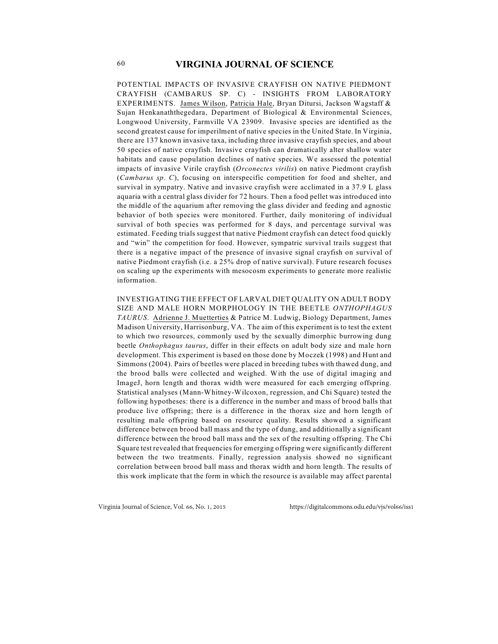POTENTIAL IMPACTS OF INVASIVE CRAYFISH ON NATIVE PIEDMONT CRAYFISH (CAMBARUS SP. C) - INSIGHTS FROM LABORATORY EXPERIMENTS. James Wilson, Patricia Hale, Bryan Ditursi, Jackson Wagstaff & Sujan Henkanaththegedara, Department of Biological & Environmental Sciences, Longwood University, Farmville VA 23909. Invasive species are identified as the second greatest cause for imperilment of native species in the United State. In Virginia, there are 137 known invasive taxa, including three invasive crayfish species, and about 50 species of native crayfish. Invasive crayfish can dramatically alter shallow water habitats and cause population declines of native species. We assessed the potential impacts of invasive Virile crayfish (*Orconectes virilis*) on native Piedmont crayfish (*Cambarus sp. C*), focusing on interspecific competition for food and shelter, and survival in sympatry. Native and invasive crayfish were acclimated in a 37.9 L glass aquaria with a central glass divider for 72 hours. Then a food pellet was introduced into the middle of the aquarium after removing the glass divider and feeding and agnostic behavior of both species were monitored. Further, daily monitoring of individual survival of both species was performed for 8 days, and percentage survival was estimated. Feeding trials suggest that native Piedmont crayfish can detect food quickly and "win" the competition for food. However, sympatric survival trails suggest that there is a negative impact of the presence of invasive signal crayfish on survival of native Piedmont crayfish (i.e. a 25% drop of native survival). Future research focuses on scaling up the experiments with mesocosm experiments to generate more realistic information.

INVESTIGATING THE EFFECT OF LARVAL DIET QUALITY ON ADULT BODY SIZE AND MALE HORN MORPHOLOGY IN THE BEETLE *ONTHOPHAGUS TAURUS*. Adrienne J. Muetterties & Patrice M. Ludwig, Biology Department, James Madison University, Harrisonburg, VA. The aim of this experiment is to test the extent to which two resources, commonly used by the sexually dimorphic burrowing dung beetle *Onthophagus taurus*, differ in their effects on adult body size and male horn development. This experiment is based on those done by Moczek (1998) and Hunt and Simmons (2004). Pairs of beetles were placed in breeding tubes with thawed dung, and the brood balls were collected and weighed. With the use of digital imaging and ImageJ, horn length and thorax width were measured for each emerging offspring. Statistical analyses (Mann-Whitney-Wilcoxon, regression, and Chi Square) tested the following hypotheses: there is a difference in the number and mass of brood balls that produce live offspring; there is a difference in the thorax size and horn length of resulting male offspring based on resource quality. Results showed a significant difference between brood ball mass and the type of dung, and additionally a significant difference between the brood ball mass and the sex of the resulting offspring. The Chi Square test revealed that frequencies for emerging offspring were significantly different between the two treatments. Finally, regression analysis showed no significant correlation between brood ball mass and thorax width and horn length. The results of this work implicate that the form in which the resource is available may affect parental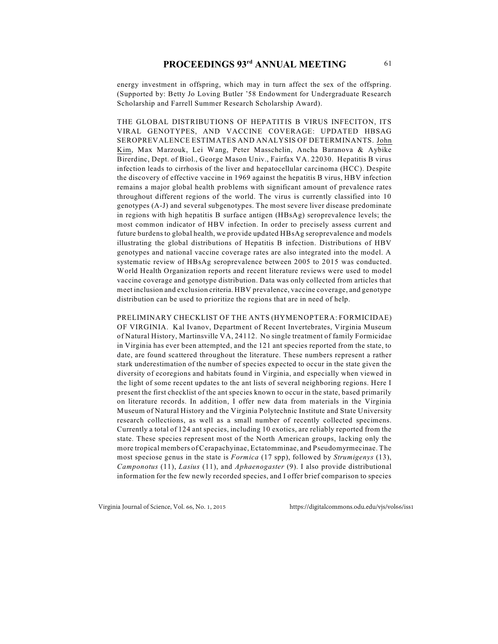# **PROCEEDINGS 93<sup>rd</sup> ANNUAL MEETING** 61

energy investment in offspring, which may in turn affect the sex of the offspring. (Supported by: Betty Jo Loving Butler '58 Endowment for Undergraduate Research Scholarship and Farrell Summer Research Scholarship Award).

THE GLOBAL DISTRIBUTIONS OF HEPATITIS B VIRUS INFECITON, ITS VIRAL GENOTYPES, AND VACCINE COVERAGE: UPDATED HBSAG SEROPREVALENCE ESTIMATES AND ANALYSIS OF DETERMINANTS. John Kim, Max Marzouk, Lei Wang, Peter Masschelin, Ancha Baranova & Aybike Birerdinc, Dept. of Biol., George Mason Univ., Fairfax VA. 22030. Hepatitis B virus infection leads to cirrhosis of the liver and hepatocellular carcinoma (HCC). Despite the discovery of effective vaccine in 1969 against the hepatitis B virus, HBV infection remains a major global health problems with significant amount of prevalence rates throughout different regions of the world. The virus is currently classified into 10 genotypes (A-J) and several subgenotypes. The most severe liver disease predominate in regions with high hepatitis B surface antigen (HBsAg) seroprevalence levels; the most common indicator of HBV infection. In order to precisely assess current and future burdens to global health, we provide updated HBsAg seroprevalence and models illustrating the global distributions of Hepatitis B infection. Distributions of HBV genotypes and national vaccine coverage rates are also integrated into the model. A systematic review of HBsAg seroprevalence between 2005 to 2015 was conducted. World Health Organization reports and recent literature reviews were used to model vaccine coverage and genotype distribution. Data was only collected from articles that meet inclusion and exclusion criteria. HBV prevalence, vaccine coverage, and genotype distribution can be used to prioritize the regions that are in need of help.

PRELIMINARY CHECKLIST OF THE ANTS (HYMENOPTERA: FORMICIDAE) OF VIRGINIA. Kal Ivanov, Department of Recent Invertebrates, Virginia Museum of Natural History, Martinsville VA, 24112. No single treatment of family Formicidae in Virginia has ever been attempted, and the 121 ant species reported from the state, to date, are found scattered throughout the literature. These numbers represent a rather stark underestimation of the number of species expected to occur in the state given the diversity of ecoregions and habitats found in Virginia, and especially when viewed in the light of some recent updates to the ant lists of several neighboring regions. Here I present the first checklist of the ant species known to occur in the state, based primarily on literature records. In addition, I offer new data from materials in the Virginia Museum of Natural History and the Virginia Polytechnic Institute and State University research collections, as well as a small number of recently collected specimens. Currently a total of 124 ant species, including 10 exotics, are reliably reported from the state. These species represent most of the North American groups, lacking only the more tropical members of Cerapachyinae, Ectatomminae, and Pseudomyrmecinae. The most speciose genus in the state is *Formica* (17 spp), followed by *Strumigenys* (13), *Camponotus* (11), *Lasius* (11), and *Aphaenogaster* (9). I also provide distributional information for the few newly recorded species, and I offer brief comparison to species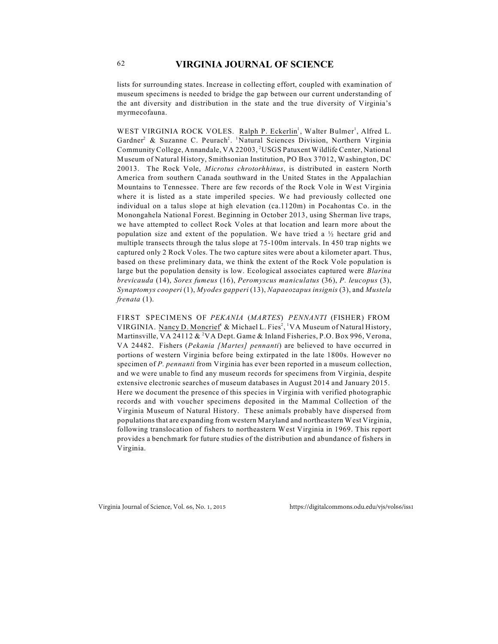lists for surrounding states. Increase in collecting effort, coupled with examination of museum specimens is needed to bridge the gap between our current understanding of the ant diversity and distribution in the state and the true diversity of Virginia's myrmecofauna.

WEST VIRGINIA ROCK VOLES. Ralph P. Eckerlin<sup>1</sup>, Walter Bulmer<sup>1</sup>, Alfred L. Gardner<sup>2</sup> & Suzanne C. Peurach<sup>2</sup>. <sup>1</sup>Natural Sciences Division, Northern Virginia Community College, Annandale, VA 22003, <sup>2</sup>USGS Patuxent Wildlife Center, National Museum of Natural History, Smithsonian Institution, PO Box 37012, Washington, DC 20013. The Rock Vole, *Microtus chrotorhhinus*, is distributed in eastern North America from southern Canada southward in the United States in the Appalachian Mountains to Tennessee. There are few records of the Rock Vole in West Virginia where it is listed as a state imperiled species. We had previously collected one individual on a talus slope at high elevation (ca.1120m) in Pocahontas Co. in the Monongahela National Forest. Beginning in October 2013, using Sherman live traps, we have attempted to collect Rock Voles at that location and learn more about the population size and extent of the population. We have tried a  $\frac{1}{2}$  hectare grid and multiple transects through the talus slope at 75-100m intervals. In 450 trap nights we captured only 2 Rock Voles. The two capture sites were about a kilometer apart. Thus, based on these preliminary data, we think the extent of the Rock Vole population is large but the population density is low. Ecological associates captured were *Blarina brevicauda* (14), *Sorex fumeus* (16), *Peromyscus maniculatus* (36), *P. leucopus* (3), *Synaptomys cooperi* (1), *Myodes gapperi* (13), *Napaeozapus insignis* (3), and *Mustela frenata* (1).

FIRST SPECIMENS OF *PEKANIA* (*MARTES*) *PENNANTI* (FISHER) FROM VIRGINIA. Nancy D. Moncrief<sup>1</sup> & Michael L. Fies<sup>2</sup>, <sup>1</sup>VA Museum of Natural History, Martinsville, VA 24112  $\&{}^{2}$ VA Dept. Game  $\&$  Inland Fisheries, P.O. Box 996, Verona, VA 24482. Fishers (*Pekania [Martes] pennanti*) are believed to have occurred in portions of western Virginia before being extirpated in the late 1800s. However no specimen of *P. pennanti* from Virginia has ever been reported in a museum collection, and we were unable to find any museum records for specimens from Virginia, despite extensive electronic searches of museum databases in August 2014 and January 2015. Here we document the presence of this species in Virginia with verified photographic records and with voucher specimens deposited in the Mammal Collection of the Virginia Museum of Natural History. These animals probably have dispersed from populations that are expanding from western Maryland and northeastern West Virginia, following translocation of fishers to northeastern West Virginia in 1969. This report provides a benchmark for future studies of the distribution and abundance of fishers in Virginia.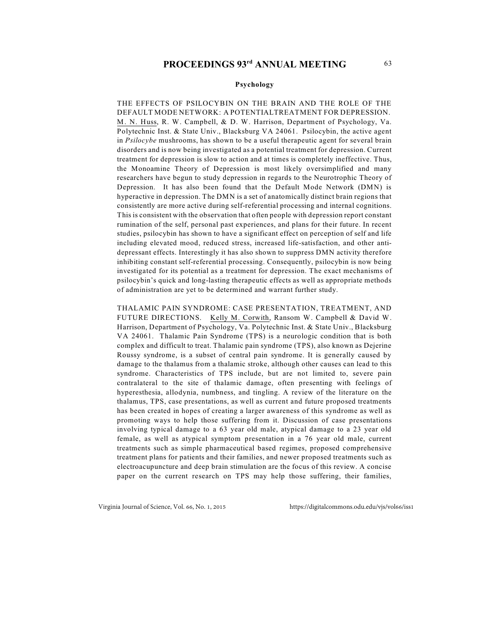### **Psychology**

THE EFFECTS OF PSILOCYBIN ON THE BRAIN AND THE ROLE OF THE DEFAULT MODE NETWORK: A POTENTIALTREATMENT FOR DEPRESSION. M. N. Huss, R. W. Campbell, & D. W. Harrison, Department of Psychology, Va. Polytechnic Inst. & State Univ., Blacksburg VA 24061. Psilocybin, the active agent in *Psilocybe* mushrooms, has shown to be a useful therapeutic agent for several brain disorders and is now being investigated as a potential treatment for depression. Current treatment for depression is slow to action and at times is completely ineffective. Thus, the Monoamine Theory of Depression is most likely oversimplified and many researchers have begun to study depression in regards to the Neurotrophic Theory of Depression. It has also been found that the Default Mode Network (DMN) is hyperactive in depression. The DMN is a set of anatomically distinct brain regions that consistently are more active during self-referential processing and internal cognitions. This is consistent with the observation that often people with depression report constant rumination of the self, personal past experiences, and plans for their future. In recent studies, psilocybin has shown to have a significant effect on perception of self and life including elevated mood, reduced stress, increased life-satisfaction, and other antidepressant effects. Interestingly it has also shown to suppress DMN activity therefore inhibiting constant self-referential processing. Consequently, psilocybin is now being investigated for its potential as a treatment for depression. The exact mechanisms of psilocybin's quick and long-lasting therapeutic effects as well as appropriate methods of administration are yet to be determined and warrant further study.

THALAMIC PAIN SYNDROME: CASE PRESENTATION, TREATMENT, AND FUTURE DIRECTIONS. Kelly M. Corwith, Ransom W. Campbell & David W. Harrison, Department of Psychology, Va. Polytechnic Inst. & State Univ., Blacksburg VA 24061. Thalamic Pain Syndrome (TPS) is a neurologic condition that is both complex and difficult to treat. Thalamic pain syndrome (TPS), also known as Dejerine Roussy syndrome, is a subset of central pain syndrome. It is generally caused by damage to the thalamus from a thalamic stroke, although other causes can lead to this syndrome. Characteristics of TPS include, but are not limited to, severe pain contralateral to the site of thalamic damage, often presenting with feelings of hyperesthesia, allodynia, numbness, and tingling. A review of the literature on the thalamus, TPS, case presentations, as well as current and future proposed treatments has been created in hopes of creating a larger awareness of this syndrome as well as promoting ways to help those suffering from it. Discussion of case presentations involving typical damage to a 63 year old male, atypical damage to a 23 year old female, as well as atypical symptom presentation in a 76 year old male, current treatments such as simple pharmaceutical based regimes, proposed comprehensive treatment plans for patients and their families, and newer proposed treatments such as electroacupuncture and deep brain stimulation are the focus of this review. A concise paper on the current research on TPS may help those suffering, their families,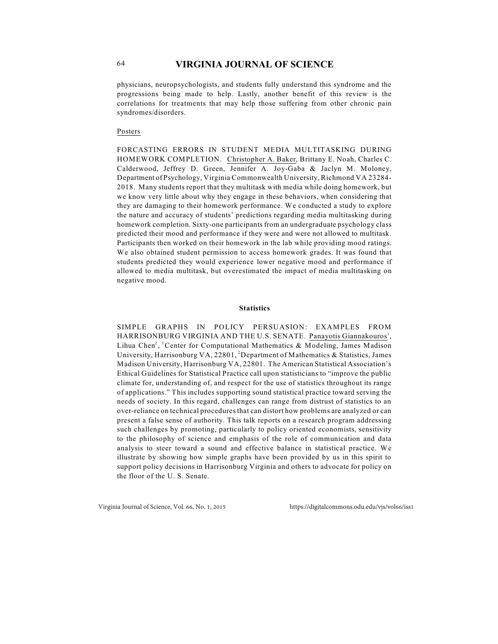physicians, neuropsychologists, and students fully understand this syndrome and the progressions being made to help. Lastly, another benefit of this review is the correlations for treatments that may help those suffering from other chronic pain syndromes/disorders.

### Posters

FORCASTING ERRORS IN STUDENT MEDIA MULTITASKING DURING HOMEWORK COMPLETION. Christopher A. Baker, Brittany E. Noah, Charles C. Calderwood, Jeffrey D. Green, Jennifer A. Joy-Gaba & Jaclyn M. Moloney, Department of Psychology, Virginia Commonwealth University, Richmond VA 23284- 2018. Many students report that they multitask with media while doing homework, but we know very little about why they engage in these behaviors, when considering that they are damaging to their homework performance. We conducted a study to explore the nature and accuracy of students' predictions regarding media multitasking during homework completion. Sixty-one participants from an undergraduate psychology class predicted their mood and performance if they were and were not allowed to multitask. Participants then worked on their homework in the lab while providing mood ratings. We also obtained student permission to access homework grades. It was found that students predicted they would experience lower negative mood and performance if allowed to media multitask, but overestimated the impact of media multitasking on negative mood.

### **Statistics**

SIMPLE GRAPHS IN POLICY PERSUASION: EXAMPLES FROM HARRISONBURG VIRGINIA AND THE U.S. SENATE. Panayotis Giannakouros<sup>1</sup>, Lihua Chen<sup>2</sup>, <sup>1</sup>Center for Computational Mathematics & Modeling, James Madison University, Harrisonburg VA, 22801, <sup>2</sup>Department of Mathematics & Statistics, James Madison University, Harrisonburg VA, 22801. The American Statistical Association's Ethical Guidelines for Statistical Practice call upon statisticians to "improve the public climate for, understanding of, and respect for the use of statistics throughout its range of applications." This includes supporting sound statistical practice toward serving the needs of society. In this regard, challenges can range from distrust of statistics to an over-reliance on technical procedures that can distort how problems are analyzed or can present a false sense of authority. This talk reports on a research program addressing such challenges by promoting, particularly to policy oriented economists, sensitivity to the philosophy of science and emphasis of the role of communication and data analysis to steer toward a sound and effective balance in statistical practice. We illustrate by showing how simple graphs have been provided by us in this spirit to support policy decisions in Harrisonburg Virginia and others to advocate for policy on the floor of the U. S. Senate.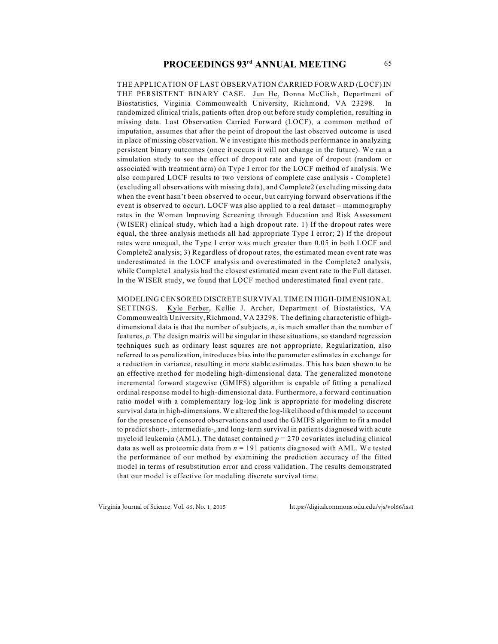THE APPLICATION OF LAST OBSERVATION CARRIED FORWARD (LOCF) IN THE PERSISTENT BINARY CASE. Jun He, Donna McClish, Department of Biostatistics, Virginia Commonwealth University, Richmond, VA 23298. In randomized clinical trials, patients often drop out before study completion, resulting in missing data. Last Observation Carried Forward (LOCF), a common method of imputation, assumes that after the point of dropout the last observed outcome is used in place of missing observation. We investigate this methods performance in analyzing persistent binary outcomes (once it occurs it will not change in the future). We ran a simulation study to see the effect of dropout rate and type of dropout (random or associated with treatment arm) on Type I error for the LOCF method of analysis. We also compared LOCF results to two versions of complete case analysis - Complete1 (excluding all observations with missing data), and Complete2 (excluding missing data when the event hasn't been observed to occur, but carrying forward observations if the event is observed to occur). LOCF was also applied to a real dataset – mammography rates in the Women Improving Screening through Education and Risk Assessment (WISER) clinical study, which had a high dropout rate. 1) If the dropout rates were equal, the three analysis methods all had appropriate Type I error; 2) If the dropout rates were unequal, the Type I error was much greater than 0.05 in both LOCF and Complete2 analysis; 3) Regardless of dropout rates, the estimated mean event rate was underestimated in the LOCF analysis and overestimated in the Complete2 analysis, while Complete1 analysis had the closest estimated mean event rate to the Full dataset. In the WISER study, we found that LOCF method underestimated final event rate.

MODELING CENSORED DISCRETE SURVIVAL TIME IN HIGH-DIMENSIONAL SETTINGS. Kyle Ferber, Kellie J. Archer, Department of Biostatistics, VA Commonwealth University, Richmond, VA 23298. The defining characteristic of highdimensional data is that the number of subjects, *n*, is much smaller than the number of features, *p.* The design matrix will be singular in these situations, so standard regression techniques such as ordinary least squares are not appropriate. Regularization, also referred to as penalization, introduces bias into the parameter estimates in exchange for a reduction in variance, resulting in more stable estimates. This has been shown to be an effective method for modeling high-dimensional data. The generalized monotone incremental forward stagewise (GMIFS) algorithm is capable of fitting a penalized ordinal response model to high-dimensional data. Furthermore, a forward continuation ratio model with a complementary log-log link is appropriate for modeling discrete survival data in high-dimensions. We altered the log-likelihood of this model to account for the presence of censored observations and used the GMIFS algorithm to fit a model to predict short-, intermediate-, and long-term survival in patients diagnosed with acute myeloid leukemia (AML). The dataset contained  $p = 270$  covariates including clinical data as well as proteomic data from *n* = 191 patients diagnosed with AML. We tested the performance of our method by examining the prediction accuracy of the fitted model in terms of resubstitution error and cross validation. The results demonstrated that our model is effective for modeling discrete survival time.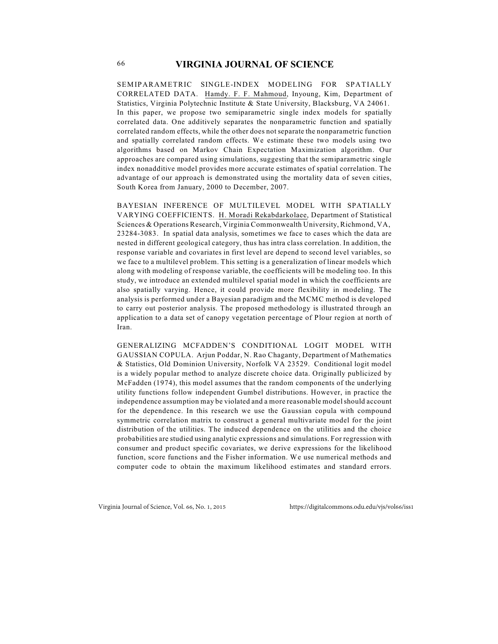SEM IPARAM ETRIC SINGLE-INDEX MODELING FOR SPATIALLY CORRELATED DATA. Hamdy. F. F. Mahmoud, Inyoung, Kim, Department of Statistics, Virginia Polytechnic Institute & State University, Blacksburg, VA 24061. In this paper, we propose two semiparametric single index models for spatially correlated data. One additively separates the nonparametric function and spatially correlated random effects, while the other does not separate the nonparametric function and spatially correlated random effects. We estimate these two models using two algorithms based on Markov Chain Expectation Maximization algorithm. Our approaches are compared using simulations, suggesting that the semiparametric single index nonadditive model provides more accurate estimates of spatial correlation. The advantage of our approach is demonstrated using the mortality data of seven cities, South Korea from January, 2000 to December, 2007.

BAYESIAN INFERENCE OF MULTILEVEL MODEL WITH SPATIALLY VARYING COEFFICIENTS. H. Moradi Rekabdarkolaee, Department of Statistical Sciences & Operations Research, Virginia Commonwealth University, Richmond, VA, 23284-3083. In spatial data analysis, sometimes we face to cases which the data are nested in different geological category, thus has intra class correlation. In addition, the response variable and covariates in first level are depend to second level variables, so we face to a multilevel problem. This setting is a generalization of linear models which along with modeling of response variable, the coefficients will be modeling too. In this study, we introduce an extended multilevel spatial model in which the coefficients are also spatially varying. Hence, it could provide more flexibility in modeling. The analysis is performed under a Bayesian paradigm and the MCMC method is developed to carry out posterior analysis. The proposed methodology is illustrated through an application to a data set of canopy vegetation percentage of Plour region at north of Iran.

GENERALIZING MCFADDEN'S CONDITIONAL LOGIT MODEL WITH GAUSSIAN COPULA. Arjun Poddar, N. Rao Chaganty, Department of Mathematics & Statistics, Old Dominion University, Norfolk VA 23529. Conditional logit model is a widely popular method to analyze discrete choice data. Originally publicized by McFadden (1974), this model assumes that the random components of the underlying utility functions follow independent Gumbel distributions. However, in practice the independence assumption may be violated and a more reasonable model should account for the dependence. In this research we use the Gaussian copula with compound symmetric correlation matrix to construct a general multivariate model for the joint distribution of the utilities. The induced dependence on the utilities and the choice probabilities are studied using analytic expressions and simulations. For regression with consumer and product specific covariates, we derive expressions for the likelihood function, score functions and the Fisher information. We use numerical methods and computer code to obtain the maximum likelihood estimates and standard errors.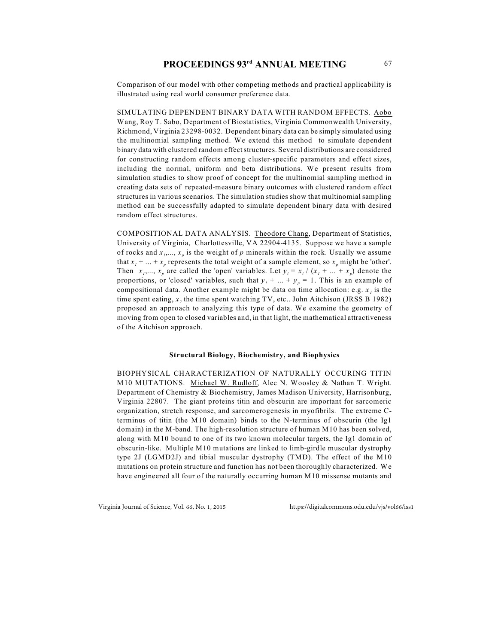Comparison of our model with other competing methods and practical applicability is illustrated using real world consumer preference data.

SIMULATING DEPENDENT BINARY DATA WITH RANDOM EFFECTS. Aobo Wang, Roy T. Sabo, Department of Biostatistics, Virginia Commonwealth University, Richmond, Virginia 23298-0032. Dependent binary data can be simply simulated using the multinomial sampling method. We extend this method to simulate dependent binary data with clustered random effect structures. Several distributions are considered for constructing random effects among cluster-specific parameters and effect sizes, including the normal, uniform and beta distributions. We present results from simulation studies to show proof of concept for the multinomial sampling method in creating data sets of repeated-measure binary outcomes with clustered random effect structures in various scenarios. The simulation studies show that multinomial sampling method can be successfully adapted to simulate dependent binary data with desired random effect structures.

COMPOSITIONAL DATA ANALYSIS. Theodore Chang, Department of Statistics, University of Virginia, Charlottesville, VA 22904-4135. Suppose we have a sample of rocks and  $x_1, ..., x_n$  is the weight of p minerals within the rock. Usually we assume that  $x_1 + ... + x_p$  represents the total weight of a sample element, so  $x_p$  might be 'other'. Then  $x_1, ..., x_p$  are called the 'open' variables. Let  $y_i = x_i / (x_1 + ... + x_p)$  denote the proportions, or 'closed' variables, such that  $y_1 + ... + y_p = 1$ . This is an example of *1* compositional data. Another example might be data on time allocation: e.g. *x* is the time spent eating,  $x_2$  the time spent watching TV, etc.. John Aitchison (JRSS B 1982) proposed an approach to analyzing this type of data. We examine the geometry of moving from open to closed variables and, in that light, the mathematical attractiveness of the Aitchison approach.

### **Structural Biology, Biochemistry, and Biophysics**

BIOPHYSICAL CHARACTERIZATION OF NATURALLY OCCURING TITIN M10 MUTATIONS. Michael W. Rudloff, Alec N. Woosley & Nathan T. Wright. Department of Chemistry & Biochemistry, James Madison University, Harrisonburg, Virginia 22807. The giant proteins titin and obscurin are important for sarcomeric organization, stretch response, and sarcomerogenesis in myofibrils. The extreme Cterminus of titin (the M10 domain) binds to the N-terminus of obscurin (the Ig1 domain) in the M-band. The high-resolution structure of human M10 has been solved, along with M10 bound to one of its two known molecular targets, the Ig1 domain of obscurin-like. Multiple M10 mutations are linked to limb-girdle muscular dystrophy type 2J (LGMD2J) and tibial muscular dystrophy (TMD). The effect of the M10 mutations on protein structure and function has not been thoroughly characterized. We have engineered all four of the naturally occurring human M10 missense mutants and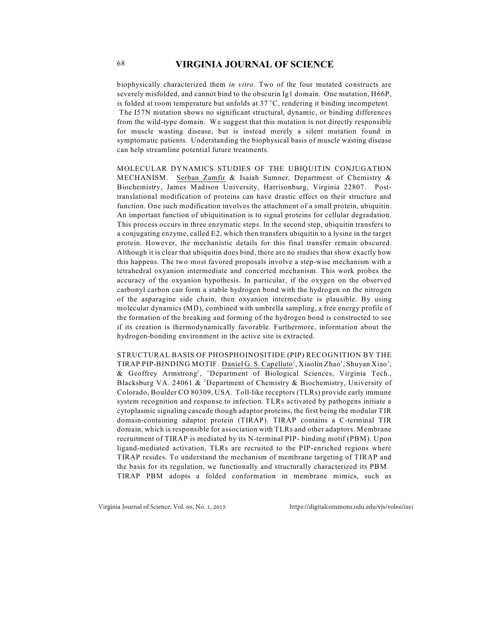biophysically characterized them *in vitro*. Two of the four mutated constructs are severely misfolded, and cannot bind to the obscurin Ig1 domain. One mutation, H66P, is folded at room temperature but unfolds at  $37^{\circ}$ C, rendering it binding incompetent. The I57N mutation shows no significant structural, dynamic, or binding differences from the wild-type domain. We suggest that this mutation is not directly responsible for muscle wasting disease, but is instead merely a silent mutation found in symptomatic patients. Understanding the biophysical basis of muscle wasting disease can help streamline potential future treatments.

MOLECULAR DYNAMICS STUDIES OF THE UBIQUITIN CONJUGATION MECHANISM. Serban Zamfir & Isaiah Sumner, Department of Chemistry & Biochemistry, James Madison University, Harrisonburg, Virginia 22807. Posttranslational modification of proteins can have drastic effect on their structure and function. One such modification involves the attachment of a small protein, ubiquitin. An important function of ubiquitination is to signal proteins for cellular degradation. This process occurs in three enzymatic steps. In the second step, ubiquitin transfers to a conjugating enzyme, called E2, which then transfers ubiquitin to a lysine in the target protein. However, the mechanistic details for this final transfer remain obscured. Although it is clear that ubiquitin does bind, there are no studies that show exactly how this happens. The two most favored proposals involve a step-wise mechanism with a tetrahedral oxyanion intermediate and concerted mechanism. This work probes the accuracy of the oxyanion hypothesis. In particular, if the oxygen on the observed carbonyl carbon can form a stable hydrogen bond with the hydrogen on the nitrogen of the asparagine side chain, then oxyanion intermediate is plausible. By using molecular dynamics (MD), combined with umbrella sampling, a free energy profile of the formation of the breaking and forming of the hydrogen bond is constructed to see if its creation is thermodynamically favorable. Furthermore, information about the hydrogen-bonding environment in the active site is extracted.

STRUCTURAL BASIS OF PHOSPHOINOSITIDE (PIP) RECOGNITION BY THE TIRAP PIP-BINDING MOTIF. Daniel G. S. Capelluto<sup>1</sup>, Xiaolin Zhao<sup>1</sup>, Shuyan Xiao<sup>1</sup>, & Geoffrey Armstrong<sup>2</sup>, <sup>1</sup>Department of Biological Sciences, Virginia Tech., Blacksburg VA. 24061 & <sup>2</sup>Department of Chemistry & Biochemistry, University of Colorado, Boulder CO 80309, USA. Toll-like receptors (TLRs) provide early immune system recognition and response to infection. TLRs activated by pathogens initiate a cytoplasmic signaling cascade though adaptor proteins, the first being the modular TIR domain-containing adaptor protein (TIRAP). TIRAP contains a C-terminal TIR domain, which is responsible for association with TLRs and other adaptors. Membrane recruitment of TIRAP is mediated by its N-terminal PIP- binding motif (PBM). Upon ligand-mediated activation, TLRs are recruited to the PIP-enriched regions where TIRAP resides. To understand the mechanism of membrane targeting of TIRAP and the basis for its regulation, we functionally and structurally characterized its PBM. TIRAP PBM adopts a folded conformation in membrane mimics, such as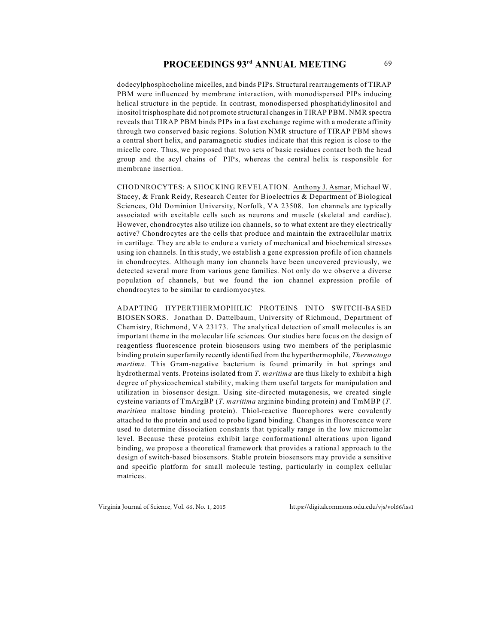dodecylphosphocholine micelles, and binds PIPs. Structural rearrangements of TIRAP PBM were influenced by membrane interaction, with monodispersed PIPs inducing helical structure in the peptide. In contrast, monodispersed phosphatidylinositol and inositol trisphosphate did not promote structural changes in TIRAP PBM. NMR spectra reveals that TIRAP PBM binds PIPs in a fast exchange regime with a moderate affinity through two conserved basic regions. Solution NMR structure of TIRAP PBM shows a central short helix, and paramagnetic studies indicate that this region is close to the micelle core. Thus, we proposed that two sets of basic residues contact both the head group and the acyl chains of PIPs, whereas the central helix is responsible for membrane insertion.

CHODNROCYTES: A SHOCKING REVELATION. Anthony J. Asmar, Michael W. Stacey, & Frank Reidy, Research Center for Bioelectrics & Department of Biological Sciences, Old Dominion University, Norfolk, VA 23508. Ion channels are typically associated with excitable cells such as neurons and muscle (skeletal and cardiac). However, chondrocytes also utilize ion channels, so to what extent are they electrically active? Chondrocytes are the cells that produce and maintain the extracellular matrix in cartilage. They are able to endure a variety of mechanical and biochemical stresses using ion channels. In this study, we establish a gene expression profile of ion channels in chondrocytes. Although many ion channels have been uncovered previously, we detected several more from various gene families. Not only do we observe a diverse population of channels, but we found the ion channel expression profile of chondrocytes to be similar to cardiomyocytes.

ADAPTING HYPERTHERMOPHILIC PROTEINS INTO SWITCH-BASED BIOSENSORS. Jonathan D. Dattelbaum, University of Richmond, Department of Chemistry, Richmond, VA 23173. The analytical detection of small molecules is an important theme in the molecular life sciences. Our studies here focus on the design of reagentless fluorescence protein biosensors using two members of the periplasmic binding protein superfamily recently identified from the hyperthermophile, *Thermotoga martima.* This Gram-negative bacterium is found primarily in hot springs and hydrothermal vents. Proteins isolated from *T. maritima* are thus likely to exhibit a high degree of physicochemical stability, making them useful targets for manipulation and utilization in biosensor design. Using site-directed mutagenesis, we created single cysteine variants of TmArgBP (*T. maritima* arginine binding protein) and TmMBP (*T. maritima* maltose binding protein). Thiol-reactive fluorophores were covalently attached to the protein and used to probe ligand binding. Changes in fluorescence were used to determine dissociation constants that typically range in the low micromolar level. Because these proteins exhibit large conformational alterations upon ligand binding, we propose a theoretical framework that provides a rational approach to the design of switch-based biosensors. Stable protein biosensors may provide a sensitive and specific platform for small molecule testing, particularly in complex cellular matrices.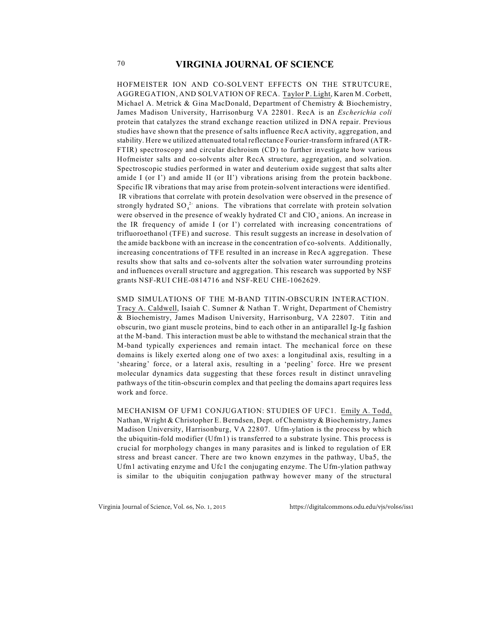HOFMEISTER ION AND CO-SOLVENT EFFECTS ON THE STRUTCURE, AGGREGATION, AND SOLVATION OF RECA. Taylor P. Light, Karen M. Corbett, Michael A. Metrick  $\&$  Gina MacDonald, Department of Chemistry  $\&$  Biochemistry, James Madison University, Harrisonburg VA 22801. RecA is an *Escherichia coli* protein that catalyzes the strand exchange reaction utilized in DNA repair. Previous studies have shown that the presence of salts influence RecA activity, aggregation, and stability. Here we utilized attenuated total reflectance Fourier-transform infrared (ATR-FTIR) spectroscopy and circular dichroism (CD) to further investigate how various Hofmeister salts and co-solvents alter RecA structure, aggregation, and solvation. Spectroscopic studies performed in water and deuterium oxide suggest that salts alter amide I (or I') and amide II (or II') vibrations arising from the protein backbone. Specific IR vibrations that may arise from protein-solvent interactions were identified. IR vibrations that correlate with protein desolvation were observed in the presence of strongly hydrated  $SO_4^2$  anions. The vibrations that correlate with protein solvation were observed in the presence of weakly hydrated Cl and ClO<sub>4</sub> anions. An increase in the IR frequency of amide I (or I') correlated with increasing concentrations of trifluoroethanol (TFE) and sucrose. This result suggests an increase in desolvation of the amide backbone with an increase in the concentration of co-solvents. Additionally, increasing concentrations of TFE resulted in an increase in RecA aggregation. These results show that salts and co-solvents alter the solvation water surrounding proteins and influences overall structure and aggregation. This research was supported by NSF grants NSF-RUI CHE-0814716 and NSF-REU CHE-1062629.

SMD SIMULATIONS OF THE M-BAND TITIN-OBSCURIN INTERACTION. Tracy A. Caldwell, Isaiah C. Sumner & Nathan T. Wright, Department of Chemistry & Biochemistry, James Madison University, Harrisonburg, VA 22807. Titin and obscurin, two giant muscle proteins, bind to each other in an antiparallel Ig-Ig fashion at the M-band. This interaction must be able to withstand the mechanical strain that the M-band typically experiences and remain intact. The mechanical force on these domains is likely exerted along one of two axes: a longitudinal axis, resulting in a 'shearing' force, or a lateral axis, resulting in a 'peeling' force. Hre we present molecular dynamics data suggesting that these forces result in distinct unraveling pathways of the titin-obscurin complex and that peeling the domains apart requires less work and force.

MECHANISM OF UFM1 CONJUGATION: STUDIES OF UFC1. Emily A. Todd, Nathan, Wright & Christopher E. Berndsen, Dept. of Chemistry & Biochemistry, James Madison University, Harrisonburg, VA 22807. Ufm-ylation is the process by which the ubiquitin-fold modifier (Ufm1) is transferred to a substrate lysine. This process is crucial for morphology changes in many parasites and is linked to regulation of ER stress and breast cancer. There are two known enzymes in the pathway, Uba5, the Ufm1 activating enzyme and Ufc1 the conjugating enzyme. The Ufm-ylation pathway is similar to the ubiquitin conjugation pathway however many of the structural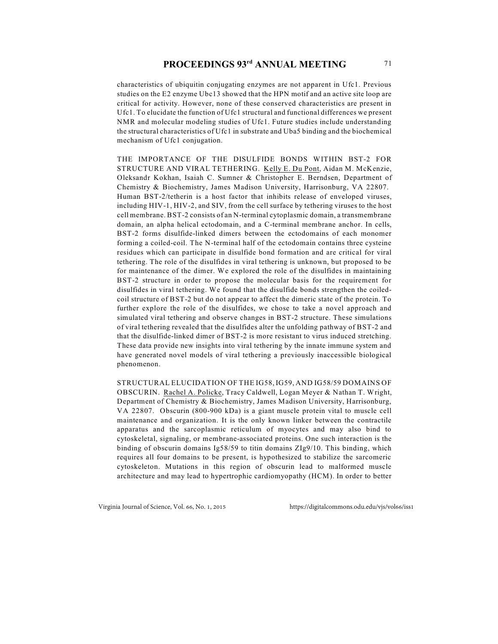characteristics of ubiquitin conjugating enzymes are not apparent in Ufc1. Previous studies on the E2 enzyme Ubc13 showed that the HPN motif and an active site loop are critical for activity. However, none of these conserved characteristics are present in Ufc1. To elucidate the function of Ufc1 structural and functional differences we present NMR and molecular modeling studies of Ufc1. Future studies include understanding the structural characteristics of Ufc1 in substrate and Uba5 binding and the biochemical mechanism of Ufc1 conjugation.

THE IMPORTANCE OF THE DISULFIDE BONDS WITHIN BST-2 FOR STRUCTURE AND VIRAL TETHERING. Kelly E. Du Pont, Aidan M. McKenzie, Oleksandr Kokhan, Isaiah C. Sumner & Christopher E. Berndsen, Department of Chemistry & Biochemistry, James Madison University, Harrisonburg, VA 22807. Human BST-2/tetherin is a host factor that inhibits release of enveloped viruses, including HIV-1, HIV-2, and SIV, from the cell surface by tethering viruses to the host cell membrane. BST-2 consists of an N-terminal cytoplasmic domain, a transmembrane domain, an alpha helical ectodomain, and a C-terminal membrane anchor. In cells, BST-2 forms disulfide-linked dimers between the ectodomains of each monomer forming a coiled-coil. The N-terminal half of the ectodomain contains three cysteine residues which can participate in disulfide bond formation and are critical for viral tethering. The role of the disulfides in viral tethering is unknown, but proposed to be for maintenance of the dimer. We explored the role of the disulfides in maintaining BST-2 structure in order to propose the molecular basis for the requirement for disulfides in viral tethering. We found that the disulfide bonds strengthen the coiledcoil structure of BST-2 but do not appear to affect the dimeric state of the protein. To further explore the role of the disulfides, we chose to take a novel approach and simulated viral tethering and observe changes in BST-2 structure. These simulations of viral tethering revealed that the disulfides alter the unfolding pathway of BST-2 and that the disulfide-linked dimer of BST-2 is more resistant to virus induced stretching. These data provide new insights into viral tethering by the innate immune system and have generated novel models of viral tethering a previously inaccessible biological phenomenon.

STRUCTURAL ELUCIDATION OF THE IG58, IG59, AND IG58/59 DOMAINS OF OBSCURIN. Rachel A. Policke, Tracy Caldwell, Logan Meyer & Nathan T. Wright, Department of Chemistry & Biochemistry, James Madison University, Harrisonburg, VA 22807. Obscurin (800-900 kDa) is a giant muscle protein vital to muscle cell maintenance and organization. It is the only known linker between the contractile apparatus and the sarcoplasmic reticulum of myocytes and may also bind to cytoskeletal, signaling, or membrane-associated proteins. One such interaction is the binding of obscurin domains Ig58/59 to titin domains ZIg9/10. This binding, which requires all four domains to be present, is hypothesized to stabilize the sarcomeric cytoskeleton. Mutations in this region of obscurin lead to malformed muscle architecture and may lead to hypertrophic cardiomyopathy (HCM). In order to better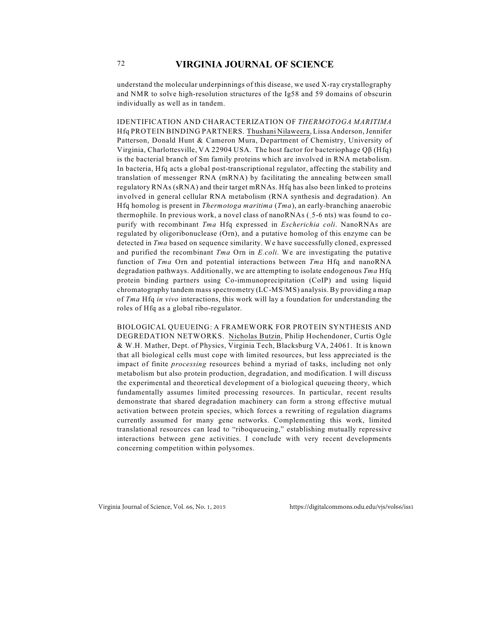understand the molecular underpinnings of this disease, we used X-ray crystallography and NMR to solve high-resolution structures of the Ig58 and 59 domains of obscurin individually as well as in tandem.

IDENTIFICATION AND CHARACTERIZATION OF *THERMOTOGA MARITIMA* Hfq PROTEIN BINDING PARTNERS. Thushani Nilaweera, Lissa Anderson, Jennifer Patterson, Donald Hunt & Cameron Mura, Department of Chemistry, University of Virginia, Charlottesville, VA 22904 USA. The host factor for bacteriophage Q $\beta$  (Hfq) is the bacterial branch of Sm family proteins which are involved in RNA metabolism. In bacteria, Hfq acts a global post-transcriptional regulator, affecting the stability and translation of messenger RNA (mRNA) by facilitating the annealing between small regulatory RNAs (sRNA) and their target mRNAs. Hfq has also been linked to proteins involved in general cellular RNA metabolism (RNA synthesis and degradation). An Hfq homolog is present in *Thermotoga maritima* (*Tma*), an early-branching anaerobic thermophile. In previous work, a novel class of nanoRNAs (\_5-6 nts) was found to copurify with recombinant *Tma* Hfq expressed in *Escherichia coli*. NanoRNAs are regulated by oligoribonuclease (Orn), and a putative homolog of this enzyme can be detected in *Tma* based on sequence similarity. We have successfully cloned, expressed and purified the recombinant *Tma* Orn in *E.coli*. We are investigating the putative function of *Tma* Orn and potential interactions between *Tma* Hfq and nanoRNA degradation pathways. Additionally, we are attempting to isolate endogenous *Tma* Hfq protein binding partners using Co-immunoprecipitation (CoIP) and using liquid chromatography tandem mass spectrometry (LC-MS/MS) analysis. By providing a map of *Tma* Hfq *in vivo* interactions, this work will lay a foundation for understanding the roles of Hfq as a global ribo-regulator.

BIOLOGICAL QUEUEING: A FRAMEWORK FOR PROTEIN SYNTHESIS AND DEGREDATION NETWORKS. Nicholas Butzin, Philip Hochendoner, Curtis Ogle & W.H. Mather, Dept. of Physics, Virginia Tech, Blacksburg VA, 24061. It is known that all biological cells must cope with limited resources, but less appreciated is the impact of finite *processing* resources behind a myriad of tasks, including not only metabolism but also protein production, degradation, and modification. I will discuss the experimental and theoretical development of a biological queueing theory, which fundamentally assumes limited processing resources. In particular, recent results demonstrate that shared degradation machinery can form a strong effective mutual activation between protein species, which forces a rewriting of regulation diagrams currently assumed for many gene networks. Complementing this work, limited translational resources can lead to "riboqueueing," establishing mutually repressive interactions between gene activities. I conclude with very recent developments concerning competition within polysomes.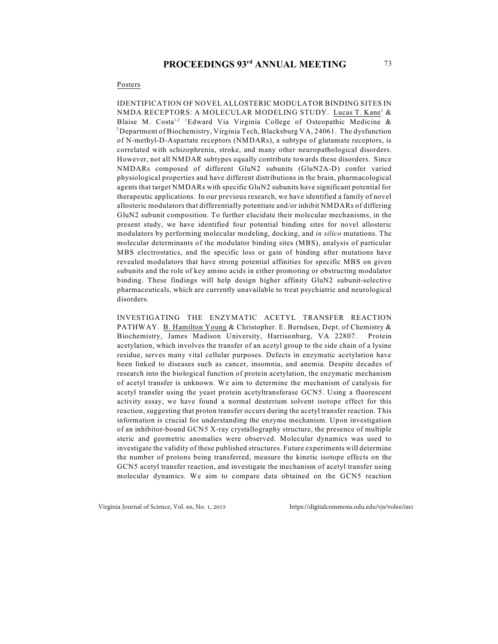#### Posters

IDENTIFICATION OF NOVEL ALLOSTERIC MODULATOR BINDING SITES IN NMDA RECEPTORS: A MOLECULAR MODELING STUDY. Lucas T. Kane<sup>1</sup> & Blaise M. Costa<sup>1,2</sup> <sup>1</sup>Edward Via Virginia College of Osteopathic Medicine & <sup>2</sup> Department of Biochemistry, Virginia Tech, Blacksburg VA, 24061. The dysfunction of N-methyl-D-Aspartate receptors (NMDARs), a subtype of glutamate receptors, is correlated with schizophrenia, stroke, and many other neuropathological disorders. However, not all NMDAR subtypes equally contribute towards these disorders. Since NMDARs composed of different GluN2 subunits (GluN2A-D) confer varied physiological properties and have different distributions in the brain, pharmacological agents that target NMDARs with specific GluN2 subunits have significant potential for therapeutic applications. In our previous research, we have identified a family of novel allosteric modulators that differentially potentiate and/or inhibit NMDARs of differing GluN2 subunit composition. To further elucidate their molecular mechanisms, in the present study, we have identified four potential binding sites for novel allosteric modulators by performing molecular modeling, docking, and *in silico* mutations. The molecular determinants of the modulator binding sites (MBS), analysis of particular MBS electrostatics, and the specific loss or gain of binding after mutations have revealed modulators that have strong potential affinities for specific MBS on given subunits and the role of key amino acids in either promoting or obstructing modulator binding. These findings will help design higher affinity GluN2 subunit-selective pharmaceuticals, which are currently unavailable to treat psychiatric and neurological disorders.

INVESTIGATING THE ENZYMATIC ACETYL TRANSFER REACTION PATHWAY. B. Hamilton Young & Christopher. E. Berndsen, Dept. of Chemistry & Biochemistry, James Madison University, Harrisonburg, VA 22807. Protein acetylation, which involves the transfer of an acetyl group to the side chain of a lysine residue, serves many vital cellular purposes. Defects in enzymatic acetylation have been linked to diseases such as cancer, insomnia, and anemia. Despite decades of research into the biological function of protein acetylation, the enzymatic mechanism of acetyl transfer is unknown. We aim to determine the mechanism of catalysis for acetyl transfer using the yeast protein acetyltransferase GCN5. Using a fluorescent activity assay, we have found a normal deuterium solvent isotope effect for this reaction, suggesting that proton transfer occurs during the acetyl transfer reaction. This information is crucial for understanding the enzyme mechanism. Upon investigation of an inhibitor-bound GCN5 X-ray crystallography structure, the presence of multiple steric and geometric anomalies were observed. Molecular dynamics was used to investigate the validity of these published structures. Future experiments will determine the number of protons being transferred, measure the kinetic isotope effects on the GCN5 acetyl transfer reaction, and investigate the mechanism of acetyl transfer using molecular dynamics. We aim to compare data obtained on the GCN5 reaction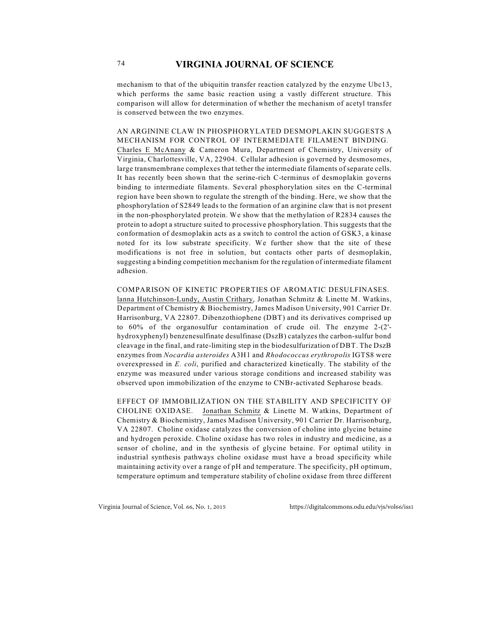mechanism to that of the ubiquitin transfer reaction catalyzed by the enzyme Ubc13, which performs the same basic reaction using a vastly different structure. This comparison will allow for determination of whether the mechanism of acetyl transfer is conserved between the two enzymes.

AN ARGININE CLAW IN PHOSPHORYLATED DESMOPLAKIN SUGGESTS A MECHANISM FOR CONTROL OF INTERMEDIATE FILAMENT BINDING. Charles E McAnany & Cameron Mura, Department of Chemistry, University of Virginia, Charlottesville, VA, 22904. Cellular adhesion is governed by desmosomes, large transmembrane complexes that tether the intermediate filaments of separate cells. It has recently been shown that the serine-rich C-terminus of desmoplakin governs binding to intermediate filaments. Several phosphorylation sites on the C-terminal region have been shown to regulate the strength of the binding. Here, we show that the phosphorylation of S2849 leads to the formation of an arginine claw that is not present in the non-phosphorylated protein. We show that the methylation of R2834 causes the protein to adopt a structure suited to processive phosphorylation. This suggests that the conformation of desmoplakin acts as a switch to control the action of GSK3, a kinase noted for its low substrate specificity. We further show that the site of these modifications is not free in solution, but contacts other parts of desmoplakin, suggesting a binding competition mechanism for the regulation of intermediate filament adhesion.

COMPARISON OF KINETIC PROPERTIES OF AROMATIC DESULFINASES. lanna Hutchinson-Lundy, Austin Crithary, Jonathan Schmitz & Linette M. Watkins, Department of Chemistry & Biochemistry, James Madison University, 901 Carrier Dr. Harrisonburg, VA 22807. Dibenzothiophene (DBT) and its derivatives comprised up to 60% of the organosulfur contamination of crude oil. The enzyme 2-(2' hydroxyphenyl) benzenesulfinate desulfinase (DszB) catalyzes the carbon-sulfur bond cleavage in the final, and rate-limiting step in the biodesulfurization of DBT. The DszB enzymes from *Nocardia asteroides* A3H1 and *Rhodococcus erythropolis* IGTS8 were overexpressed in *E. coli*, purified and characterized kinetically. The stability of the enzyme was measured under various storage conditions and increased stability was observed upon immobilization of the enzyme to CNBr-activated Sepharose beads.

EFFECT OF IMMOBILIZATION ON THE STABILITY AND SPECIFICITY OF CHOLINE OXIDASE. Jonathan Schmitz & Linette M. Watkins, Department of Chemistry & Biochemistry, James Madison University, 901 Carrier Dr. Harrisonburg, VA 22807. Choline oxidase catalyzes the conversion of choline into glycine betaine and hydrogen peroxide. Choline oxidase has two roles in industry and medicine, as a sensor of choline, and in the synthesis of glycine betaine. For optimal utility in industrial synthesis pathways choline oxidase must have a broad specificity while maintaining activity over a range of pH and temperature. The specificity, pH optimum, temperature optimum and temperature stability of choline oxidase from three different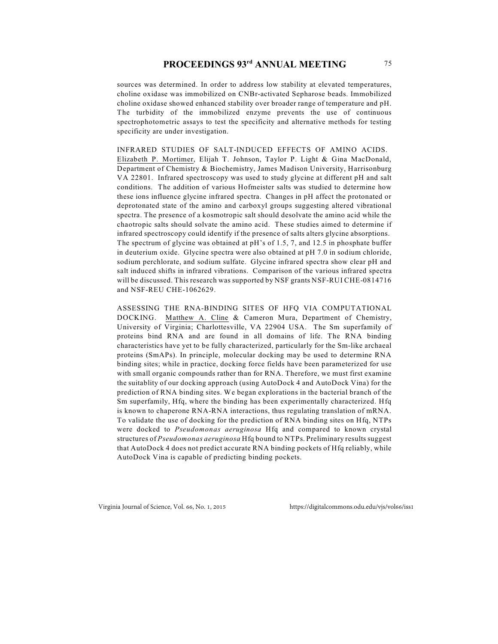## **PROCEEDINGS 93rd ANNUAL MEETING** 75

sources was determined. In order to address low stability at elevated temperatures, choline oxidase was immobilized on CNBr-activated Sepharose beads. Immobilized choline oxidase showed enhanced stability over broader range of temperature and pH. The turbidity of the immobilized enzyme prevents the use of continuous spectrophotometric assays to test the specificity and alternative methods for testing specificity are under investigation.

INFRARED STUDIES OF SALT-INDUCED EFFECTS OF AMINO ACIDS. Elizabeth P. Mortimer, Elijah T. Johnson, Taylor P. Light & Gina MacDonald, Department of Chemistry & Biochemistry, James Madison University, Harrisonburg VA 22801. Infrared spectroscopy was used to study glycine at different pH and salt conditions. The addition of various Hofmeister salts was studied to determine how these ions influence glycine infrared spectra. Changes in pH affect the protonated or deprotonated state of the amino and carboxyl groups suggesting altered vibrational spectra. The presence of a kosmotropic salt should desolvate the amino acid while the chaotropic salts should solvate the amino acid. These studies aimed to determine if infrared spectroscopy could identify if the presence of salts alters glycine absorptions. The spectrum of glycine was obtained at pH's of 1.5, 7, and 12.5 in phosphate buffer in deuterium oxide. Glycine spectra were also obtained at pH 7.0 in sodium chloride, sodium perchlorate, and sodium sulfate. Glycine infrared spectra show clear pH and salt induced shifts in infrared vibrations. Comparison of the various infrared spectra will be discussed. This research was supported by NSF grants NSF-RUI CHE-0814716 and NSF-REU CHE-1062629.

ASSESSING THE RNA-BINDING SITES OF HFQ VIA COMPUTATIONAL DOCKING. Matthew A. Cline & Cameron Mura, Department of Chemistry, University of Virginia; Charlottesville, VA 22904 USA. The Sm superfamily of proteins bind RNA and are found in all domains of life. The RNA binding characteristics have yet to be fully characterized, particularly for the Sm-like archaeal proteins (SmAPs). In principle, molecular docking may be used to determine RNA binding sites; while in practice, docking force fields have been parameterized for use with small organic compounds rather than for RNA. Therefore, we must first examine the suitablity of our docking approach (using AutoDock 4 and AutoDock Vina) for the prediction of RNA binding sites. We began explorations in the bacterial branch of the Sm superfamily, Hfq, where the binding has been experimentally characterized. Hfq is known to chaperone RNA-RNA interactions, thus regulating translation of mRNA. To validate the use of docking for the prediction of RNA binding sites on Hfq, NTPs were docked to *Pseudomonas aeruginosa* Hfq and compared to known crystal structures of *Pseudomonas aeruginosa* Hfq bound to NTPs. Preliminary results suggest that AutoDock 4 does not predict accurate RNA binding pockets of Hfq reliably, while AutoDock Vina is capable of predicting binding pockets.